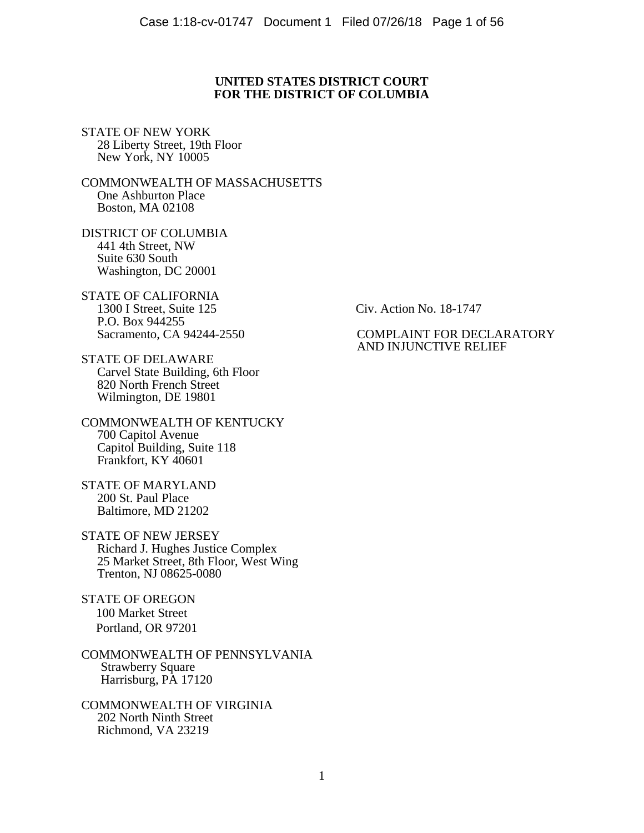## **UNITED STATES DISTRICT COURT FOR THE DISTRICT OF COLUMBIA**

STATE OF NEW YORK 28 Liberty Street, 19th Floor New York, NY 10005

COMMONWEALTH OF MASSACHUSETTS One Ashburton Place Boston, MA 02108

DISTRICT OF COLUMBIA<br>441 4th Street. NW Suite 630 South<br>Washington, DC 20001

STATE OF CALIFORNIA<br>1300 I Street. Suite 125 P.O. Box 944255<br>Sacramento, CA 94244-2550

STATE OF DELAWARE Carvel State Building, 6th Floor 820 North French Street Wilmington, DE 19801

COMMONWEALTH OF KENTUCKY<br>700 Capitol Avenue Capitol Building, Suite 118<br>Frankfort, KY 40601

STATE OF MARYLAND<br>200 St. Paul Place Baltimore, MD 21202

STATE OF NEW JERSEY<br>Richard J. Hughes Justice Complex<br>25 Market Street, 8th Floor, West Wing<br>Trenton, NJ 08625-0080

STATE OF OREGON 100 Market Street Portland, OR 97201

COMMONWEALTH OF PENNSYLVANIA Strawberry Square Harrisburg, PA 17120

COMMONWEALTH OF VIRGINIA Richmond, VA 23219

Civ. Action No. 18-1747

## COMPLAINT FOR DECLARATORY AND INJUNCTIVE RELIEF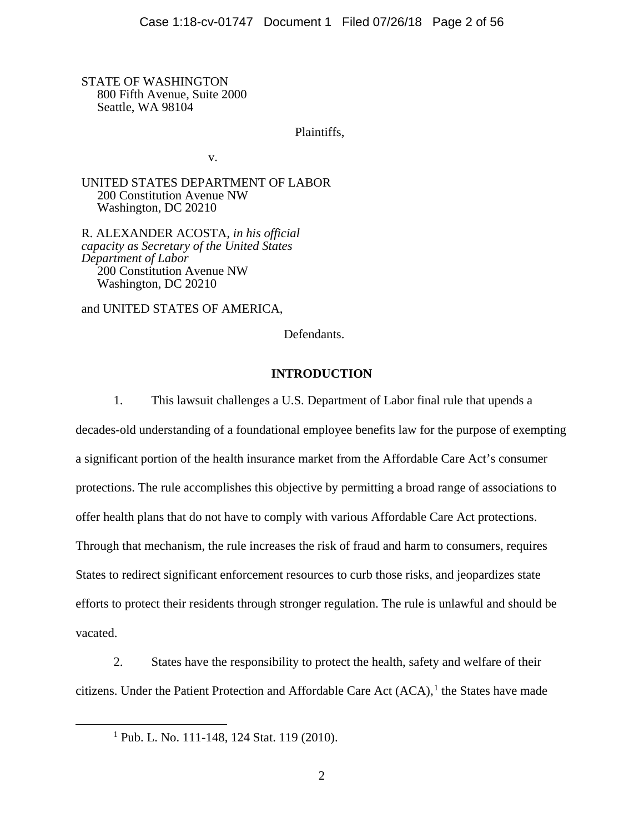STATE OF WASHINGTON 800 Fifth Avenue, Suite 2000 Seattle, WA 98104

Plaintiffs,

v.

UNITED STATES DEPARTMENT OF LABOR 200 Constitution Avenue NW Washington, DC 20210

R. ALEXANDER ACOSTA, *in his official capacity as Secretary of the United States Department of Labor* 200 Constitution Avenue NW Washington, DC 20210

and UNITED STATES OF AMERICA,

Defendants.

## **INTRODUCTION**

1. This lawsuit challenges a U.S. Department of Labor final rule that upends a decades-old understanding of a foundational employee benefits law for the purpose of exempting a significant portion of the health insurance market from the Affordable Care Act's consumer protections. The rule accomplishes this objective by permitting a broad range of associations to offer health plans that do not have to comply with various Affordable Care Act protections. Through that mechanism, the rule increases the risk of fraud and harm to consumers, requires States to redirect significant enforcement resources to curb those risks, and jeopardizes state efforts to protect their residents through stronger regulation. The rule is unlawful and should be vacated.

<span id="page-1-0"></span>2. States have the responsibility to protect the health, safety and welfare of their citizens. Under the Patient Protection and Affordable Care Act  $(ACA)$ , the States have made

 $1$  Pub. L. No. 111-148, 124 Stat. 119 (2010).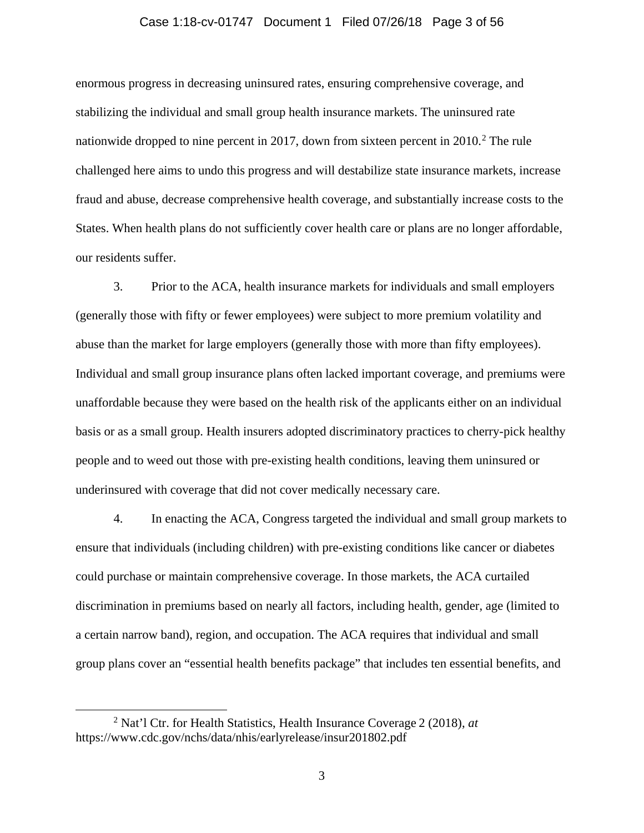## Case 1:18-cv-01747 Document 1 Filed 07/26/18 Page 3 of 56

enormous progress in decreasing uninsured rates, ensuring comprehensive coverage, and stabilizing the individual and small group health insurance markets. The uninsured rate nationwide dropped to nine percent in [2](#page-2-0)017, down from sixteen percent in  $2010<sup>2</sup>$ . The rule challenged here aims to undo this progress and will destabilize state insurance markets, increase fraud and abuse, decrease comprehensive health coverage, and substantially increase costs to the States. When health plans do not sufficiently cover health care or plans are no longer affordable, our residents suffer.

<span id="page-2-1"></span>3. Prior to the ACA, health insurance markets for individuals and small employers (generally those with fifty or fewer employees) were subject to more premium volatility and abuse than the market for large employers (generally those with more than fifty employees). Individual and small group insurance plans often lacked important coverage, and premiums were unaffordable because they were based on the health risk of the applicants either on an individual basis or as a small group. Health insurers adopted discriminatory practices to cherry-pick healthy people and to weed out those with pre-existing health conditions, leaving them uninsured or underinsured with coverage that did not cover medically necessary care.

<span id="page-2-2"></span>4. In enacting the ACA, Congress targeted the individual and small group markets to ensure that individuals (including children) with pre-existing conditions like cancer or diabetes could purchase or maintain comprehensive coverage. In those markets, the ACA curtailed discrimination in premiums based on nearly all factors, including health, gender, age (limited to a certain narrow band), region, and occupation. The ACA requires that individual and small group plans cover an "essential health benefits package" that includes ten essential benefits, and

<span id="page-2-0"></span> <sup>2</sup> Nat'l Ctr. for Health Statistics, Health Insurance Coverage <sup>2</sup> (2018), *at* https://www.cdc.gov/nchs/data/nhis/earlyrelease/insur201802.pdf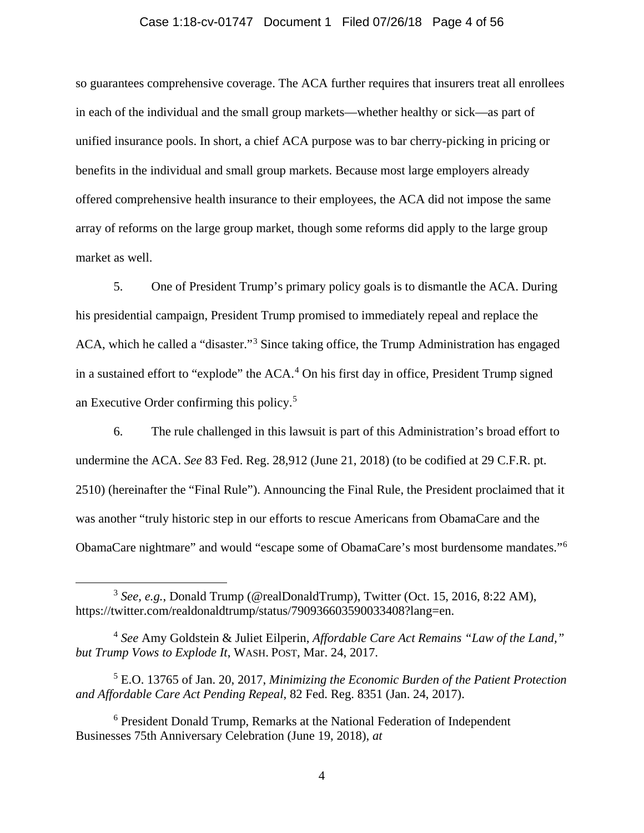## Case 1:18-cv-01747 Document 1 Filed 07/26/18 Page 4 of 56

so guarantees comprehensive coverage. The ACA further requires that insurers treat all enrollees in each of the individual and the small group markets—whether healthy or sick—as part of unified insurance pools. In short, a chief ACA purpose was to bar cherry-picking in pricing or benefits in the individual and small group markets. Because most large employers already offered comprehensive health insurance to their employees, the ACA did not impose the same array of reforms on the large group market, though some reforms did apply to the large group market as well.

5. One of President Trump's primary policy goals is to dismantle the ACA. During his presidential campaign, President Trump promised to immediately repeal and replace the ACA, which he called a "disaster."[3](#page-3-0) Since taking office, the Trump Administration has engaged in a sustained effort to "explode" the  $ACA$ .<sup>[4](#page-3-1)</sup> On his first day in office, President Trump signed an Executive Order confirming this policy.[5](#page-3-2)

6. The rule challenged in this lawsuit is part of this Administration's broad effort to undermine the ACA. *See* 83 Fed. Reg. 28,912 (June 21, 2018) (to be codified at 29 C.F.R. pt. 2510) (hereinafter the "Final Rule"). Announcing the Final Rule, the President proclaimed that it was another "truly historic step in our efforts to rescue Americans from ObamaCare and the ObamaCare nightmare" and would "escape some of ObamaCare's most burdensome mandates."[6](#page-3-3)

<span id="page-3-4"></span><span id="page-3-0"></span> <sup>3</sup> *See, e.g.*, Donald Trump (@realDonaldTrump), Twitter (Oct. 15, 2016, 8:22 AM), https://twitter.com/realdonaldtrump/status/790936603590033408?lang=en.

<span id="page-3-1"></span><sup>4</sup> *See* Amy Goldstein & Juliet Eilperin, *Affordable Care Act Remains "Law of the Land," but Trump Vows to Explode It*, WASH. POST, Mar. 24, 2017.

<span id="page-3-2"></span><sup>5</sup> E.O. 13765 of Jan. 20, 2017, *Minimizing the Economic Burden of the Patient Protection and Affordable Care Act Pending Repeal*, 82 Fed. Reg. 8351 (Jan. 24, 2017).

<span id="page-3-3"></span><sup>6</sup> President Donald Trump, Remarks at the National Federation of Independent Businesses 75th Anniversary Celebration (June 19, 2018), *at*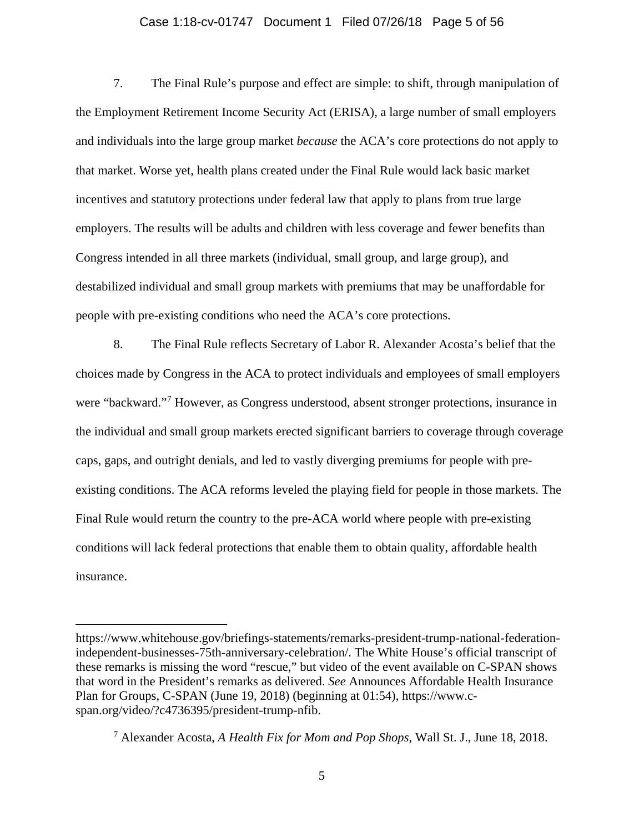## Case 1:18-cv-01747 Document 1 Filed 07/26/18 Page 5 of 56

7. The Final Rule's purpose and effect are simple: to shift, through manipulation of the Employment Retirement Income Security Act (ERISA), a large number of small employers and individuals into the large group market *because* the ACA's core protections do not apply to that market. Worse yet, health plans created under the Final Rule would lack basic market incentives and statutory protections under federal law that apply to plans from true large employers. The results will be adults and children with less coverage and fewer benefits than Congress intended in all three markets (individual, small group, and large group), and destabilized individual and small group markets with premiums that may be unaffordable for people with pre-existing conditions who need the ACA's core protections.

8. The Final Rule reflects Secretary of Labor R. Alexander Acosta's belief that the choices made by Congress in the ACA to protect individuals and employees of small employers were "backward."[7](#page-4-0) However, as Congress understood, absent stronger protections, insurance in the individual and small group markets erected significant barriers to coverage through coverage caps, gaps, and outright denials, and led to vastly diverging premiums for people with preexisting conditions. The ACA reforms leveled the playing field for people in those markets. The Final Rule would return the country to the pre-ACA world where people with pre-existing conditions will lack federal protections that enable them to obtain quality, affordable health insurance.

 $\overline{a}$ 

https://www.whitehouse.gov/briefings-statements/remarks-president-trump-national-federationindependent-businesses-75th-anniversary-celebration/. The White House's official transcript of these remarks is missing the word "rescue," but video of the event available on C-SPAN shows that word in the President's remarks as delivered. *See* Announces Affordable Health Insurance Plan for Groups, C-SPAN (June 19, 2018) (beginning at 01:54), https://www.cspan.org/video/?c4736395/president-trump-nfib.

<span id="page-4-0"></span><sup>7</sup> Alexander Acosta, *A Health Fix for Mom and Pop Shops*, Wall St. J., June 18, 2018.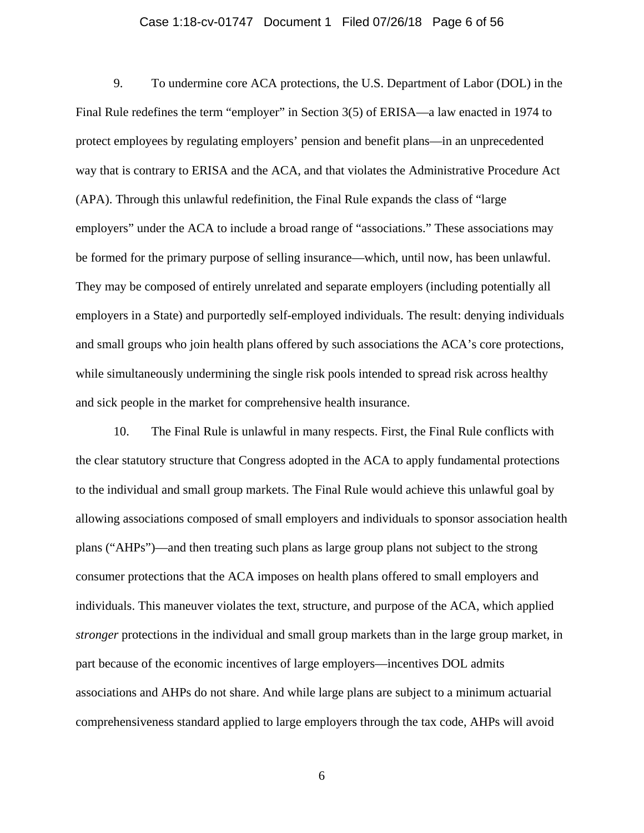## Case 1:18-cv-01747 Document 1 Filed 07/26/18 Page 6 of 56

9. To undermine core ACA protections, the U.S. Department of Labor (DOL) in the Final Rule redefines the term "employer" in Section 3(5) of ERISA—a law enacted in 1974 to protect employees by regulating employers' pension and benefit plans—in an unprecedented way that is contrary to ERISA and the ACA, and that violates the Administrative Procedure Act (APA). Through this unlawful redefinition, the Final Rule expands the class of "large employers" under the ACA to include a broad range of "associations." These associations may be formed for the primary purpose of selling insurance—which, until now, has been unlawful. They may be composed of entirely unrelated and separate employers (including potentially all employers in a State) and purportedly self-employed individuals. The result: denying individuals and small groups who join health plans offered by such associations the ACA's core protections, while simultaneously undermining the single risk pools intended to spread risk across healthy and sick people in the market for comprehensive health insurance.

10. The Final Rule is unlawful in many respects. First, the Final Rule conflicts with the clear statutory structure that Congress adopted in the ACA to apply fundamental protections to the individual and small group markets. The Final Rule would achieve this unlawful goal by allowing associations composed of small employers and individuals to sponsor association health plans ("AHPs")—and then treating such plans as large group plans not subject to the strong consumer protections that the ACA imposes on health plans offered to small employers and individuals. This maneuver violates the text, structure, and purpose of the ACA, which applied *stronger* protections in the individual and small group markets than in the large group market, in part because of the economic incentives of large employers—incentives DOL admits associations and AHPs do not share. And while large plans are subject to a minimum actuarial comprehensiveness standard applied to large employers through the tax code, AHPs will avoid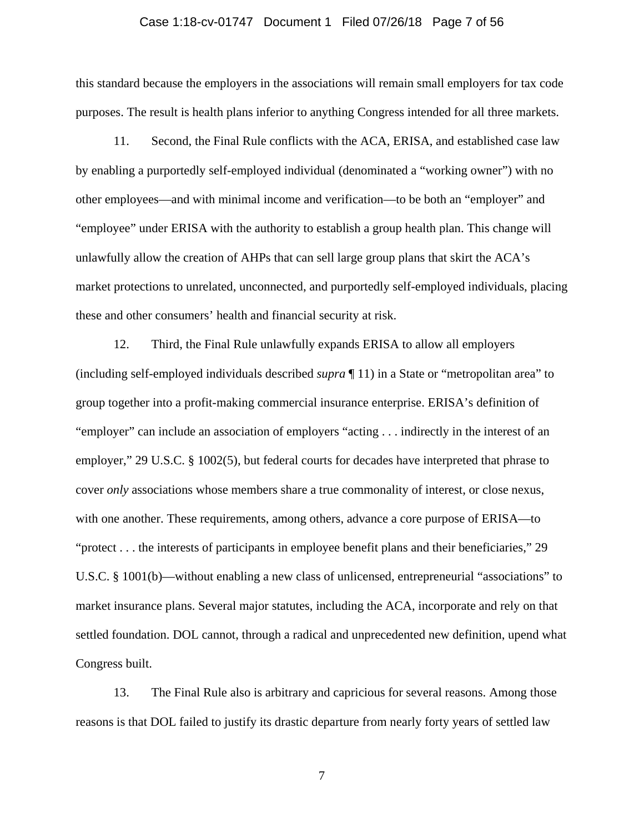## Case 1:18-cv-01747 Document 1 Filed 07/26/18 Page 7 of 56

this standard because the employers in the associations will remain small employers for tax code purposes. The result is health plans inferior to anything Congress intended for all three markets.

<span id="page-6-0"></span>11. Second, the Final Rule conflicts with the ACA, ERISA, and established case law by enabling a purportedly self-employed individual (denominated a "working owner") with no other employees—and with minimal income and verification—to be both an "employer" and "employee" under ERISA with the authority to establish a group health plan. This change will unlawfully allow the creation of AHPs that can sell large group plans that skirt the ACA's market protections to unrelated, unconnected, and purportedly self-employed individuals, placing these and other consumers' health and financial security at risk.

12. Third, the Final Rule unlawfully expands ERISA to allow all employers (including self-employed individuals described *supra* ¶ [11\)](#page-6-0) in a State or "metropolitan area" to group together into a profit-making commercial insurance enterprise. ERISA's definition of "employer" can include an association of employers "acting . . . indirectly in the interest of an employer," 29 U.S.C. § 1002(5), but federal courts for decades have interpreted that phrase to cover *only* associations whose members share a true commonality of interest, or close nexus, with one another. These requirements, among others, advance a core purpose of ERISA—to "protect . . . the interests of participants in employee benefit plans and their beneficiaries," 29 U.S.C. § 1001(b)—without enabling a new class of unlicensed, entrepreneurial "associations" to market insurance plans. Several major statutes, including the ACA, incorporate and rely on that settled foundation. DOL cannot, through a radical and unprecedented new definition, upend what Congress built.

13. The Final Rule also is arbitrary and capricious for several reasons. Among those reasons is that DOL failed to justify its drastic departure from nearly forty years of settled law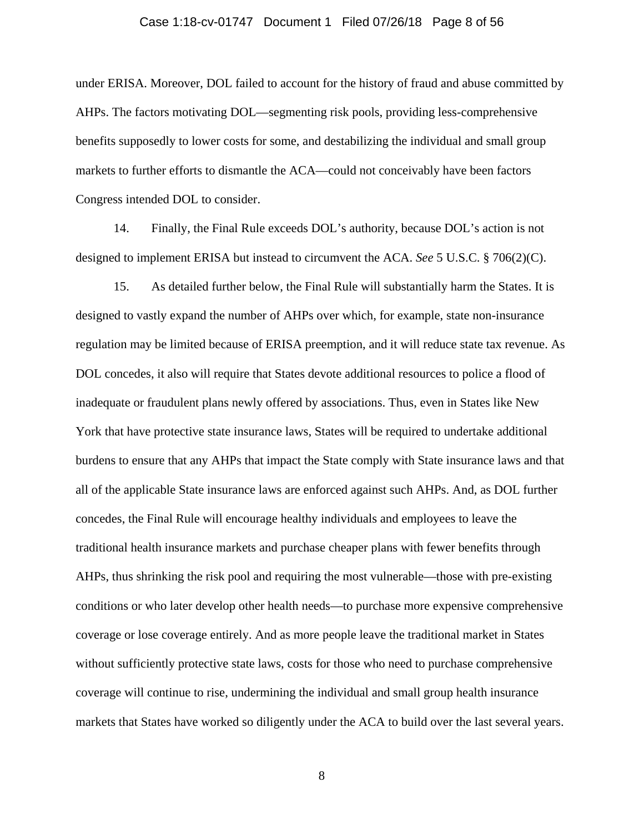## Case 1:18-cv-01747 Document 1 Filed 07/26/18 Page 8 of 56

under ERISA. Moreover, DOL failed to account for the history of fraud and abuse committed by AHPs. The factors motivating DOL—segmenting risk pools, providing less-comprehensive benefits supposedly to lower costs for some, and destabilizing the individual and small group markets to further efforts to dismantle the ACA—could not conceivably have been factors Congress intended DOL to consider.

14. Finally, the Final Rule exceeds DOL's authority, because DOL's action is not designed to implement ERISA but instead to circumvent the ACA. *See* 5 U.S.C. § 706(2)(C).

15. As detailed further below, the Final Rule will substantially harm the States. It is designed to vastly expand the number of AHPs over which, for example, state non-insurance regulation may be limited because of ERISA preemption, and it will reduce state tax revenue. As DOL concedes, it also will require that States devote additional resources to police a flood of inadequate or fraudulent plans newly offered by associations. Thus, even in States like New York that have protective state insurance laws, States will be required to undertake additional burdens to ensure that any AHPs that impact the State comply with State insurance laws and that all of the applicable State insurance laws are enforced against such AHPs. And, as DOL further concedes, the Final Rule will encourage healthy individuals and employees to leave the traditional health insurance markets and purchase cheaper plans with fewer benefits through AHPs, thus shrinking the risk pool and requiring the most vulnerable—those with pre-existing conditions or who later develop other health needs—to purchase more expensive comprehensive coverage or lose coverage entirely. And as more people leave the traditional market in States without sufficiently protective state laws, costs for those who need to purchase comprehensive coverage will continue to rise, undermining the individual and small group health insurance markets that States have worked so diligently under the ACA to build over the last several years.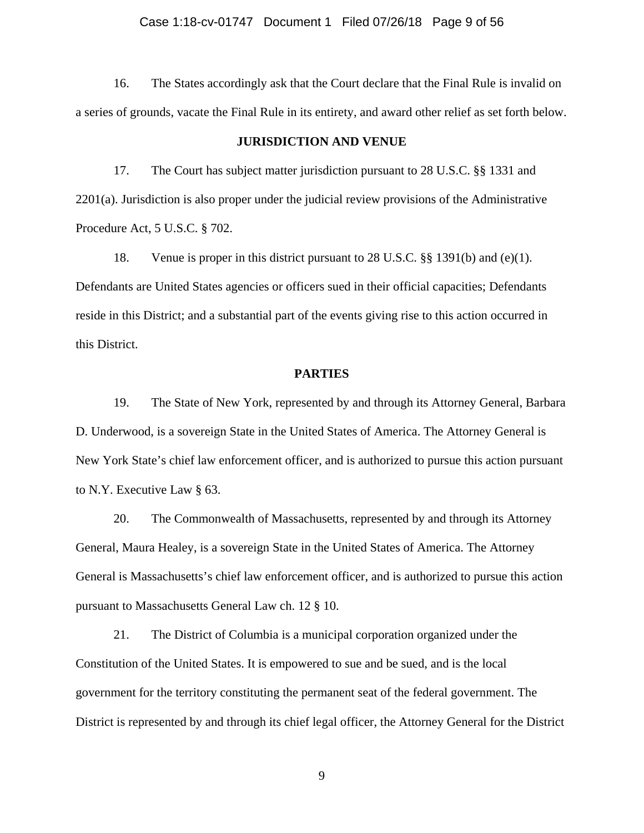## Case 1:18-cv-01747 Document 1 Filed 07/26/18 Page 9 of 56

16. The States accordingly ask that the Court declare that the Final Rule is invalid on a series of grounds, vacate the Final Rule in its entirety, and award other relief as set forth below.

#### **JURISDICTION AND VENUE**

17. The Court has subject matter jurisdiction pursuant to 28 U.S.C. §§ 1331 and 2201(a). Jurisdiction is also proper under the judicial review provisions of the Administrative Procedure Act, 5 U.S.C. § 702.

18. Venue is proper in this district pursuant to 28 U.S.C. §§ 1391(b) and (e)(1). Defendants are United States agencies or officers sued in their official capacities; Defendants reside in this District; and a substantial part of the events giving rise to this action occurred in this District.

#### **PARTIES**

19. The State of New York, represented by and through its Attorney General, Barbara D. Underwood, is a sovereign State in the United States of America. The Attorney General is New York State's chief law enforcement officer, and is authorized to pursue this action pursuant to N.Y. Executive Law § 63.

20. The Commonwealth of Massachusetts, represented by and through its Attorney General, Maura Healey, is a sovereign State in the United States of America. The Attorney General is Massachusetts's chief law enforcement officer, and is authorized to pursue this action pursuant to Massachusetts General Law ch. 12 § 10.

21. The District of Columbia is a municipal corporation organized under the Constitution of the United States. It is empowered to sue and be sued, and is the local government for the territory constituting the permanent seat of the federal government. The District is represented by and through its chief legal officer, the Attorney General for the District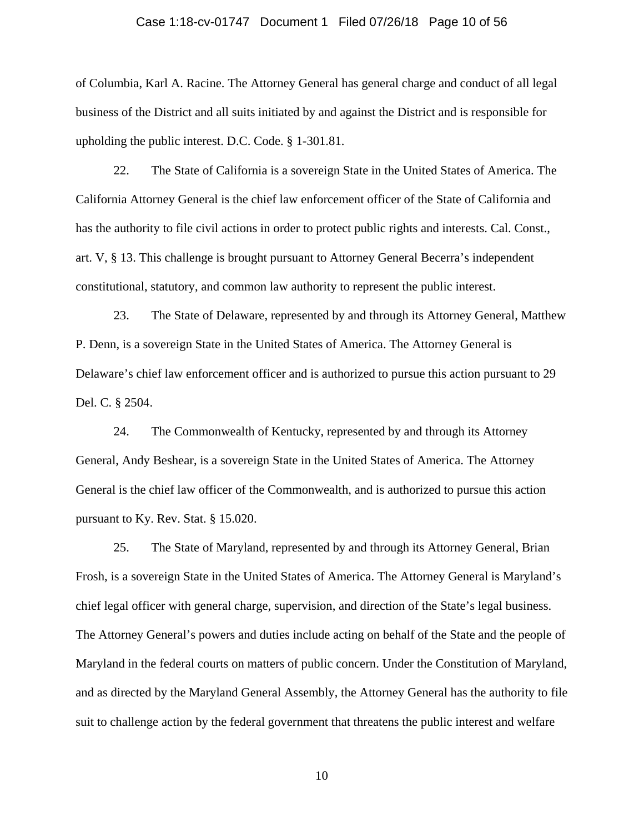## Case 1:18-cv-01747 Document 1 Filed 07/26/18 Page 10 of 56

of Columbia, Karl A. Racine. The Attorney General has general charge and conduct of all legal business of the District and all suits initiated by and against the District and is responsible for upholding the public interest. D.C. Code. § 1-301.81.

22. The State of California is a sovereign State in the United States of America. The California Attorney General is the chief law enforcement officer of the State of California and has the authority to file civil actions in order to protect public rights and interests. Cal. Const., art. V, § 13. This challenge is brought pursuant to Attorney General Becerra's independent constitutional, statutory, and common law authority to represent the public interest.

23. The State of Delaware, represented by and through its Attorney General, Matthew P. Denn, is a sovereign State in the United States of America. The Attorney General is Delaware's chief law enforcement officer and is authorized to pursue this action pursuant to 29 Del. C. § 2504.

24. The Commonwealth of Kentucky, represented by and through its Attorney General, Andy Beshear, is a sovereign State in the United States of America. The Attorney General is the chief law officer of the Commonwealth, and is authorized to pursue this action pursuant to Ky. Rev. Stat. § 15.020.

25. The State of Maryland, represented by and through its Attorney General, Brian Frosh, is a sovereign State in the United States of America. The Attorney General is Maryland's chief legal officer with general charge, supervision, and direction of the State's legal business. The Attorney General's powers and duties include acting on behalf of the State and the people of Maryland in the federal courts on matters of public concern. Under the Constitution of Maryland, and as directed by the Maryland General Assembly, the Attorney General has the authority to file suit to challenge action by the federal government that threatens the public interest and welfare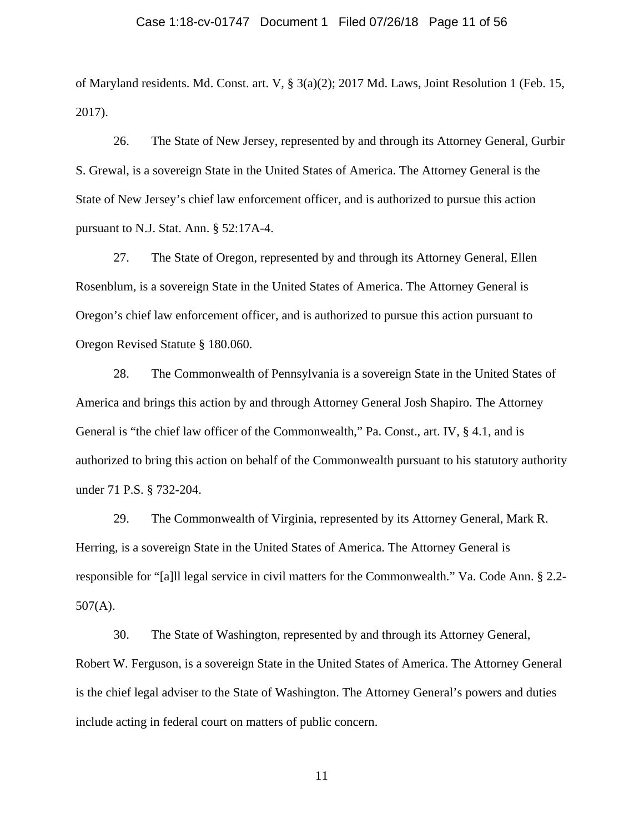## Case 1:18-cv-01747 Document 1 Filed 07/26/18 Page 11 of 56

of Maryland residents. Md. Const. art. V, § 3(a)(2); 2017 Md. Laws, Joint Resolution 1 (Feb. 15, 2017).

26. The State of New Jersey, represented by and through its Attorney General, Gurbir S. Grewal, is a sovereign State in the United States of America. The Attorney General is the State of New Jersey's chief law enforcement officer, and is authorized to pursue this action pursuant to N.J. Stat. Ann. § 52:17A-4.

27. The State of Oregon, represented by and through its Attorney General, Ellen Rosenblum, is a sovereign State in the United States of America. The Attorney General is Oregon's chief law enforcement officer, and is authorized to pursue this action pursuant to Oregon Revised Statute § 180.060.

28. The Commonwealth of Pennsylvania is a sovereign State in the United States of America and brings this action by and through Attorney General Josh Shapiro. The Attorney General is "the chief law officer of the Commonwealth," Pa. Const., art. IV, § 4.1, and is authorized to bring this action on behalf of the Commonwealth pursuant to his statutory authority under 71 P.S. § 732-204.

29. The Commonwealth of Virginia, represented by its Attorney General, Mark R. Herring, is a sovereign State in the United States of America. The Attorney General is responsible for "[a]ll legal service in civil matters for the Commonwealth." Va. Code Ann. § 2.2- 507(A).

30. The State of Washington, represented by and through its Attorney General, Robert W. Ferguson, is a sovereign State in the United States of America. The Attorney General is the chief legal adviser to the State of Washington. The Attorney General's powers and duties include acting in federal court on matters of public concern.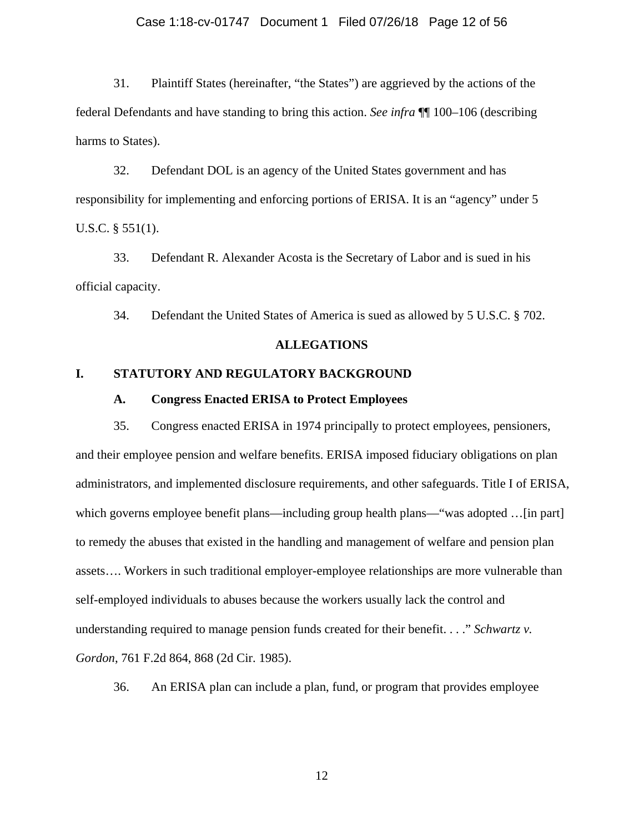## Case 1:18-cv-01747 Document 1 Filed 07/26/18 Page 12 of 56

31. Plaintiff States (hereinafter, "the States") are aggrieved by the actions of the federal Defendants and have standing to bring this action. *See infra* ¶¶ [100–](#page-39-0)[106](#page-42-0) (describing harms to States).

32. Defendant DOL is an agency of the United States government and has responsibility for implementing and enforcing portions of ERISA. It is an "agency" under 5 U.S.C. § 551(1).

33. Defendant R. Alexander Acosta is the Secretary of Labor and is sued in his official capacity.

34. Defendant the United States of America is sued as allowed by 5 U.S.C. § 702.

### **ALLEGATIONS**

## **I. STATUTORY AND REGULATORY BACKGROUND**

## **A. Congress Enacted ERISA to Protect Employees**

35. Congress enacted ERISA in 1974 principally to protect employees, pensioners, and their employee pension and welfare benefits. ERISA imposed fiduciary obligations on plan administrators, and implemented disclosure requirements, and other safeguards. Title I of ERISA, which governs employee benefit plans—including group health plans—"was adopted ... [in part] to remedy the abuses that existed in the handling and management of welfare and pension plan assets…. Workers in such traditional employer-employee relationships are more vulnerable than self-employed individuals to abuses because the workers usually lack the control and understanding required to manage pension funds created for their benefit. . . ." *Schwartz v. Gordon*, 761 F.2d 864, 868 (2d Cir. 1985).

36. An ERISA plan can include a plan, fund, or program that provides employee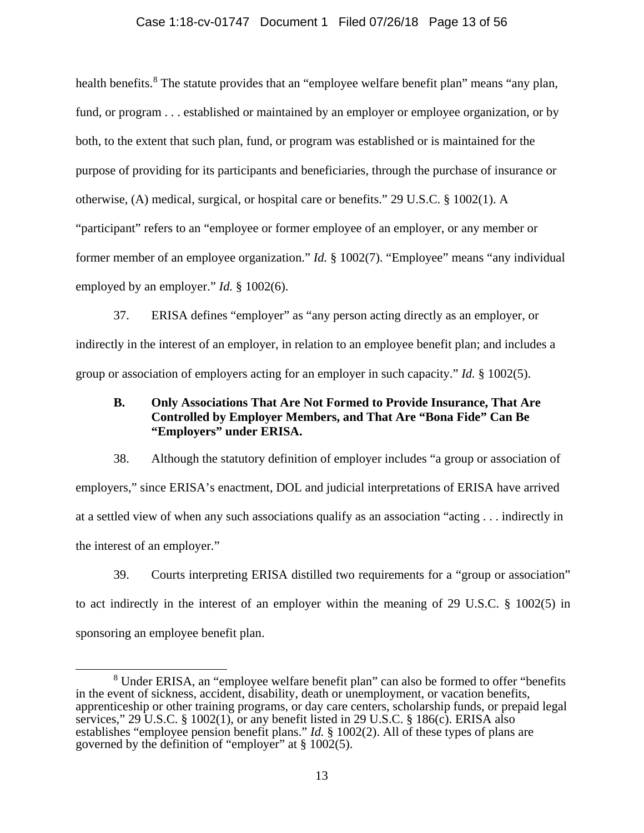## Case 1:18-cv-01747 Document 1 Filed 07/26/18 Page 13 of 56

health benefits.<sup>[8](#page-12-0)</sup> The statute provides that an "employee welfare benefit plan" means "any plan, fund, or program . . . established or maintained by an employer or employee organization, or by both, to the extent that such plan, fund, or program was established or is maintained for the purpose of providing for its participants and beneficiaries, through the purchase of insurance or otherwise, (A) medical, surgical, or hospital care or benefits." 29 U.S.C. § 1002(1). A "participant" refers to an "employee or former employee of an employer, or any member or former member of an employee organization." *Id.* § 1002(7). "Employee" means "any individual employed by an employer." *Id.* § 1002(6).

37. ERISA defines "employer" as "any person acting directly as an employer, or indirectly in the interest of an employer, in relation to an employee benefit plan; and includes a group or association of employers acting for an employer in such capacity." *Id.* § 1002(5).

## **B. Only Associations That Are Not Formed to Provide Insurance, That Are Controlled by Employer Members, and That Are "Bona Fide" Can Be "Employers" under ERISA.**

<span id="page-12-1"></span>38. Although the statutory definition of employer includes "a group or association of employers," since ERISA's enactment, DOL and judicial interpretations of ERISA have arrived at a settled view of when any such associations qualify as an association "acting . . . indirectly in the interest of an employer."

39. Courts interpreting ERISA distilled two requirements for a "group or association" to act indirectly in the interest of an employer within the meaning of 29 U.S.C. § 1002(5) in sponsoring an employee benefit plan.

<span id="page-12-0"></span> <sup>8</sup> Under ERISA, an "employee welfare benefit plan" can also be formed to offer "benefits in the event of sickness, accident, disability, death or unemployment, or vacation benefits, apprenticeship or other training programs, or day care centers, scholarship funds, or prepaid legal services,"  $29 \text{ U.S.C. }$  §  $1002(1)$ , or any benefit listed in 29 U.S.C. § 186(c). ERISA also establishes "employee pension benefit plans." *Id.* § 1002(2). All of these types of plans are governed by the definition of "employer" at  $\S$  1002(5).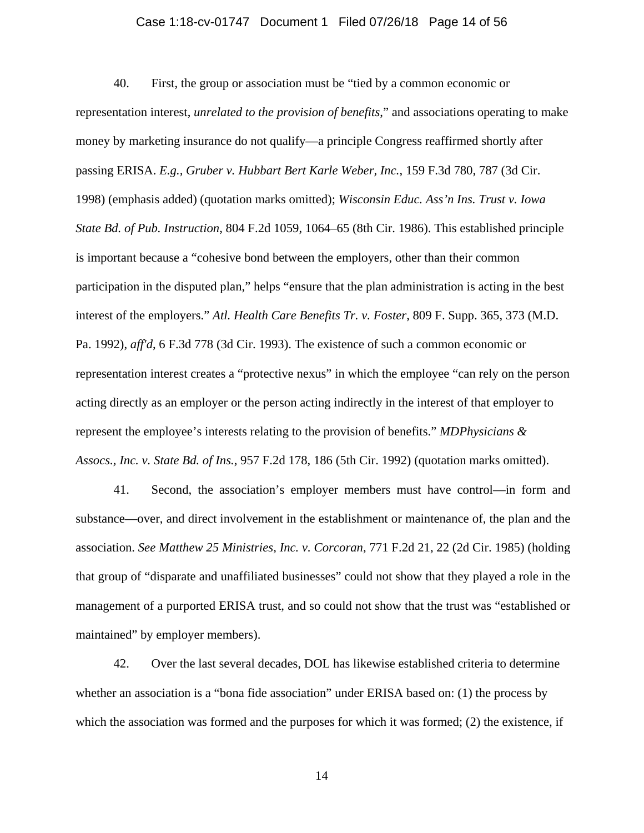## Case 1:18-cv-01747 Document 1 Filed 07/26/18 Page 14 of 56

<span id="page-13-0"></span>40. First, the group or association must be "tied by a common economic or representation interest, *unrelated to the provision of benefits*," and associations operating to make money by marketing insurance do not qualify—a principle Congress reaffirmed shortly after passing ERISA. *E.g., Gruber v. Hubbart Bert Karle Weber, Inc.*, 159 F.3d 780, 787 (3d Cir. 1998) (emphasis added) (quotation marks omitted); *Wisconsin Educ. Ass'n Ins. Trust v. Iowa State Bd. of Pub. Instruction*, 804 F.2d 1059, 1064–65 (8th Cir. 1986). This established principle is important because a "cohesive bond between the employers, other than their common participation in the disputed plan," helps "ensure that the plan administration is acting in the best interest of the employers." *Atl. Health Care Benefits Tr. v. Foster*, 809 F. Supp. 365, 373 (M.D. Pa. 1992), *aff'd*, 6 F.3d 778 (3d Cir. 1993). The existence of such a common economic or representation interest creates a "protective nexus" in which the employee "can rely on the person acting directly as an employer or the person acting indirectly in the interest of that employer to represent the employee's interests relating to the provision of benefits." *MDPhysicians & Assocs., Inc. v. State Bd. of Ins.*, 957 F.2d 178, 186 (5th Cir. 1992) (quotation marks omitted).

41. Second, the association's employer members must have control—in form and substance—over, and direct involvement in the establishment or maintenance of, the plan and the association. *See Matthew 25 Ministries, Inc. v. Corcoran*, 771 F.2d 21, 22 (2d Cir. 1985) (holding that group of "disparate and unaffiliated businesses" could not show that they played a role in the management of a purported ERISA trust, and so could not show that the trust was "established or maintained" by employer members).

42. Over the last several decades, DOL has likewise established criteria to determine whether an association is a "bona fide association" under ERISA based on: (1) the process by which the association was formed and the purposes for which it was formed; (2) the existence, if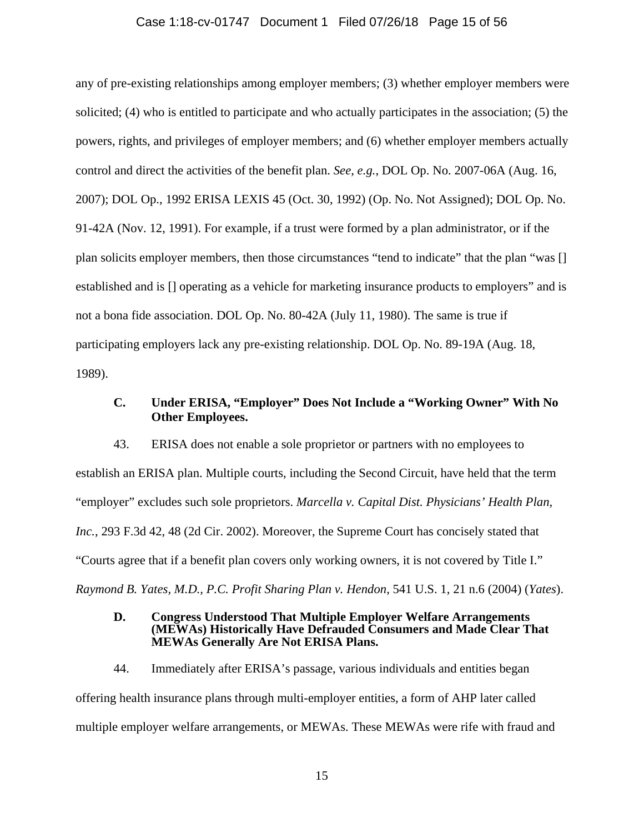## Case 1:18-cv-01747 Document 1 Filed 07/26/18 Page 15 of 56

any of pre-existing relationships among employer members; (3) whether employer members were solicited; (4) who is entitled to participate and who actually participates in the association; (5) the powers, rights, and privileges of employer members; and (6) whether employer members actually control and direct the activities of the benefit plan. *See, e.g.*, DOL Op. No. 2007-06A (Aug. 16, 2007); DOL Op., 1992 ERISA LEXIS 45 (Oct. 30, 1992) (Op. No. Not Assigned); DOL Op. No. 91-42A (Nov. 12, 1991). For example, if a trust were formed by a plan administrator, or if the plan solicits employer members, then those circumstances "tend to indicate" that the plan "was [] established and is [] operating as a vehicle for marketing insurance products to employers" and is not a bona fide association. DOL Op. No. 80-42A (July 11, 1980). The same is true if participating employers lack any pre-existing relationship. DOL Op. No. 89-19A (Aug. 18, 1989).

# **C. Under ERISA, "Employer" Does Not Include a "Working Owner" With No Other Employees.**

43. ERISA does not enable a sole proprietor or partners with no employees to establish an ERISA plan. Multiple courts, including the Second Circuit, have held that the term "employer" excludes such sole proprietors. *Marcella v. Capital Dist. Physicians' Health Plan, Inc.*, 293 F.3d 42, 48 (2d Cir. 2002). Moreover, the Supreme Court has concisely stated that "Courts agree that if a benefit plan covers only working owners, it is not covered by Title I." *Raymond B. Yates, M.D., P.C. Profit Sharing Plan v. Hendon*, 541 U.S. 1, 21 n.6 (2004) (*Yates*).

## **D. Congress Understood That Multiple Employer Welfare Arrangements (MEWAs) Historically Have Defrauded Consumers and Made Clear That MEWAs Generally Are Not ERISA Plans.**

44. Immediately after ERISA's passage, various individuals and entities began offering health insurance plans through multi-employer entities, a form of AHP later called multiple employer welfare arrangements, or MEWAs. These MEWAs were rife with fraud and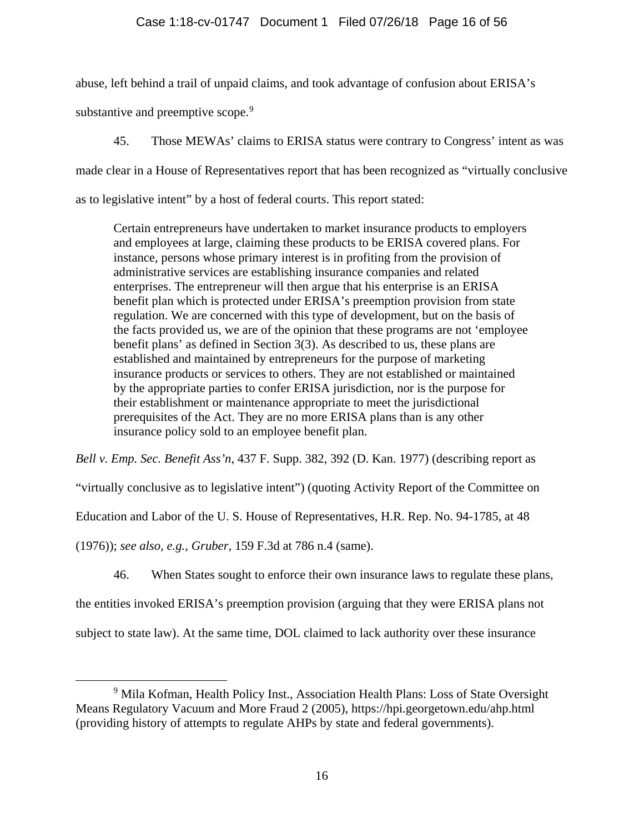# <span id="page-15-1"></span>Case 1:18-cv-01747 Document 1 Filed 07/26/18 Page 16 of 56

abuse, left behind a trail of unpaid claims, and took advantage of confusion about ERISA's

substantive and preemptive scope.<sup>[9](#page-15-0)</sup>

45. Those MEWAs' claims to ERISA status were contrary to Congress' intent as was made clear in a House of Representatives report that has been recognized as "virtually conclusive as to legislative intent" by a host of federal courts. This report stated:

Certain entrepreneurs have undertaken to market insurance products to employers and employees at large, claiming these products to be ERISA covered plans. For instance, persons whose primary interest is in profiting from the provision of administrative services are establishing insurance companies and related enterprises. The entrepreneur will then argue that his enterprise is an ERISA benefit plan which is protected under ERISA's preemption provision from state regulation. We are concerned with this type of development, but on the basis of the facts provided us, we are of the opinion that these programs are not 'employee benefit plans' as defined in Section 3(3). As described to us, these plans are established and maintained by entrepreneurs for the purpose of marketing insurance products or services to others. They are not established or maintained by the appropriate parties to confer ERISA jurisdiction, nor is the purpose for their establishment or maintenance appropriate to meet the jurisdictional prerequisites of the Act. They are no more ERISA plans than is any other insurance policy sold to an employee benefit plan.

*Bell v. Emp. Sec. Benefit Ass'n*, 437 F. Supp. 382, 392 (D. Kan. 1977) (describing report as

"virtually conclusive as to legislative intent") (quoting Activity Report of the Committee on

Education and Labor of the U. S. House of Representatives, H.R. Rep. No. 94-1785, at 48

<span id="page-15-2"></span>(1976)); *see also, e.g.*, *Gruber*, 159 F.3d at 786 n.4 (same).

46. When States sought to enforce their own insurance laws to regulate these plans,

the entities invoked ERISA's preemption provision (arguing that they were ERISA plans not

subject to state law). At the same time, DOL claimed to lack authority over these insurance

<span id="page-15-0"></span><sup>&</sup>lt;sup>9</sup> Mila Kofman, Health Policy Inst., Association Health Plans: Loss of State Oversight Means Regulatory Vacuum and More Fraud 2 (2005), https://hpi.georgetown.edu/ahp.html (providing history of attempts to regulate AHPs by state and federal governments).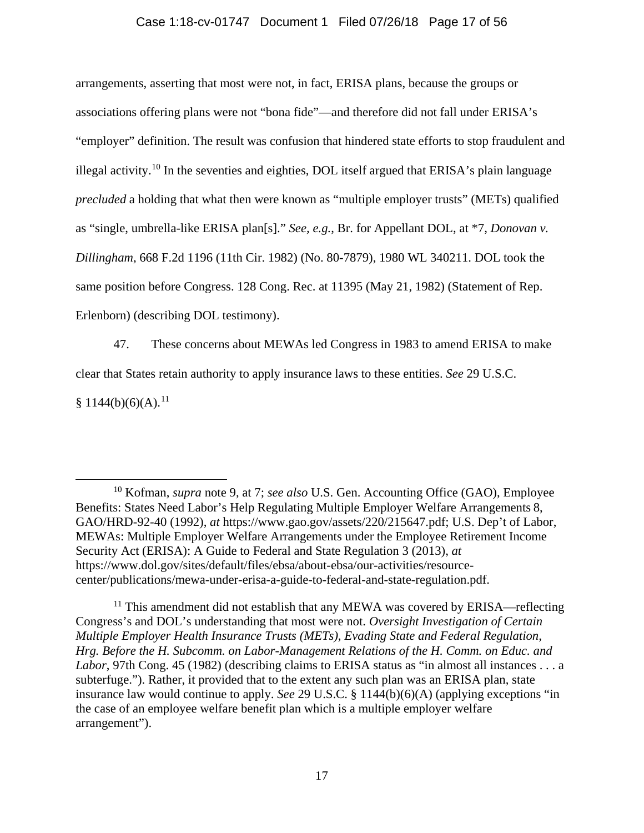## Case 1:18-cv-01747 Document 1 Filed 07/26/18 Page 17 of 56

<span id="page-16-2"></span>arrangements, asserting that most were not, in fact, ERISA plans, because the groups or associations offering plans were not "bona fide"—and therefore did not fall under ERISA's "employer" definition. The result was confusion that hindered state efforts to stop fraudulent and illegal activity.<sup>[10](#page-16-0)</sup> In the seventies and eighties, DOL itself argued that ERISA's plain language *precluded* a holding that what then were known as "multiple employer trusts" (METs) qualified as "single, umbrella-like ERISA plan[s]." *See, e.g.*, Br. for Appellant DOL, at \*7, *Donovan v. Dillingham*, 668 F.2d 1196 (11th Cir. 1982) (No. 80-7879), 1980 WL 340211. DOL took the same position before Congress. 128 Cong. Rec. at 11395 (May 21, 1982) (Statement of Rep. Erlenborn) (describing DOL testimony).

47. These concerns about MEWAs led Congress in 1983 to amend ERISA to make clear that States retain authority to apply insurance laws to these entities. *See* 29 U.S.C.

 $§ 1144(b)(6)(A).<sup>11</sup>$  $§ 1144(b)(6)(A).<sup>11</sup>$  $§ 1144(b)(6)(A).<sup>11</sup>$ 

<span id="page-16-0"></span> <sup>10</sup> Kofman, *supra* note [9,](#page-15-1) at 7; *see also* U.S. Gen. Accounting Office (GAO), Employee Benefits: States Need Labor's Help Regulating Multiple Employer Welfare Arrangements 8, GAO/HRD-92-40 (1992), *at* https://www.gao.gov/assets/220/215647.pdf; U.S. Dep't of Labor, MEWAs: Multiple Employer Welfare Arrangements under the Employee Retirement Income Security Act (ERISA): A Guide to Federal and State Regulation 3 (2013), *at* https://www.dol.gov/sites/default/files/ebsa/about-ebsa/our-activities/resourcecenter/publications/mewa-under-erisa-a-guide-to-federal-and-state-regulation.pdf.

<span id="page-16-1"></span> $11$  This amendment did not establish that any MEWA was covered by ERISA—reflecting Congress's and DOL's understanding that most were not. *Oversight Investigation of Certain Multiple Employer Health Insurance Trusts (METs), Evading State and Federal Regulation, Hrg. Before the H. Subcomm. on Labor-Management Relations of the H. Comm. on Educ. and Labor*, 97th Cong. 45 (1982) (describing claims to ERISA status as "in almost all instances . . . a subterfuge."). Rather, it provided that to the extent any such plan was an ERISA plan, state insurance law would continue to apply. *See* 29 U.S.C. § 1144(b)(6)(A) (applying exceptions "in the case of an employee welfare benefit plan which is a multiple employer welfare arrangement").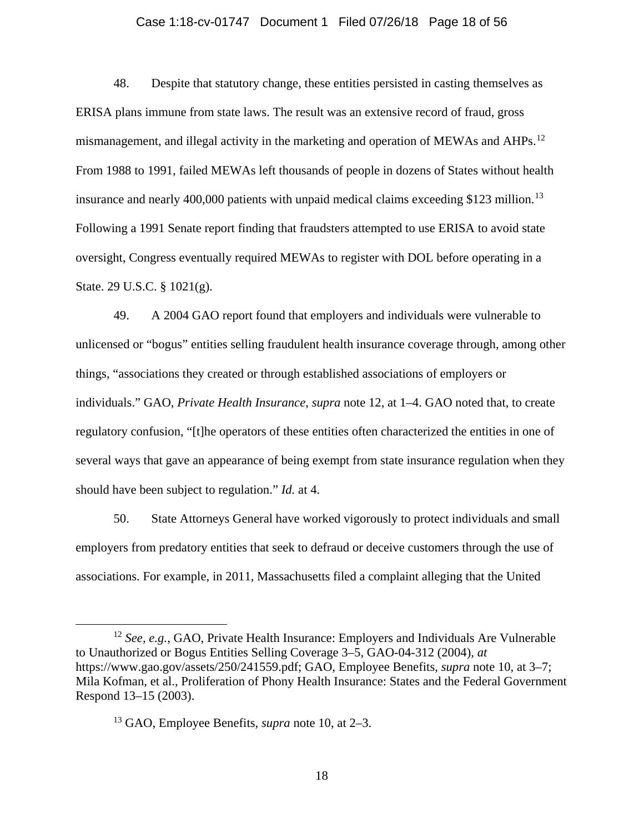## <span id="page-17-0"></span>Case 1:18-cv-01747 Document 1 Filed 07/26/18 Page 18 of 56

48. Despite that statutory change, these entities persisted in casting themselves as ERISA plans immune from state laws. The result was an extensive record of fraud, gross mismanagement, and illegal activity in the marketing and operation of MEWAs and AHPs.<sup>[12](#page-17-1)</sup> From 1988 to 1991, failed MEWAs left thousands of people in dozens of States without health insurance and nearly 400,000 patients with unpaid medical claims exceeding \$123 million.<sup>[13](#page-17-2)</sup> Following a 1991 Senate report finding that fraudsters attempted to use ERISA to avoid state oversight, Congress eventually required MEWAs to register with DOL before operating in a State. 29 U.S.C. § 1021(g).

49. A 2004 GAO report found that employers and individuals were vulnerable to unlicensed or "bogus" entities selling fraudulent health insurance coverage through, among other things, "associations they created or through established associations of employers or individuals." GAO, *Private Health Insurance*, *supra* note [12,](#page-17-0) at 1–4. GAO noted that, to create regulatory confusion, "[t]he operators of these entities often characterized the entities in one of several ways that gave an appearance of being exempt from state insurance regulation when they should have been subject to regulation." *Id.* at 4.

50. State Attorneys General have worked vigorously to protect individuals and small employers from predatory entities that seek to defraud or deceive customers through the use of associations. For example, in 2011, Massachusetts filed a complaint alleging that the United

<span id="page-17-1"></span> <sup>12</sup> *See, e.g.*, GAO, Private Health Insurance: Employers and Individuals Are Vulnerable to Unauthorized or Bogus Entities Selling Coverage 3–5, GAO-04-312 (2004), *at* https://www.gao.gov/assets/250/241559.pdf; GAO, Employee Benefits, *supra* note [10,](#page-16-2) at 3–7; Mila Kofman, et al., Proliferation of Phony Health Insurance: States and the Federal Government Respond 13–15 (2003).

<span id="page-17-2"></span><sup>13</sup> GAO, Employee Benefits, *supra* note [10,](#page-16-2) at 2–3.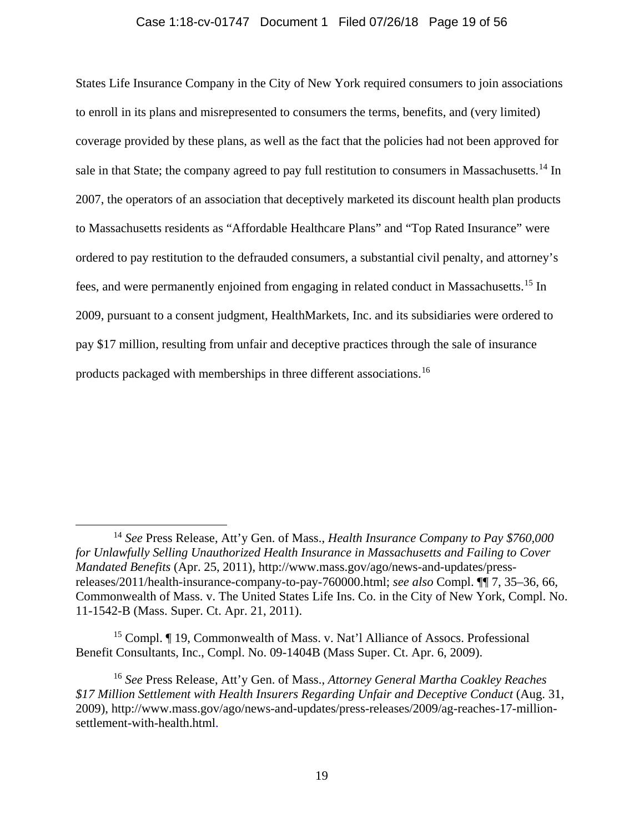## Case 1:18-cv-01747 Document 1 Filed 07/26/18 Page 19 of 56

States Life Insurance Company in the City of New York required consumers to join associations to enroll in its plans and misrepresented to consumers the terms, benefits, and (very limited) coverage provided by these plans, as well as the fact that the policies had not been approved for sale in that State; the company agreed to pay full restitution to consumers in Massachusetts.<sup>[14](#page-18-0)</sup> In 2007, the operators of an association that deceptively marketed its discount health plan products to Massachusetts residents as "Affordable Healthcare Plans" and "Top Rated Insurance" were ordered to pay restitution to the defrauded consumers, a substantial civil penalty, and attorney's fees, and were permanently enjoined from engaging in related conduct in Massachusetts.[15](#page-18-1) In 2009, pursuant to a consent judgment, HealthMarkets, Inc. and its subsidiaries were ordered to pay \$17 million, resulting from unfair and deceptive practices through the sale of insurance products packaged with memberships in three different associations.[16](#page-18-2)

<span id="page-18-1"></span><sup>15</sup> Compl. ¶ 19, Commonwealth of Mass. v. Nat'l Alliance of Assocs. Professional Benefit Consultants, Inc., Compl. No. 09-1404B (Mass Super. Ct. Apr. 6, 2009).

<span id="page-18-2"></span><sup>16</sup> *See* Press Release, Att'y Gen. of Mass., *Attorney General Martha Coakley Reaches \$17 Million Settlement with Health Insurers Regarding Unfair and Deceptive Conduct* (Aug. 31, 2009), http://www.mass.gov/ago/news-and-updates/press-releases/2009/ag-reaches-17-millionsettlement-with-health.html.

<span id="page-18-0"></span> <sup>14</sup> *See* Press Release, Att'y Gen. of Mass., *Health Insurance Company to Pay \$760,000 for Unlawfully Selling Unauthorized Health Insurance in Massachusetts and Failing to Cover Mandated Benefits* (Apr. 25, 2011), http://www.mass.gov/ago/news-and-updates/pressreleases/2011/health-insurance-company-to-pay-760000.html; *see also* Compl. ¶¶ 7, 35–36, 66, Commonwealth of Mass. v. The United States Life Ins. Co. in the City of New York, Compl. No. 11-1542-B (Mass. Super. Ct. Apr. 21, 2011).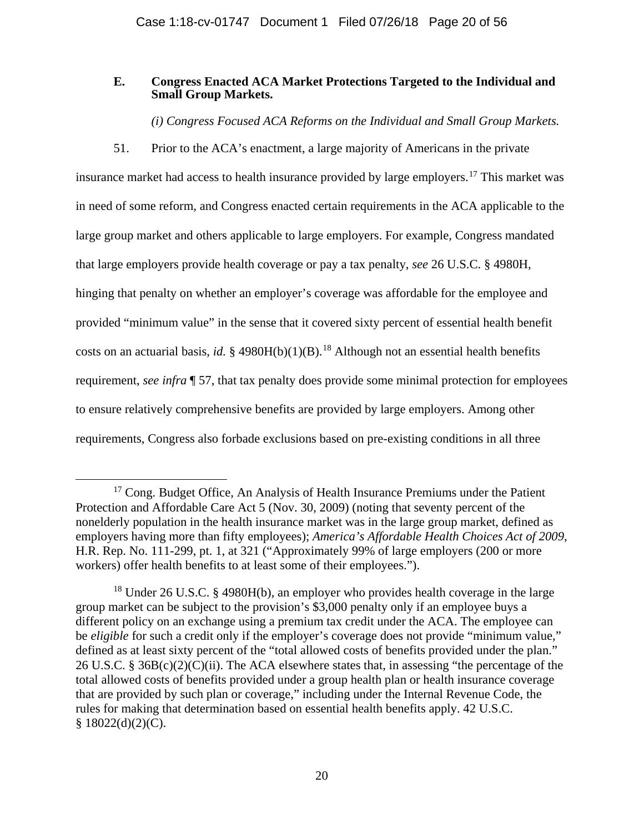## **E. Congress Enacted ACA Market Protections Targeted to the Individual and Small Group Markets.**

*(i) Congress Focused ACA Reforms on the Individual and Small Group Markets.*

51. Prior to the ACA's enactment, a large majority of Americans in the private

<span id="page-19-2"></span>insurance market had access to health insurance provided by large employers. [17](#page-19-0) This market was in need of some reform, and Congress enacted certain requirements in the ACA applicable to the large group market and others applicable to large employers. For example, Congress mandated that large employers provide health coverage or pay a tax penalty, *see* 26 U.S.C. § 4980H, hinging that penalty on whether an employer's coverage was affordable for the employee and provided "minimum value" in the sense that it covered sixty percent of essential health benefit costs on an actuarial basis, *id.*  $\S$  4980H(b)(1)(B).<sup>[18](#page-19-1)</sup> Although not an essential health benefits requirement, *see infra* ¶ [57,](#page-22-0) that tax penalty does provide some minimal protection for employees to ensure relatively comprehensive benefits are provided by large employers. Among other requirements, Congress also forbade exclusions based on pre-existing conditions in all three

<span id="page-19-0"></span><sup>&</sup>lt;sup>17</sup> Cong. Budget Office, An Analysis of Health Insurance Premiums under the Patient Protection and Affordable Care Act 5 (Nov. 30, 2009) (noting that seventy percent of the nonelderly population in the health insurance market was in the large group market, defined as employers having more than fifty employees); *America's Affordable Health Choices Act of 2009*, H.R. Rep. No. 111-299, pt. 1, at 321 ("Approximately 99% of large employers (200 or more workers) offer health benefits to at least some of their employees.").

<span id="page-19-1"></span><sup>&</sup>lt;sup>18</sup> Under 26 U.S.C. § 4980H(b), an employer who provides health coverage in the large group market can be subject to the provision's \$3,000 penalty only if an employee buys a different policy on an exchange using a premium tax credit under the ACA. The employee can be *eligible* for such a credit only if the employer's coverage does not provide "minimum value," defined as at least sixty percent of the "total allowed costs of benefits provided under the plan." 26 U.S.C. § 36B(c)(2)(C)(ii). The ACA elsewhere states that, in assessing "the percentage of the total allowed costs of benefits provided under a group health plan or health insurance coverage that are provided by such plan or coverage," including under the Internal Revenue Code, the rules for making that determination based on essential health benefits apply. 42 U.S.C.  $§ 18022(d)(2)(C).$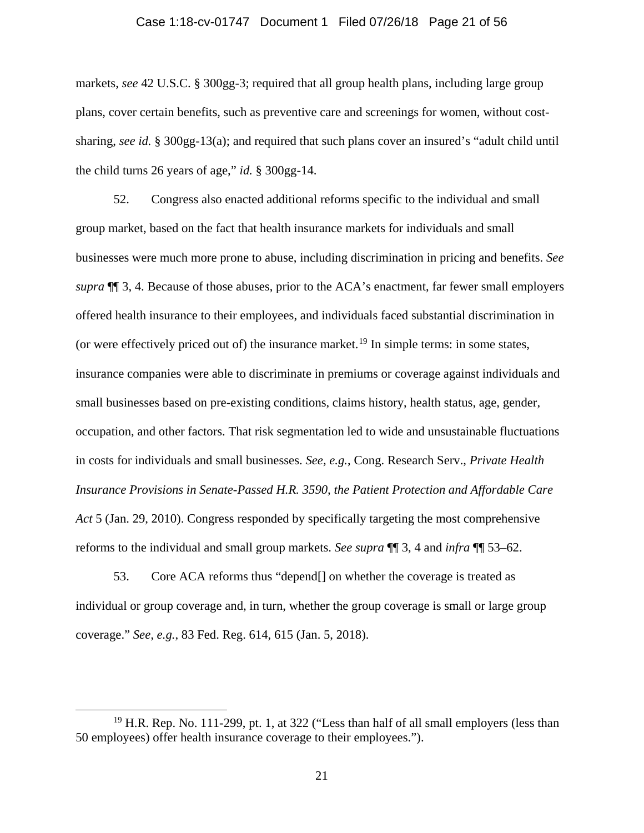### Case 1:18-cv-01747 Document 1 Filed 07/26/18 Page 21 of 56

markets, *see* 42 U.S.C. § 300gg-3; required that all group health plans, including large group plans, cover certain benefits, such as preventive care and screenings for women, without costsharing, *see id.* § 300gg-13(a); and required that such plans cover an insured's "adult child until the child turns 26 years of age," *id.* § 300gg-14.

<span id="page-20-1"></span>52. Congress also enacted additional reforms specific to the individual and small group market, based on the fact that health insurance markets for individuals and small businesses were much more prone to abuse, including discrimination in pricing and benefits. *See supra* ¶¶ [3,](#page-2-1) 4. Because of those abuses, prior to the ACA's enactment, far fewer small employers offered health insurance to their employees, and individuals faced substantial discrimination in (or were effectively priced out of) the insurance market.<sup>[19](#page-20-0)</sup> In simple terms: in some states, insurance companies were able to discriminate in premiums or coverage against individuals and small businesses based on pre-existing conditions, claims history, health status, age, gender, occupation, and other factors. That risk segmentation led to wide and unsustainable fluctuations in costs for individuals and small businesses. *See, e.g.*, Cong. Research Serv., *Private Health Insurance Provisions in Senate-Passed H.R. 3590, the Patient Protection and Affordable Care Act* 5 (Jan. 29, 2010). Congress responded by specifically targeting the most comprehensive reforms to the individual and small group markets. *See supra* ¶¶ 3, 4 and *infra* ¶¶ 53–62.

53. Core ACA reforms thus "depend[] on whether the coverage is treated as individual or group coverage and, in turn, whether the group coverage is small or large group coverage." *See, e.g.*, 83 Fed. Reg. 614, 615 (Jan. 5, 2018).

<span id="page-20-0"></span><sup>&</sup>lt;sup>19</sup> H.R. Rep. No. 111-299, pt. 1, at 322 ("Less than half of all small employers (less than 50 employees) offer health insurance coverage to their employees.").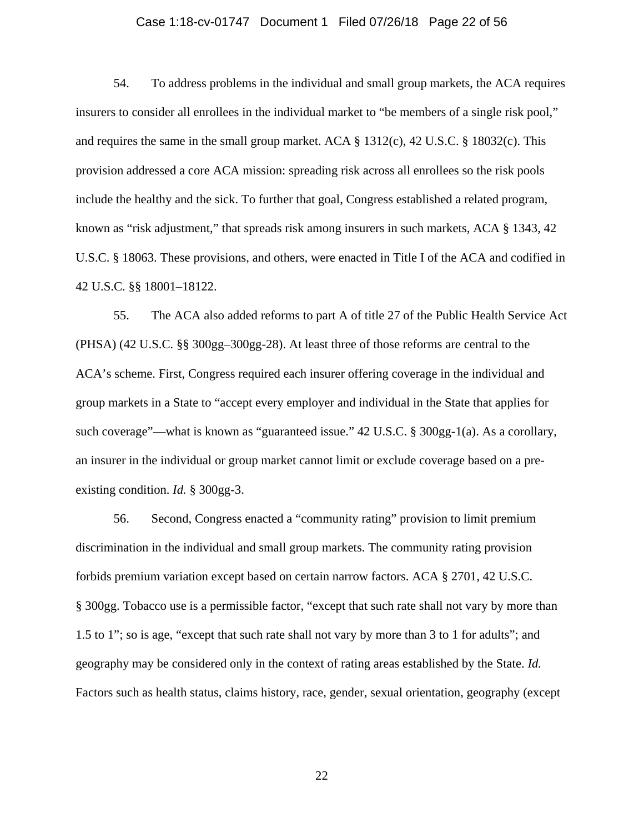## Case 1:18-cv-01747 Document 1 Filed 07/26/18 Page 22 of 56

54. To address problems in the individual and small group markets, the ACA requires insurers to consider all enrollees in the individual market to "be members of a single risk pool," and requires the same in the small group market. ACA § 1312(c), 42 U.S.C. § 18032(c). This provision addressed a core ACA mission: spreading risk across all enrollees so the risk pools include the healthy and the sick. To further that goal, Congress established a related program, known as "risk adjustment," that spreads risk among insurers in such markets, ACA § 1343, 42 U.S.C. § 18063. These provisions, and others, were enacted in Title I of the ACA and codified in 42 U.S.C. §§ 18001–18122.

55. The ACA also added reforms to part A of title 27 of the Public Health Service Act (PHSA) (42 U.S.C. §§ 300gg–300gg-28). At least three of those reforms are central to the ACA's scheme. First, Congress required each insurer offering coverage in the individual and group markets in a State to "accept every employer and individual in the State that applies for such coverage"—what is known as "guaranteed issue." 42 U.S.C. § 300gg-1(a). As a corollary, an insurer in the individual or group market cannot limit or exclude coverage based on a preexisting condition. *Id.* § 300gg-3.

56. Second, Congress enacted a "community rating" provision to limit premium discrimination in the individual and small group markets. The community rating provision forbids premium variation except based on certain narrow factors. ACA § 2701, 42 U.S.C. § 300gg. Tobacco use is a permissible factor, "except that such rate shall not vary by more than 1.5 to 1"; so is age, "except that such rate shall not vary by more than 3 to 1 for adults"; and geography may be considered only in the context of rating areas established by the State. *Id.* Factors such as health status, claims history, race, gender, sexual orientation, geography (except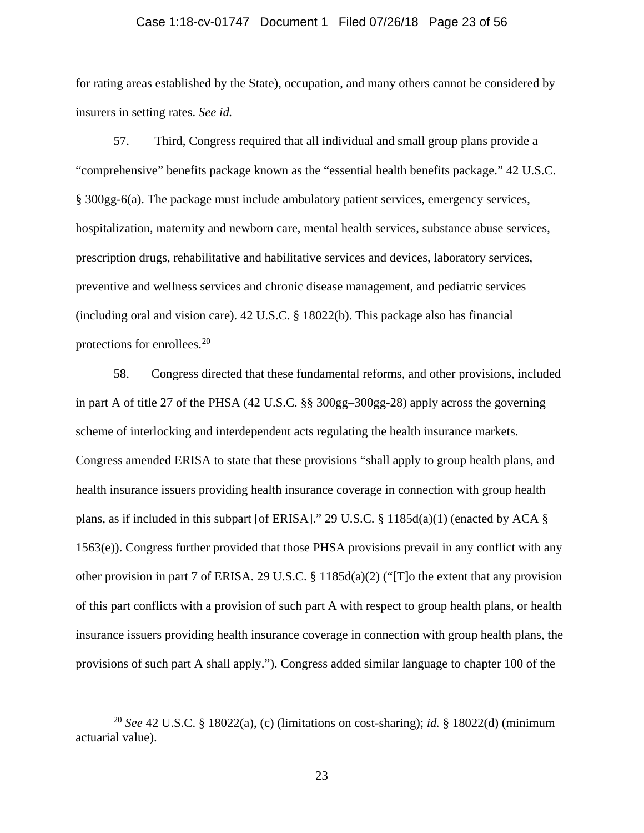#### Case 1:18-cv-01747 Document 1 Filed 07/26/18 Page 23 of 56

for rating areas established by the State), occupation, and many others cannot be considered by insurers in setting rates. *See id.*

<span id="page-22-0"></span>57. Third, Congress required that all individual and small group plans provide a "comprehensive" benefits package known as the "essential health benefits package." 42 U.S.C. § 300gg-6(a). The package must include ambulatory patient services, emergency services, hospitalization, maternity and newborn care, mental health services, substance abuse services, prescription drugs, rehabilitative and habilitative services and devices, laboratory services, preventive and wellness services and chronic disease management, and pediatric services (including oral and vision care). 42 U.S.C. § 18022(b). This package also has financial protections for enrollees.<sup>[20](#page-22-1)</sup>

<span id="page-22-2"></span>58. Congress directed that these fundamental reforms, and other provisions, included in part A of title 27 of the PHSA (42 U.S.C. §§ 300gg–300gg-28) apply across the governing scheme of interlocking and interdependent acts regulating the health insurance markets. Congress amended ERISA to state that these provisions "shall apply to group health plans, and health insurance issuers providing health insurance coverage in connection with group health plans, as if included in this subpart [of ERISA]." 29 U.S.C. § 1185d(a)(1) (enacted by ACA § 1563(e)). Congress further provided that those PHSA provisions prevail in any conflict with any other provision in part 7 of ERISA. 29 U.S.C. § 1185d(a)(2) ("[T]o the extent that any provision of this part conflicts with a provision of such part A with respect to group health plans, or health insurance issuers providing health insurance coverage in connection with group health plans, the provisions of such part A shall apply."). Congress added similar language to chapter 100 of the

<span id="page-22-1"></span> <sup>20</sup> *See* 42 U.S.C. § 18022(a), (c) (limitations on cost-sharing); *id.* § 18022(d) (minimum actuarial value).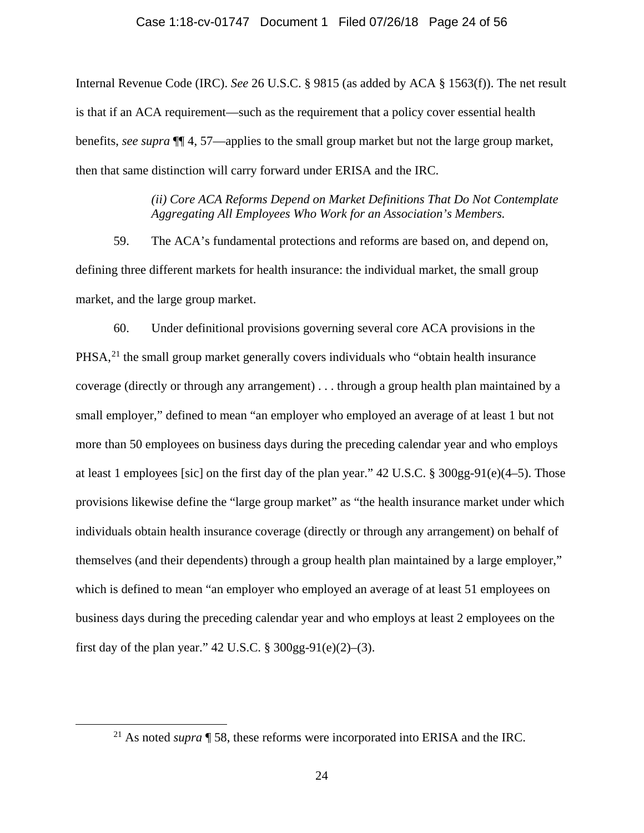### Case 1:18-cv-01747 Document 1 Filed 07/26/18 Page 24 of 56

Internal Revenue Code (IRC). *See* 26 U.S.C. § 9815 (as added by ACA § 1563(f)). The net result is that if an ACA requirement—such as the requirement that a policy cover essential health benefits, *see supra* ¶¶ [4,](#page-2-2) [57—](#page-22-0)applies to the small group market but not the large group market, then that same distinction will carry forward under ERISA and the IRC.

> *(ii) Core ACA Reforms Depend on Market Definitions That Do Not Contemplate Aggregating All Employees Who Work for an Association's Members.*

<span id="page-23-1"></span>59. The ACA's fundamental protections and reforms are based on, and depend on, defining three different markets for health insurance: the individual market, the small group market, and the large group market.

60. Under definitional provisions governing several core ACA provisions in the  $PHSA<sub>1</sub><sup>21</sup>$  $PHSA<sub>1</sub><sup>21</sup>$  $PHSA<sub>1</sub><sup>21</sup>$  the small group market generally covers individuals who "obtain health insurance coverage (directly or through any arrangement) . . . through a group health plan maintained by a small employer," defined to mean "an employer who employed an average of at least 1 but not more than 50 employees on business days during the preceding calendar year and who employs at least 1 employees [sic] on the first day of the plan year." 42 U.S.C. § 300gg-91(e)(4–5). Those provisions likewise define the "large group market" as "the health insurance market under which individuals obtain health insurance coverage (directly or through any arrangement) on behalf of themselves (and their dependents) through a group health plan maintained by a large employer," which is defined to mean "an employer who employed an average of at least 51 employees on business days during the preceding calendar year and who employs at least 2 employees on the first day of the plan year." 42 U.S.C.  $\S 300gg-91(e)(2)$ –(3).

<span id="page-23-0"></span> <sup>21</sup> As noted *supra* ¶ [58,](#page-22-2) these reforms were incorporated into ERISA and the IRC.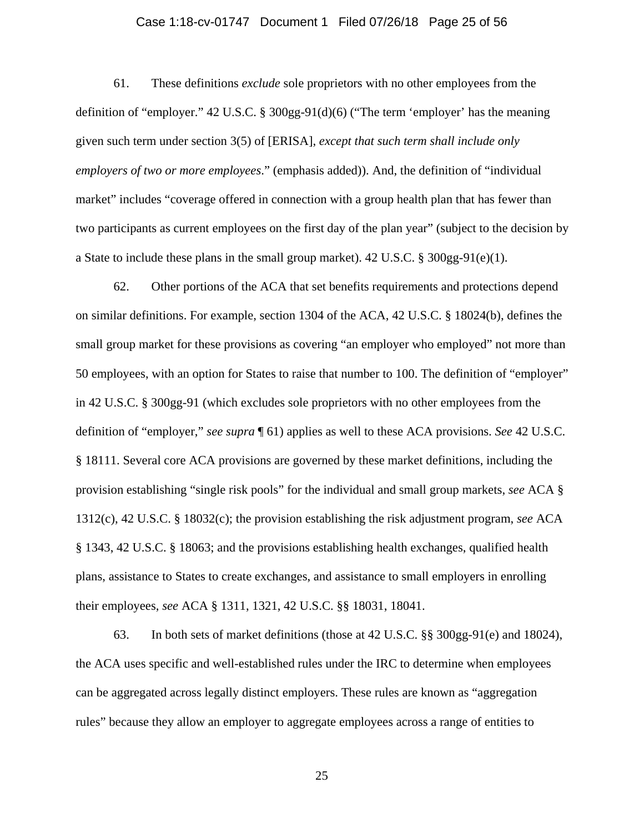## Case 1:18-cv-01747 Document 1 Filed 07/26/18 Page 25 of 56

<span id="page-24-0"></span>61. These definitions *exclude* sole proprietors with no other employees from the definition of "employer." 42 U.S.C. § 300gg-91(d)(6) ("The term 'employer' has the meaning given such term under section 3(5) of [ERISA], *except that such term shall include only employers of two or more employees*." (emphasis added)). And, the definition of "individual market" includes "coverage offered in connection with a group health plan that has fewer than two participants as current employees on the first day of the plan year" (subject to the decision by a State to include these plans in the small group market).  $42 \text{ U.S.C.}$  §  $300 \text{gg-}91 \text{ (e)}(1)$ .

<span id="page-24-1"></span>62. Other portions of the ACA that set benefits requirements and protections depend on similar definitions. For example, section 1304 of the ACA, 42 U.S.C. § 18024(b), defines the small group market for these provisions as covering "an employer who employed" not more than 50 employees, with an option for States to raise that number to 100. The definition of "employer" in 42 U.S.C. § 300gg-91 (which excludes sole proprietors with no other employees from the definition of "employer," *see supra* ¶ [61\)](#page-24-0) applies as well to these ACA provisions. *See* 42 U.S.C. § 18111. Several core ACA provisions are governed by these market definitions, including the provision establishing "single risk pools" for the individual and small group markets, *see* ACA § 1312(c), 42 U.S.C. § 18032(c); the provision establishing the risk adjustment program, *see* ACA § 1343, 42 U.S.C. § 18063; and the provisions establishing health exchanges, qualified health plans, assistance to States to create exchanges, and assistance to small employers in enrolling their employees, *see* ACA § 1311, 1321, 42 U.S.C. §§ 18031, 18041.

<span id="page-24-2"></span>63. In both sets of market definitions (those at 42 U.S.C. §§ 300gg-91(e) and 18024), the ACA uses specific and well-established rules under the IRC to determine when employees can be aggregated across legally distinct employers. These rules are known as "aggregation rules" because they allow an employer to aggregate employees across a range of entities to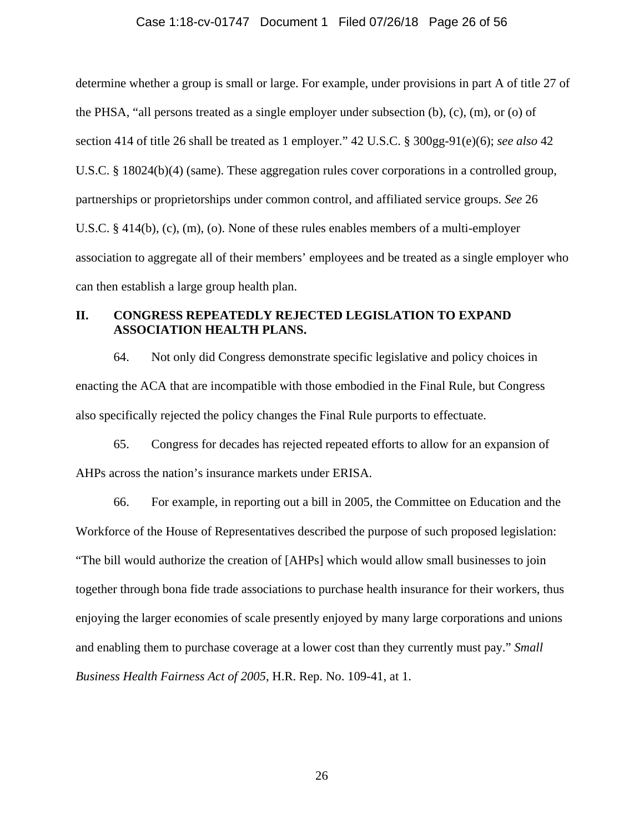#### Case 1:18-cv-01747 Document 1 Filed 07/26/18 Page 26 of 56

determine whether a group is small or large. For example, under provisions in part A of title 27 of the PHSA, "all persons treated as a single employer under subsection  $(b)$ ,  $(c)$ ,  $(m)$ , or  $(o)$  of section 414 of title 26 shall be treated as 1 employer." 42 U.S.C. § 300gg-91(e)(6); *see also* 42 U.S.C. § 18024(b)(4) (same). These aggregation rules cover corporations in a controlled group, partnerships or proprietorships under common control, and affiliated service groups. *See* 26 U.S.C. § 414(b), (c), (m), (o). None of these rules enables members of a multi-employer association to aggregate all of their members' employees and be treated as a single employer who can then establish a large group health plan.

# **II. CONGRESS REPEATEDLY REJECTED LEGISLATION TO EXPAND ASSOCIATION HEALTH PLANS.**

64. Not only did Congress demonstrate specific legislative and policy choices in enacting the ACA that are incompatible with those embodied in the Final Rule, but Congress also specifically rejected the policy changes the Final Rule purports to effectuate.

65. Congress for decades has rejected repeated efforts to allow for an expansion of AHPs across the nation's insurance markets under ERISA.

66. For example, in reporting out a bill in 2005, the Committee on Education and the Workforce of the House of Representatives described the purpose of such proposed legislation: "The bill would authorize the creation of [AHPs] which would allow small businesses to join together through bona fide trade associations to purchase health insurance for their workers, thus enjoying the larger economies of scale presently enjoyed by many large corporations and unions and enabling them to purchase coverage at a lower cost than they currently must pay." *Small Business Health Fairness Act of 2005*, H.R. Rep. No. 109-41, at 1.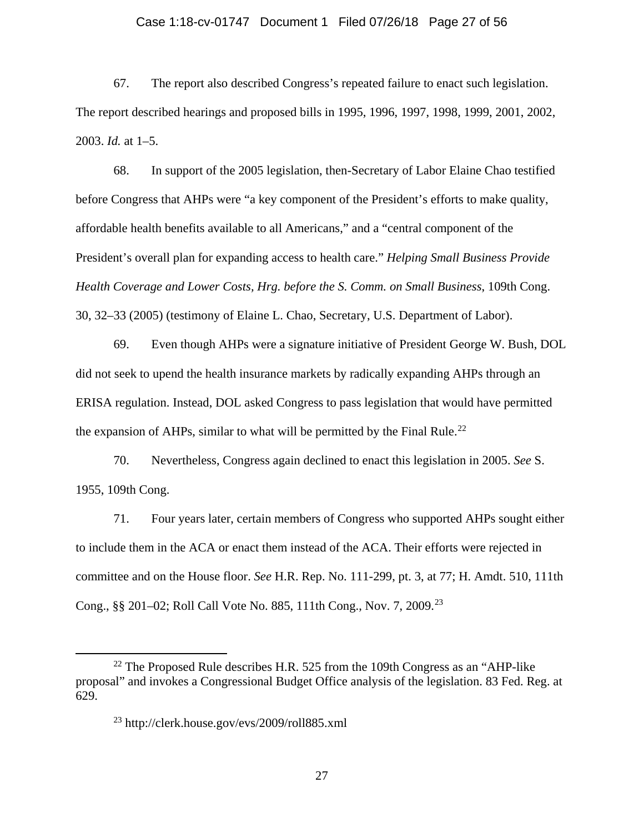## Case 1:18-cv-01747 Document 1 Filed 07/26/18 Page 27 of 56

67. The report also described Congress's repeated failure to enact such legislation. The report described hearings and proposed bills in 1995, 1996, 1997, 1998, 1999, 2001, 2002, 2003. *Id.* at 1–5.

68. In support of the 2005 legislation, then-Secretary of Labor Elaine Chao testified before Congress that AHPs were "a key component of the President's efforts to make quality, affordable health benefits available to all Americans," and a "central component of the President's overall plan for expanding access to health care." *Helping Small Business Provide Health Coverage and Lower Costs, Hrg. before the S. Comm. on Small Business*, 109th Cong. 30, 32–33 (2005) (testimony of Elaine L. Chao, Secretary, U.S. Department of Labor).

69. Even though AHPs were a signature initiative of President George W. Bush, DOL did not seek to upend the health insurance markets by radically expanding AHPs through an ERISA regulation. Instead, DOL asked Congress to pass legislation that would have permitted the expansion of AHPs, similar to what will be permitted by the Final Rule.<sup>[22](#page-26-0)</sup>

70. Nevertheless, Congress again declined to enact this legislation in 2005. *See* S. 1955, 109th Cong.

71. Four years later, certain members of Congress who supported AHPs sought either to include them in the ACA or enact them instead of the ACA. Their efforts were rejected in committee and on the House floor. *See* H.R. Rep. No. 111-299, pt. 3, at 77; H. Amdt. 510, 111th Cong., §§ 201–02; Roll Call Vote No. 885, 111th Cong., Nov. 7, 2009. [23](#page-26-1)

<span id="page-26-1"></span><span id="page-26-0"></span> $22$  The Proposed Rule describes H.R. 525 from the 109th Congress as an "AHP-like" proposal" and invokes a Congressional Budget Office analysis of the legislation. 83 Fed. Reg. at 629.

<sup>23</sup> http://clerk.house.gov/evs/2009/roll885.xml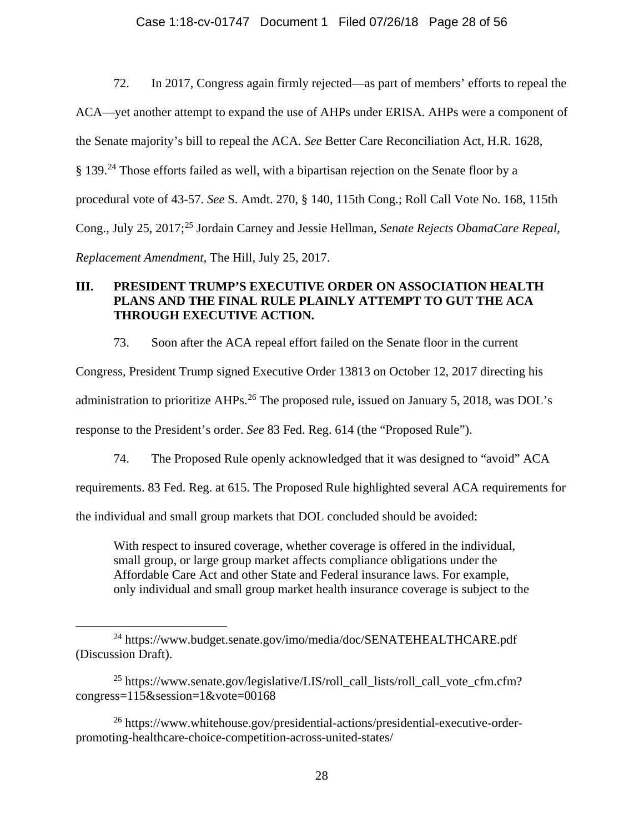72. In 2017, Congress again firmly rejected—as part of members' efforts to repeal the ACA—yet another attempt to expand the use of AHPs under ERISA. AHPs were a component of the Senate majority's bill to repeal the ACA. *See* Better Care Reconciliation Act, H.R. 1628, § 139.<sup>[24](#page-27-0)</sup> Those efforts failed as well, with a bipartisan rejection on the Senate floor by a procedural vote of 43-57. *See* S. Amdt. 270, § 140, 115th Cong.; Roll Call Vote No. 168, 115th Cong., July 25, 2017; [25](#page-27-1) Jordain Carney and Jessie Hellman, *Senate Rejects ObamaCare Repeal, Replacement Amendment*, The Hill, July 25, 2017.

# **III. PRESIDENT TRUMP'S EXECUTIVE ORDER ON ASSOCIATION HEALTH PLANS AND THE FINAL RULE PLAINLY ATTEMPT TO GUT THE ACA THROUGH EXECUTIVE ACTION.**

73. Soon after the ACA repeal effort failed on the Senate floor in the current

Congress, President Trump signed Executive Order 13813 on October 12, 2017 directing his administration to prioritize AHPs.<sup>[26](#page-27-2)</sup> The proposed rule, issued on January 5, 2018, was DOL's response to the President's order. *See* 83 Fed. Reg. 614 (the "Proposed Rule").

74. The Proposed Rule openly acknowledged that it was designed to "avoid" ACA

requirements. 83 Fed. Reg. at 615. The Proposed Rule highlighted several ACA requirements for

the individual and small group markets that DOL concluded should be avoided:

With respect to insured coverage, whether coverage is offered in the individual, small group, or large group market affects compliance obligations under the Affordable Care Act and other State and Federal insurance laws. For example, only individual and small group market health insurance coverage is subject to the

<span id="page-27-0"></span> <sup>24</sup> https://www.budget.senate.gov/imo/media/doc/SENATEHEALTHCARE.pdf (Discussion Draft).

<span id="page-27-1"></span><sup>&</sup>lt;sup>25</sup> https://www.senate.gov/legislative/LIS/roll\_call\_lists/roll\_call\_vote\_cfm.cfm? congress=115&session=1&vote=00168

<span id="page-27-2"></span><sup>26</sup> https://www.whitehouse.gov/presidential-actions/presidential-executive-orderpromoting-healthcare-choice-competition-across-united-states/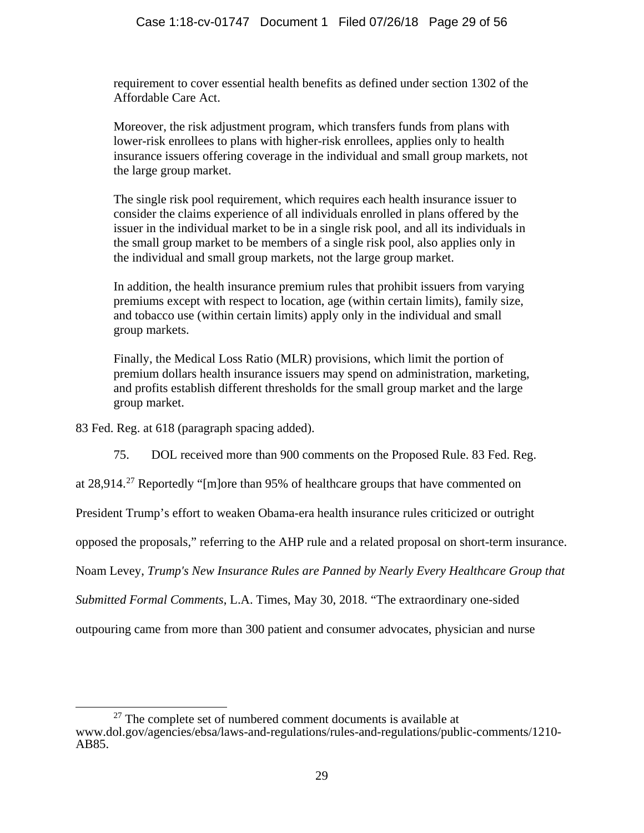requirement to cover essential health benefits as defined under section 1302 of the Affordable Care Act.

Moreover, the risk adjustment program, which transfers funds from plans with lower-risk enrollees to plans with higher-risk enrollees, applies only to health insurance issuers offering coverage in the individual and small group markets, not the large group market.

The single risk pool requirement, which requires each health insurance issuer to consider the claims experience of all individuals enrolled in plans offered by the issuer in the individual market to be in a single risk pool, and all its individuals in the small group market to be members of a single risk pool, also applies only in the individual and small group markets, not the large group market.

In addition, the health insurance premium rules that prohibit issuers from varying premiums except with respect to location, age (within certain limits), family size, and tobacco use (within certain limits) apply only in the individual and small group markets.

Finally, the Medical Loss Ratio (MLR) provisions, which limit the portion of premium dollars health insurance issuers may spend on administration, marketing, and profits establish different thresholds for the small group market and the large group market.

83 Fed. Reg. at 618 (paragraph spacing added).

75. DOL received more than 900 comments on the Proposed Rule. 83 Fed. Reg.

at 28,914.<sup>[27](#page-28-0)</sup> Reportedly "[m]ore than 95% of healthcare groups that have commented on

President Trump's effort to weaken Obama-era health insurance rules criticized or outright

opposed the proposals," referring to the AHP rule and a related proposal on short-term insurance.

Noam Levey, *Trump's New Insurance Rules are Panned by Nearly Every Healthcare Group that* 

*Submitted Formal Comments*, L.A. Times, May 30, 2018. "The extraordinary one-sided

outpouring came from more than 300 patient and consumer advocates, physician and nurse

<span id="page-28-0"></span> $27$  The complete set of numbered comment documents is available at www.dol.gov/agencies/ebsa/laws-and-regulations/rules-and-regulations/public-comments/1210- AB85.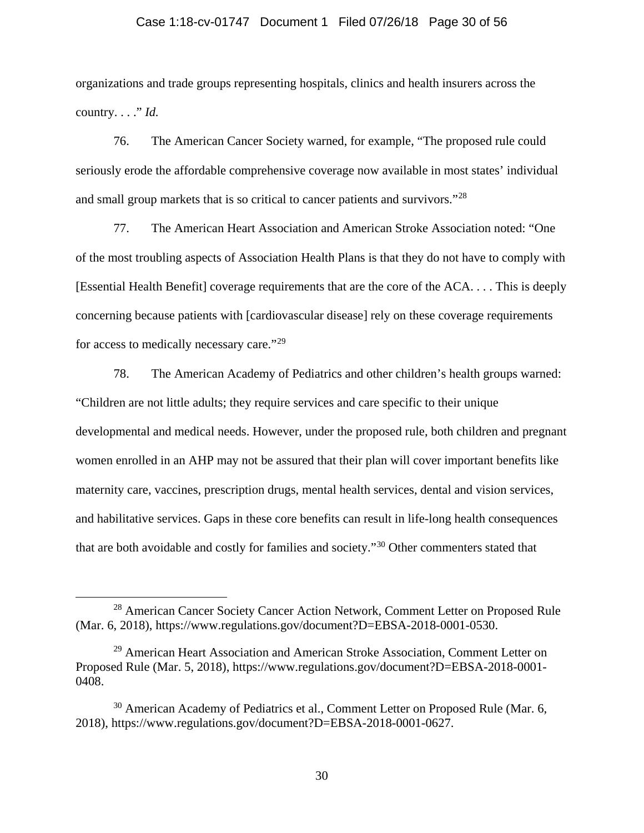## Case 1:18-cv-01747 Document 1 Filed 07/26/18 Page 30 of 56

organizations and trade groups representing hospitals, clinics and health insurers across the country. . . ." *Id.*

76. The American Cancer Society warned, for example, "The proposed rule could seriously erode the affordable comprehensive coverage now available in most states' individual and small group markets that is so critical to cancer patients and survivors."[28](#page-29-0)

77. The American Heart Association and American Stroke Association noted: "One of the most troubling aspects of Association Health Plans is that they do not have to comply with [Essential Health Benefit] coverage requirements that are the core of the ACA. . . . This is deeply concerning because patients with [cardiovascular disease] rely on these coverage requirements for access to medically necessary care."[29](#page-29-1)

78. The American Academy of Pediatrics and other children's health groups warned: "Children are not little adults; they require services and care specific to their unique developmental and medical needs. However, under the proposed rule, both children and pregnant women enrolled in an AHP may not be assured that their plan will cover important benefits like maternity care, vaccines, prescription drugs, mental health services, dental and vision services, and habilitative services. Gaps in these core benefits can result in life-long health consequences that are both avoidable and costly for families and society."[30](#page-29-2) Other commenters stated that

<span id="page-29-0"></span><sup>&</sup>lt;sup>28</sup> American Cancer Society Cancer Action Network, Comment Letter on Proposed Rule (Mar. 6, 2018), https://www.regulations.gov/document?D=EBSA-2018-0001-0530.

<span id="page-29-1"></span><sup>&</sup>lt;sup>29</sup> American Heart Association and American Stroke Association, Comment Letter on Proposed Rule (Mar. 5, 2018), https://www.regulations.gov/document?D=EBSA-2018-0001- 0408.

<span id="page-29-2"></span><sup>&</sup>lt;sup>30</sup> American Academy of Pediatrics et al., Comment Letter on Proposed Rule (Mar. 6, 2018), https://www.regulations.gov/document?D=EBSA-2018-0001-0627.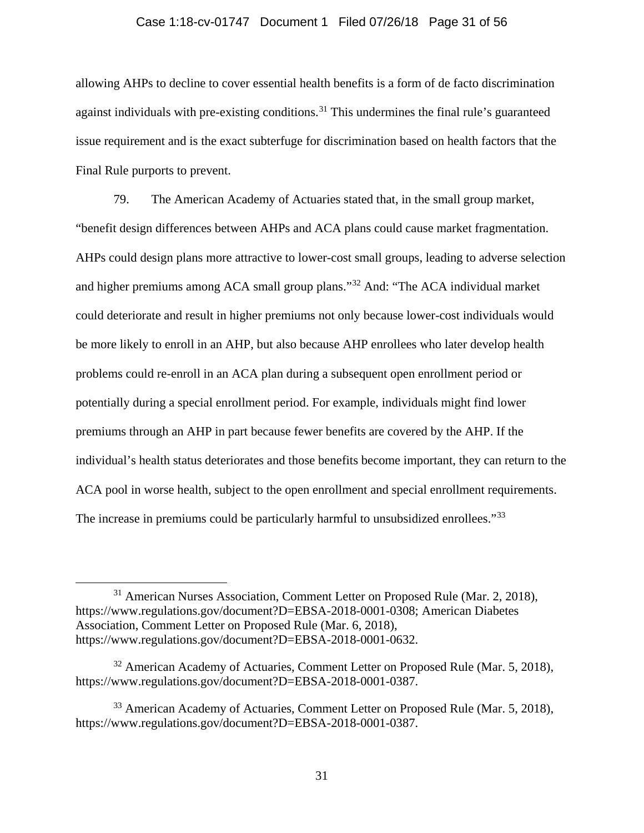## Case 1:18-cv-01747 Document 1 Filed 07/26/18 Page 31 of 56

allowing AHPs to decline to cover essential health benefits is a form of de facto discrimination against individuals with pre-existing conditions.<sup>[31](#page-30-0)</sup> This undermines the final rule's guaranteed issue requirement and is the exact subterfuge for discrimination based on health factors that the Final Rule purports to prevent.

79. The American Academy of Actuaries stated that, in the small group market, "benefit design differences between AHPs and ACA plans could cause market fragmentation. AHPs could design plans more attractive to lower-cost small groups, leading to adverse selection and higher premiums among ACA small group plans."[32](#page-30-1) And: "The ACA individual market could deteriorate and result in higher premiums not only because lower-cost individuals would be more likely to enroll in an AHP, but also because AHP enrollees who later develop health problems could re-enroll in an ACA plan during a subsequent open enrollment period or potentially during a special enrollment period. For example, individuals might find lower premiums through an AHP in part because fewer benefits are covered by the AHP. If the individual's health status deteriorates and those benefits become important, they can return to the ACA pool in worse health, subject to the open enrollment and special enrollment requirements. The increase in premiums could be particularly harmful to unsubsidized enrollees."<sup>[33](#page-30-2)</sup>

<span id="page-30-0"></span> <sup>31</sup> American Nurses Association, Comment Letter on Proposed Rule (Mar. 2, 2018), https://www.regulations.gov/document?D=EBSA-2018-0001-0308; American Diabetes Association, Comment Letter on Proposed Rule (Mar. 6, 2018), https://www.regulations.gov/document?D=EBSA-2018-0001-0632.

<span id="page-30-1"></span> $32$  American Academy of Actuaries, Comment Letter on Proposed Rule (Mar. 5, 2018), https://www.regulations.gov/document?D=EBSA-2018-0001-0387.

<span id="page-30-2"></span> $33$  American Academy of Actuaries, Comment Letter on Proposed Rule (Mar. 5, 2018), https://www.regulations.gov/document?D=EBSA-2018-0001-0387.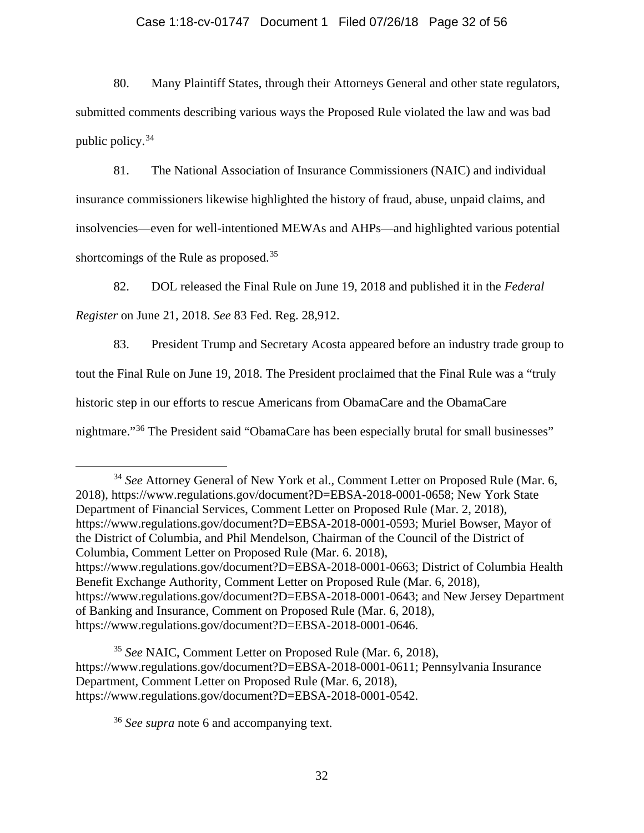## Case 1:18-cv-01747 Document 1 Filed 07/26/18 Page 32 of 56

80. Many Plaintiff States, through their Attorneys General and other state regulators, submitted comments describing various ways the Proposed Rule violated the law and was bad public policy.[34](#page-31-0)

81. The National Association of Insurance Commissioners (NAIC) and individual insurance commissioners likewise highlighted the history of fraud, abuse, unpaid claims, and insolvencies—even for well-intentioned MEWAs and AHPs—and highlighted various potential shortcomings of the Rule as proposed.<sup>[35](#page-31-1)</sup>

82. DOL released the Final Rule on June 19, 2018 and published it in the *Federal Register* on June 21, 2018. *See* 83 Fed. Reg. 28,912.

83. President Trump and Secretary Acosta appeared before an industry trade group to tout the Final Rule on June 19, 2018. The President proclaimed that the Final Rule was a "truly historic step in our efforts to rescue Americans from ObamaCare and the ObamaCare nightmare."[36](#page-31-2) The President said "ObamaCare has been especially brutal for small businesses"

<span id="page-31-0"></span> 34 *See* Attorney General of New York et al., Comment Letter on Proposed Rule (Mar. 6, 2018), https://www.regulations.gov/document?D=EBSA-2018-0001-0658; New York State Department of Financial Services, Comment Letter on Proposed Rule (Mar. 2, 2018), https://www.regulations.gov/document?D=EBSA-2018-0001-0593; Muriel Bowser, Mayor of the District of Columbia, and Phil Mendelson, Chairman of the Council of the District of Columbia, Comment Letter on Proposed Rule (Mar. 6. 2018), https://www.regulations.gov/document?D=EBSA-2018-0001-0663; District of Columbia Health Benefit Exchange Authority, Comment Letter on Proposed Rule (Mar. 6, 2018), https://www.regulations.gov/document?D=EBSA-2018-0001-0643; and New Jersey Department of Banking and Insurance, Comment on Proposed Rule (Mar. 6, 2018), https://www.regulations.gov/document?D=EBSA-2018-0001-0646.

<span id="page-31-2"></span><span id="page-31-1"></span><sup>35</sup> *See* NAIC, Comment Letter on Proposed Rule (Mar. 6, 2018), https://www.regulations.gov/document?D=EBSA-2018-0001-0611; Pennsylvania Insurance Department, Comment Letter on Proposed Rule (Mar. 6, 2018), https://www.regulations.gov/document?D=EBSA-2018-0001-0542.

<sup>36</sup> *See supra* note [6](#page-3-4) and accompanying text.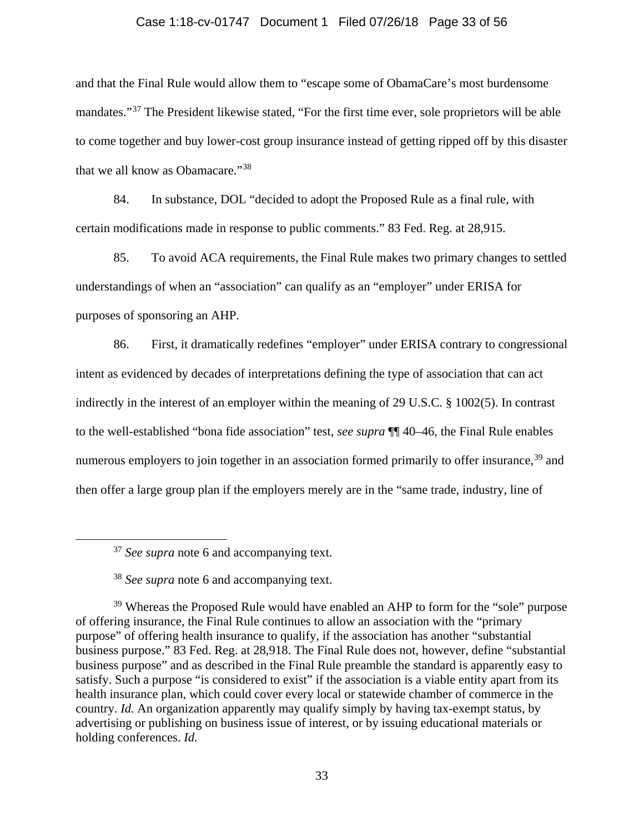## Case 1:18-cv-01747 Document 1 Filed 07/26/18 Page 33 of 56

and that the Final Rule would allow them to "escape some of ObamaCare's most burdensome mandates."[37](#page-32-0) The President likewise stated, "For the first time ever, sole proprietors will be able to come together and buy lower-cost group insurance instead of getting ripped off by this disaster that we all know as Obamacare."[38](#page-32-1)

84. In substance, DOL "decided to adopt the Proposed Rule as a final rule, with certain modifications made in response to public comments." 83 Fed. Reg. at 28,915.

85. To avoid ACA requirements, the Final Rule makes two primary changes to settled understandings of when an "association" can qualify as an "employer" under ERISA for purposes of sponsoring an AHP.

86. First, it dramatically redefines "employer" under ERISA contrary to congressional intent as evidenced by decades of interpretations defining the type of association that can act indirectly in the interest of an employer within the meaning of 29 U.S.C. § 1002(5). In contrast to the well-established "bona fide association" test, *see supra* ¶¶ [40](#page-13-0)[–46,](#page-15-2) the Final Rule enables numerous employers to join together in an association formed primarily to offer insurance,<sup>[39](#page-32-2)</sup> and then offer a large group plan if the employers merely are in the "same trade, industry, line of

 <sup>37</sup> *See supra* note [6](#page-3-4) and accompanying text.

<sup>38</sup> *See supra* note [6](#page-3-4) and accompanying text.

<span id="page-32-2"></span><span id="page-32-1"></span><span id="page-32-0"></span><sup>&</sup>lt;sup>39</sup> Whereas the Proposed Rule would have enabled an AHP to form for the "sole" purpose of offering insurance, the Final Rule continues to allow an association with the "primary purpose" of offering health insurance to qualify, if the association has another "substantial business purpose." 83 Fed. Reg. at 28,918. The Final Rule does not, however, define "substantial business purpose" and as described in the Final Rule preamble the standard is apparently easy to satisfy. Such a purpose "is considered to exist" if the association is a viable entity apart from its health insurance plan, which could cover every local or statewide chamber of commerce in the country. *Id.* An organization apparently may qualify simply by having tax-exempt status, by advertising or publishing on business issue of interest, or by issuing educational materials or holding conferences. *Id.*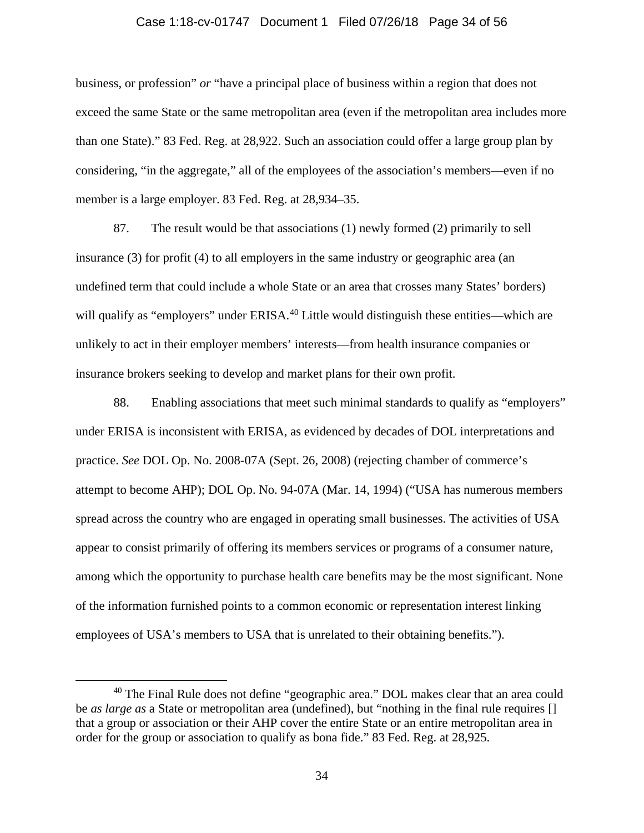## Case 1:18-cv-01747 Document 1 Filed 07/26/18 Page 34 of 56

business, or profession" *or* "have a principal place of business within a region that does not exceed the same State or the same metropolitan area (even if the metropolitan area includes more than one State)." 83 Fed. Reg. at 28,922. Such an association could offer a large group plan by considering, "in the aggregate," all of the employees of the association's members—even if no member is a large employer. 83 Fed. Reg. at 28,934–35.

87. The result would be that associations (1) newly formed (2) primarily to sell insurance (3) for profit (4) to all employers in the same industry or geographic area (an undefined term that could include a whole State or an area that crosses many States' borders) will qualify as "employers" under ERISA.<sup>[40](#page-33-0)</sup> Little would distinguish these entities—which are unlikely to act in their employer members' interests—from health insurance companies or insurance brokers seeking to develop and market plans for their own profit.

88. Enabling associations that meet such minimal standards to qualify as "employers" under ERISA is inconsistent with ERISA, as evidenced by decades of DOL interpretations and practice. *See* DOL Op. No. 2008-07A (Sept. 26, 2008) (rejecting chamber of commerce's attempt to become AHP); DOL Op. No. 94-07A (Mar. 14, 1994) ("USA has numerous members spread across the country who are engaged in operating small businesses. The activities of USA appear to consist primarily of offering its members services or programs of a consumer nature, among which the opportunity to purchase health care benefits may be the most significant. None of the information furnished points to a common economic or representation interest linking employees of USA's members to USA that is unrelated to their obtaining benefits.").

<span id="page-33-0"></span><sup>&</sup>lt;sup>40</sup> The Final Rule does not define "geographic area." DOL makes clear that an area could be *as large as* a State or metropolitan area (undefined), but "nothing in the final rule requires [] that a group or association or their AHP cover the entire State or an entire metropolitan area in order for the group or association to qualify as bona fide." 83 Fed. Reg. at 28,925.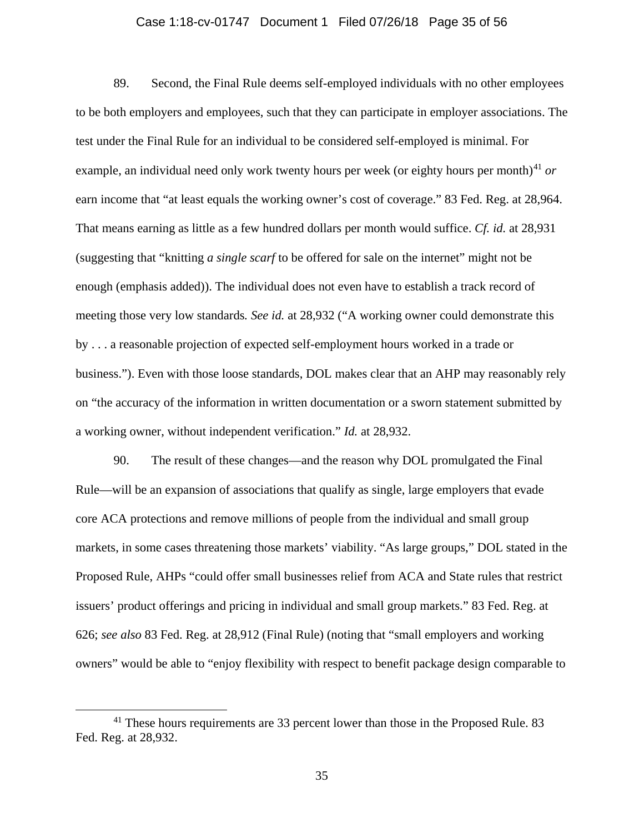## Case 1:18-cv-01747 Document 1 Filed 07/26/18 Page 35 of 56

89. Second, the Final Rule deems self-employed individuals with no other employees to be both employers and employees, such that they can participate in employer associations. The test under the Final Rule for an individual to be considered self-employed is minimal. For example, an individual need only work twenty hours per week (or eighty hours per month)<sup>[41](#page-34-0)</sup> or earn income that "at least equals the working owner's cost of coverage." 83 Fed. Reg. at 28,964. That means earning as little as a few hundred dollars per month would suffice. *Cf. id.* at 28,931 (suggesting that "knitting *a single scarf* to be offered for sale on the internet" might not be enough (emphasis added)). The individual does not even have to establish a track record of meeting those very low standards*. See id.* at 28,932 ("A working owner could demonstrate this by . . . a reasonable projection of expected self-employment hours worked in a trade or business."). Even with those loose standards, DOL makes clear that an AHP may reasonably rely on "the accuracy of the information in written documentation or a sworn statement submitted by a working owner, without independent verification." *Id.* at 28,932.

90. The result of these changes—and the reason why DOL promulgated the Final Rule—will be an expansion of associations that qualify as single, large employers that evade core ACA protections and remove millions of people from the individual and small group markets, in some cases threatening those markets' viability. "As large groups," DOL stated in the Proposed Rule, AHPs "could offer small businesses relief from ACA and State rules that restrict issuers' product offerings and pricing in individual and small group markets." 83 Fed. Reg. at 626; *see also* 83 Fed. Reg. at 28,912 (Final Rule) (noting that "small employers and working owners" would be able to "enjoy flexibility with respect to benefit package design comparable to

<span id="page-34-0"></span><sup>&</sup>lt;sup>41</sup> These hours requirements are 33 percent lower than those in the Proposed Rule. 83 Fed. Reg. at 28,932.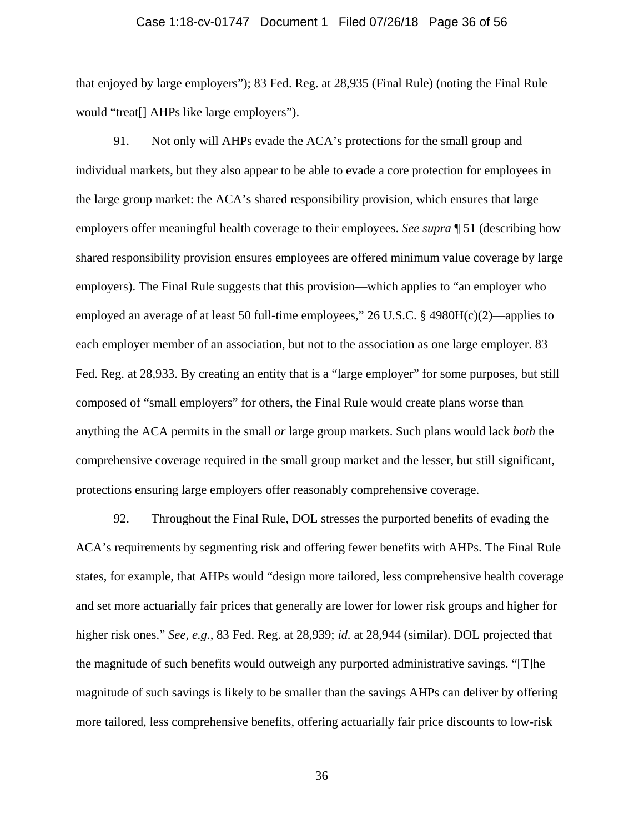#### Case 1:18-cv-01747 Document 1 Filed 07/26/18 Page 36 of 56

that enjoyed by large employers"); 83 Fed. Reg. at 28,935 (Final Rule) (noting the Final Rule would "treat[] AHPs like large employers").

91. Not only will AHPs evade the ACA's protections for the small group and individual markets, but they also appear to be able to evade a core protection for employees in the large group market: the ACA's shared responsibility provision, which ensures that large employers offer meaningful health coverage to their employees. *See supra* ¶ [51](#page-19-2) (describing how shared responsibility provision ensures employees are offered minimum value coverage by large employers). The Final Rule suggests that this provision—which applies to "an employer who employed an average of at least 50 full-time employees," 26 U.S.C. § 4980H(c)(2)—applies to each employer member of an association, but not to the association as one large employer. 83 Fed. Reg. at 28,933. By creating an entity that is a "large employer" for some purposes, but still composed of "small employers" for others, the Final Rule would create plans worse than anything the ACA permits in the small *or* large group markets. Such plans would lack *both* the comprehensive coverage required in the small group market and the lesser, but still significant, protections ensuring large employers offer reasonably comprehensive coverage.

92. Throughout the Final Rule, DOL stresses the purported benefits of evading the ACA's requirements by segmenting risk and offering fewer benefits with AHPs. The Final Rule states, for example, that AHPs would "design more tailored, less comprehensive health coverage and set more actuarially fair prices that generally are lower for lower risk groups and higher for higher risk ones." *See, e.g.*, 83 Fed. Reg. at 28,939; *id.* at 28,944 (similar). DOL projected that the magnitude of such benefits would outweigh any purported administrative savings. "[T]he magnitude of such savings is likely to be smaller than the savings AHPs can deliver by offering more tailored, less comprehensive benefits, offering actuarially fair price discounts to low-risk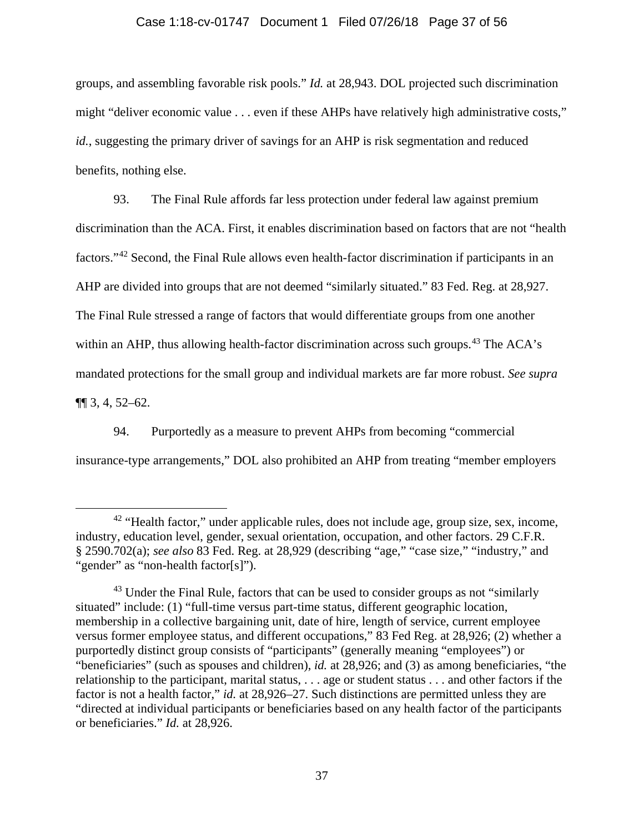## Case 1:18-cv-01747 Document 1 Filed 07/26/18 Page 37 of 56

groups, and assembling favorable risk pools." *Id.* at 28,943. DOL projected such discrimination might "deliver economic value . . . even if these AHPs have relatively high administrative costs," *id.*, suggesting the primary driver of savings for an AHP is risk segmentation and reduced benefits, nothing else.

93. The Final Rule affords far less protection under federal law against premium discrimination than the ACA. First, it enables discrimination based on factors that are not "health factors."[42](#page-36-0) Second, the Final Rule allows even health-factor discrimination if participants in an AHP are divided into groups that are not deemed "similarly situated." 83 Fed. Reg. at 28,927. The Final Rule stressed a range of factors that would differentiate groups from one another within an AHP, thus allowing health-factor discrimination across such groups.<sup>[43](#page-36-1)</sup> The ACA's mandated protections for the small group and individual markets are far more robust. *See supra*  $\P$ [ 3, 4, [52–](#page-20-1)[62.](#page-24-1)

94. Purportedly as a measure to prevent AHPs from becoming "commercial insurance-type arrangements," DOL also prohibited an AHP from treating "member employers

<span id="page-36-0"></span><sup>&</sup>lt;sup>42</sup> "Health factor," under applicable rules, does not include age, group size, sex, income, industry, education level, gender, sexual orientation, occupation, and other factors. 29 C.F.R. § 2590.702(a); *see also* 83 Fed. Reg. at 28,929 (describing "age," "case size," "industry," and "gender" as "non-health factor[s]").

<span id="page-36-1"></span> $43$  Under the Final Rule, factors that can be used to consider groups as not "similarly situated" include: (1) "full-time versus part-time status, different geographic location, membership in a collective bargaining unit, date of hire, length of service, current employee versus former employee status, and different occupations," 83 Fed Reg. at 28,926; (2) whether a purportedly distinct group consists of "participants" (generally meaning "employees") or "beneficiaries" (such as spouses and children), *id.* at 28,926; and (3) as among beneficiaries, "the relationship to the participant, marital status, . . . age or student status . . . and other factors if the factor is not a health factor," *id.* at 28,926–27. Such distinctions are permitted unless they are "directed at individual participants or beneficiaries based on any health factor of the participants or beneficiaries." *Id.* at 28,926.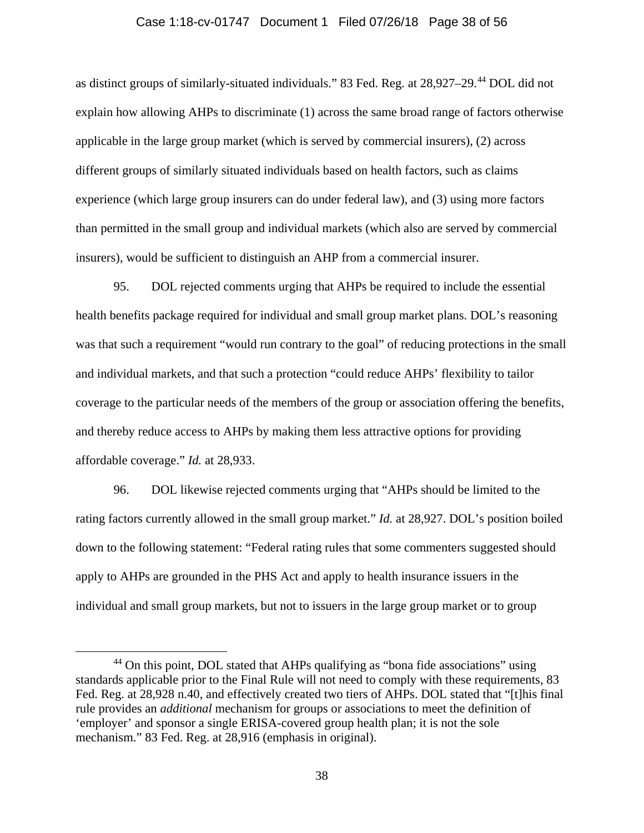#### Case 1:18-cv-01747 Document 1 Filed 07/26/18 Page 38 of 56

as distinct groups of similarly-situated individuals." 83 Fed. Reg. at 28,927–29. [44](#page-37-0) DOL did not explain how allowing AHPs to discriminate (1) across the same broad range of factors otherwise applicable in the large group market (which is served by commercial insurers), (2) across different groups of similarly situated individuals based on health factors, such as claims experience (which large group insurers can do under federal law), and (3) using more factors than permitted in the small group and individual markets (which also are served by commercial insurers), would be sufficient to distinguish an AHP from a commercial insurer.

95. DOL rejected comments urging that AHPs be required to include the essential health benefits package required for individual and small group market plans. DOL's reasoning was that such a requirement "would run contrary to the goal" of reducing protections in the small and individual markets, and that such a protection "could reduce AHPs' flexibility to tailor coverage to the particular needs of the members of the group or association offering the benefits, and thereby reduce access to AHPs by making them less attractive options for providing affordable coverage." *Id.* at 28,933.

96. DOL likewise rejected comments urging that "AHPs should be limited to the rating factors currently allowed in the small group market." *Id.* at 28,927. DOL's position boiled down to the following statement: "Federal rating rules that some commenters suggested should apply to AHPs are grounded in the PHS Act and apply to health insurance issuers in the individual and small group markets, but not to issuers in the large group market or to group

<span id="page-37-0"></span><sup>&</sup>lt;sup>44</sup> On this point, DOL stated that AHPs qualifying as "bona fide associations" using standards applicable prior to the Final Rule will not need to comply with these requirements, 83 Fed. Reg. at 28,928 n.40, and effectively created two tiers of AHPs. DOL stated that "[t]his final rule provides an *additional* mechanism for groups or associations to meet the definition of 'employer' and sponsor a single ERISA-covered group health plan; it is not the sole mechanism." 83 Fed. Reg. at 28,916 (emphasis in original).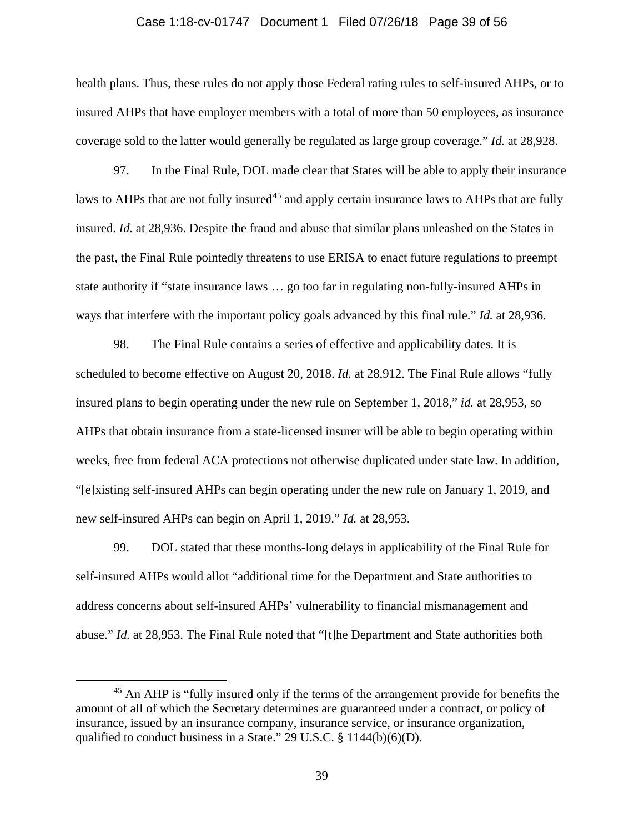#### Case 1:18-cv-01747 Document 1 Filed 07/26/18 Page 39 of 56

health plans. Thus, these rules do not apply those Federal rating rules to self-insured AHPs, or to insured AHPs that have employer members with a total of more than 50 employees, as insurance coverage sold to the latter would generally be regulated as large group coverage." *Id.* at 28,928.

97. In the Final Rule, DOL made clear that States will be able to apply their insurance laws to AHPs that are not fully insured<sup>[45](#page-38-0)</sup> and apply certain insurance laws to AHPs that are fully insured. *Id.* at 28,936. Despite the fraud and abuse that similar plans unleashed on the States in the past, the Final Rule pointedly threatens to use ERISA to enact future regulations to preempt state authority if "state insurance laws … go too far in regulating non-fully-insured AHPs in ways that interfere with the important policy goals advanced by this final rule." *Id.* at 28,936.

98. The Final Rule contains a series of effective and applicability dates. It is scheduled to become effective on August 20, 2018. *Id.* at 28,912. The Final Rule allows "fully insured plans to begin operating under the new rule on September 1, 2018," *id.* at 28,953, so AHPs that obtain insurance from a state-licensed insurer will be able to begin operating within weeks, free from federal ACA protections not otherwise duplicated under state law. In addition, "[e]xisting self-insured AHPs can begin operating under the new rule on January 1, 2019, and new self-insured AHPs can begin on April 1, 2019." *Id.* at 28,953.

99. DOL stated that these months-long delays in applicability of the Final Rule for self-insured AHPs would allot "additional time for the Department and State authorities to address concerns about self-insured AHPs' vulnerability to financial mismanagement and abuse." *Id.* at 28,953. The Final Rule noted that "[t]he Department and State authorities both

<span id="page-38-0"></span><sup>&</sup>lt;sup>45</sup> An AHP is "fully insured only if the terms of the arrangement provide for benefits the amount of all of which the Secretary determines are guaranteed under a contract, or policy of insurance, issued by an insurance company, insurance service, or insurance organization, qualified to conduct business in a State." 29 U.S.C. § 1144(b)(6)(D).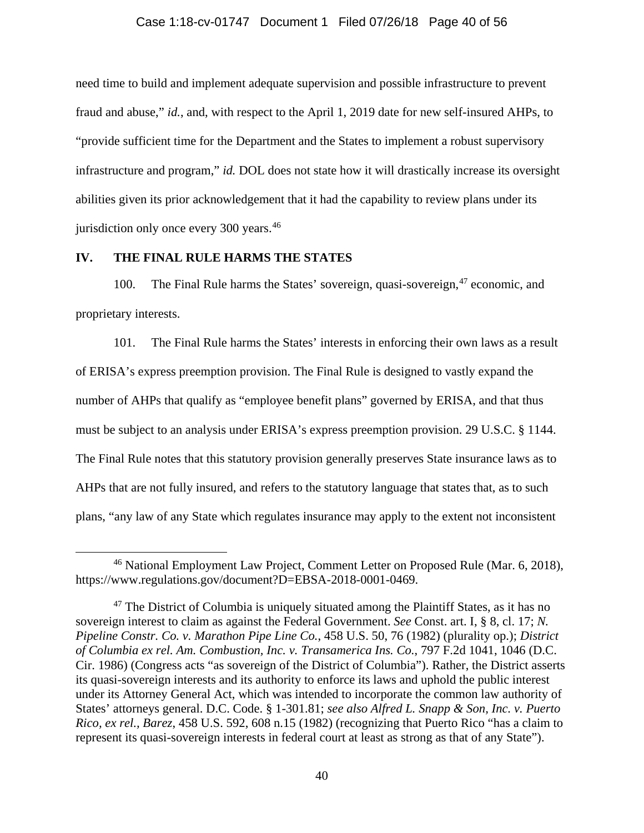## Case 1:18-cv-01747 Document 1 Filed 07/26/18 Page 40 of 56

need time to build and implement adequate supervision and possible infrastructure to prevent fraud and abuse," *id.*, and, with respect to the April 1, 2019 date for new self-insured AHPs, to "provide sufficient time for the Department and the States to implement a robust supervisory infrastructure and program," *id.* DOL does not state how it will drastically increase its oversight abilities given its prior acknowledgement that it had the capability to review plans under its jurisdiction only once every 300 years.<sup>[46](#page-39-1)</sup>

## **IV. THE FINAL RULE HARMS THE STATES**

<span id="page-39-0"></span>100. The Final Rule harms the States' sovereign, quasi-sovereign, <sup>[47](#page-39-2)</sup> economic, and proprietary interests.

101. The Final Rule harms the States' interests in enforcing their own laws as a result of ERISA's express preemption provision. The Final Rule is designed to vastly expand the number of AHPs that qualify as "employee benefit plans" governed by ERISA, and that thus must be subject to an analysis under ERISA's express preemption provision. 29 U.S.C. § 1144. The Final Rule notes that this statutory provision generally preserves State insurance laws as to AHPs that are not fully insured, and refers to the statutory language that states that, as to such plans, "any law of any State which regulates insurance may apply to the extent not inconsistent

<span id="page-39-1"></span> <sup>46</sup> National Employment Law Project, Comment Letter on Proposed Rule (Mar. 6, 2018), https://www.regulations.gov/document?D=EBSA-2018-0001-0469.

<span id="page-39-2"></span> $47$  The District of Columbia is uniquely situated among the Plaintiff States, as it has no sovereign interest to claim as against the Federal Government. *See* Const. art. I, § 8, cl. 17; *N. Pipeline Constr. Co. v. Marathon Pipe Line Co.*, 458 U.S. 50, 76 (1982) (plurality op.); *District of Columbia ex rel. Am. Combustion, Inc. v. Transamerica Ins. Co.*, 797 F.2d 1041, 1046 (D.C. Cir. 1986) (Congress acts "as sovereign of the District of Columbia"). Rather, the District asserts its quasi-sovereign interests and its authority to enforce its laws and uphold the public interest under its Attorney General Act, which was intended to incorporate the common law authority of States' attorneys general. D.C. Code. § 1-301.81; *see also Alfred L. Snapp & Son, Inc. v. Puerto Rico, ex rel., Barez*, 458 U.S. 592, 608 n.15 (1982) (recognizing that Puerto Rico "has a claim to represent its quasi-sovereign interests in federal court at least as strong as that of any State").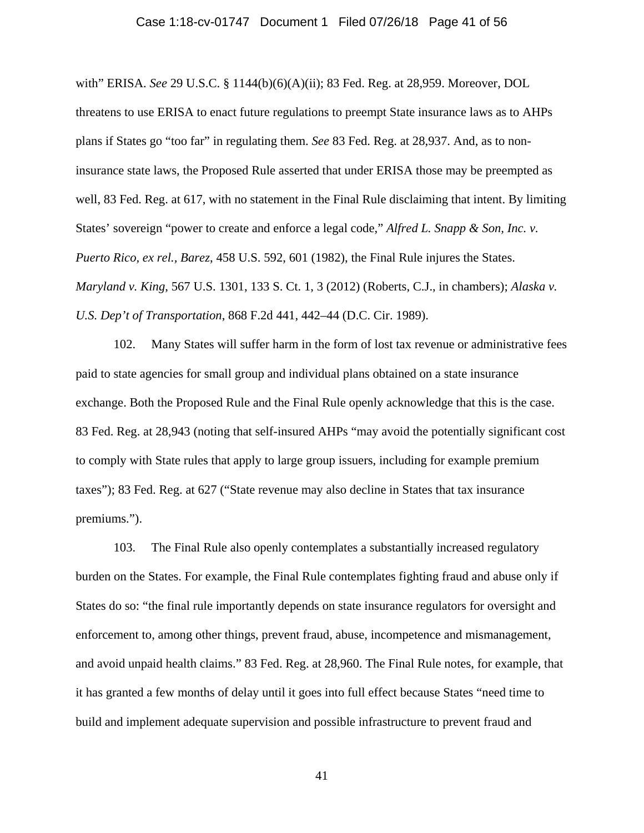#### Case 1:18-cv-01747 Document 1 Filed 07/26/18 Page 41 of 56

with" ERISA. *See* 29 U.S.C. § 1144(b)(6)(A)(ii); 83 Fed. Reg. at 28,959. Moreover, DOL threatens to use ERISA to enact future regulations to preempt State insurance laws as to AHPs plans if States go "too far" in regulating them. *See* 83 Fed. Reg. at 28,937. And, as to noninsurance state laws, the Proposed Rule asserted that under ERISA those may be preempted as well, 83 Fed. Reg. at 617, with no statement in the Final Rule disclaiming that intent. By limiting States' sovereign "power to create and enforce a legal code," *Alfred L. Snapp & Son, Inc. v. Puerto Rico, ex rel., Barez*, 458 U.S. 592, 601 (1982), the Final Rule injures the States. *Maryland v. King*, 567 U.S. 1301, 133 S. Ct. 1, 3 (2012) (Roberts, C.J., in chambers); *Alaska v. U.S. Dep't of Transportation*, 868 F.2d 441, 442–44 (D.C. Cir. 1989).

102. Many States will suffer harm in the form of lost tax revenue or administrative fees paid to state agencies for small group and individual plans obtained on a state insurance exchange. Both the Proposed Rule and the Final Rule openly acknowledge that this is the case. 83 Fed. Reg. at 28,943 (noting that self-insured AHPs "may avoid the potentially significant cost to comply with State rules that apply to large group issuers, including for example premium taxes"); 83 Fed. Reg. at 627 ("State revenue may also decline in States that tax insurance premiums.").

103. The Final Rule also openly contemplates a substantially increased regulatory burden on the States. For example, the Final Rule contemplates fighting fraud and abuse only if States do so: "the final rule importantly depends on state insurance regulators for oversight and enforcement to, among other things, prevent fraud, abuse, incompetence and mismanagement, and avoid unpaid health claims." 83 Fed. Reg. at 28,960. The Final Rule notes, for example, that it has granted a few months of delay until it goes into full effect because States "need time to build and implement adequate supervision and possible infrastructure to prevent fraud and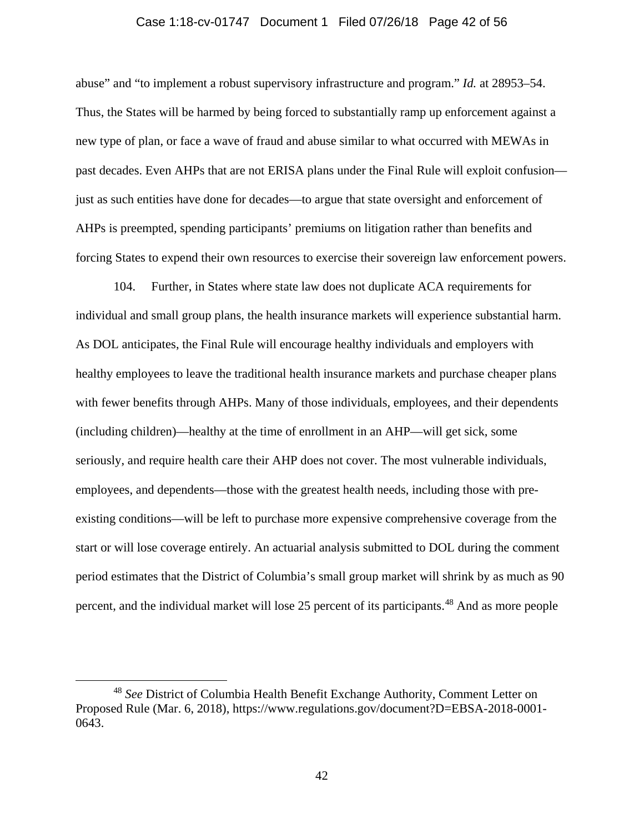## Case 1:18-cv-01747 Document 1 Filed 07/26/18 Page 42 of 56

abuse" and "to implement a robust supervisory infrastructure and program." *Id.* at 28953–54. Thus, the States will be harmed by being forced to substantially ramp up enforcement against a new type of plan, or face a wave of fraud and abuse similar to what occurred with MEWAs in past decades. Even AHPs that are not ERISA plans under the Final Rule will exploit confusion just as such entities have done for decades—to argue that state oversight and enforcement of AHPs is preempted, spending participants' premiums on litigation rather than benefits and forcing States to expend their own resources to exercise their sovereign law enforcement powers.

104. Further, in States where state law does not duplicate ACA requirements for individual and small group plans, the health insurance markets will experience substantial harm. As DOL anticipates, the Final Rule will encourage healthy individuals and employers with healthy employees to leave the traditional health insurance markets and purchase cheaper plans with fewer benefits through AHPs. Many of those individuals, employees, and their dependents (including children)—healthy at the time of enrollment in an AHP—will get sick, some seriously, and require health care their AHP does not cover. The most vulnerable individuals, employees, and dependents—those with the greatest health needs, including those with preexisting conditions—will be left to purchase more expensive comprehensive coverage from the start or will lose coverage entirely. An actuarial analysis submitted to DOL during the comment period estimates that the District of Columbia's small group market will shrink by as much as 90 percent, and the individual market will lose 25 percent of its participants.<sup>[48](#page-41-0)</sup> And as more people

<span id="page-41-0"></span> <sup>48</sup> *See* District of Columbia Health Benefit Exchange Authority, Comment Letter on Proposed Rule (Mar. 6, 2018), https://www.regulations.gov/document?D=EBSA-2018-0001- 0643.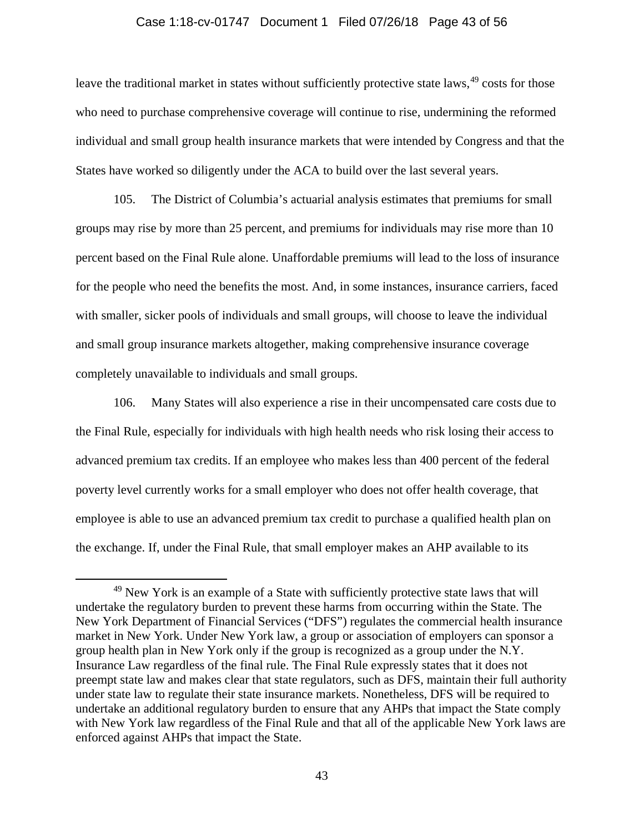### Case 1:18-cv-01747 Document 1 Filed 07/26/18 Page 43 of 56

leave the traditional market in states without sufficiently protective state laws, <sup>[49](#page-42-1)</sup> costs for those who need to purchase comprehensive coverage will continue to rise, undermining the reformed individual and small group health insurance markets that were intended by Congress and that the States have worked so diligently under the ACA to build over the last several years.

105. The District of Columbia's actuarial analysis estimates that premiums for small groups may rise by more than 25 percent, and premiums for individuals may rise more than 10 percent based on the Final Rule alone. Unaffordable premiums will lead to the loss of insurance for the people who need the benefits the most. And, in some instances, insurance carriers, faced with smaller, sicker pools of individuals and small groups, will choose to leave the individual and small group insurance markets altogether, making comprehensive insurance coverage completely unavailable to individuals and small groups.

<span id="page-42-0"></span>106. Many States will also experience a rise in their uncompensated care costs due to the Final Rule, especially for individuals with high health needs who risk losing their access to advanced premium tax credits. If an employee who makes less than 400 percent of the federal poverty level currently works for a small employer who does not offer health coverage, that employee is able to use an advanced premium tax credit to purchase a qualified health plan on the exchange. If, under the Final Rule, that small employer makes an AHP available to its

<span id="page-42-1"></span><sup>&</sup>lt;sup>49</sup> New York is an example of a State with sufficiently protective state laws that will undertake the regulatory burden to prevent these harms from occurring within the State. The New York Department of Financial Services ("DFS") regulates the commercial health insurance market in New York. Under New York law, a group or association of employers can sponsor a group health plan in New York only if the group is recognized as a group under the N.Y. Insurance Law regardless of the final rule. The Final Rule expressly states that it does not preempt state law and makes clear that state regulators, such as DFS, maintain their full authority under state law to regulate their state insurance markets. Nonetheless, DFS will be required to undertake an additional regulatory burden to ensure that any AHPs that impact the State comply with New York law regardless of the Final Rule and that all of the applicable New York laws are enforced against AHPs that impact the State.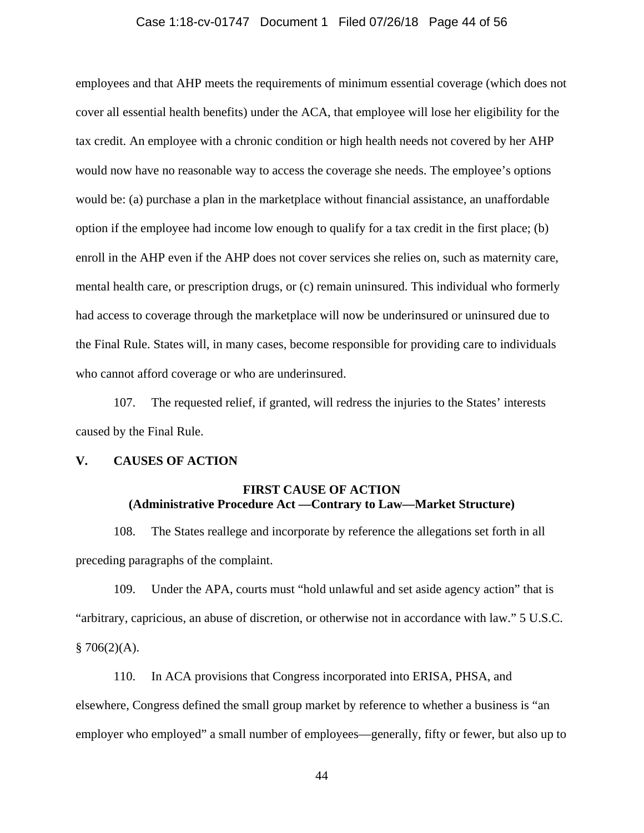## Case 1:18-cv-01747 Document 1 Filed 07/26/18 Page 44 of 56

employees and that AHP meets the requirements of minimum essential coverage (which does not cover all essential health benefits) under the ACA, that employee will lose her eligibility for the tax credit. An employee with a chronic condition or high health needs not covered by her AHP would now have no reasonable way to access the coverage she needs. The employee's options would be: (a) purchase a plan in the marketplace without financial assistance, an unaffordable option if the employee had income low enough to qualify for a tax credit in the first place; (b) enroll in the AHP even if the AHP does not cover services she relies on, such as maternity care, mental health care, or prescription drugs, or (c) remain uninsured. This individual who formerly had access to coverage through the marketplace will now be underinsured or uninsured due to the Final Rule. States will, in many cases, become responsible for providing care to individuals who cannot afford coverage or who are underinsured.

107. The requested relief, if granted, will redress the injuries to the States' interests caused by the Final Rule.

## **V. CAUSES OF ACTION**

# **FIRST CAUSE OF ACTION (Administrative Procedure Act —Contrary to Law—Market Structure)**

108. The States reallege and incorporate by reference the allegations set forth in all preceding paragraphs of the complaint.

109. Under the APA, courts must "hold unlawful and set aside agency action" that is "arbitrary, capricious, an abuse of discretion, or otherwise not in accordance with law." 5 U.S.C.  $$706(2)(A).$ 

110. In ACA provisions that Congress incorporated into ERISA, PHSA, and elsewhere, Congress defined the small group market by reference to whether a business is "an employer who employed" a small number of employees—generally, fifty or fewer, but also up to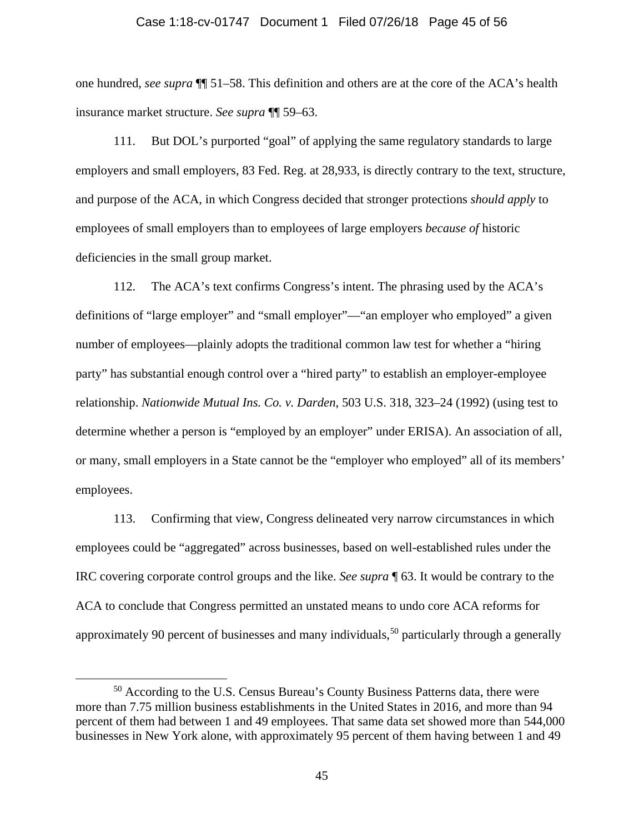#### Case 1:18-cv-01747 Document 1 Filed 07/26/18 Page 45 of 56

one hundred, *see supra* ¶¶ [51](#page-19-2)[–58.](#page-22-2) This definition and others are at the core of the ACA's health insurance market structure. *See supra* ¶¶ [59](#page-23-1)[–63.](#page-24-2)

111. But DOL's purported "goal" of applying the same regulatory standards to large employers and small employers, 83 Fed. Reg. at 28,933, is directly contrary to the text, structure, and purpose of the ACA, in which Congress decided that stronger protections *should apply* to employees of small employers than to employees of large employers *because of* historic deficiencies in the small group market.

112. The ACA's text confirms Congress's intent. The phrasing used by the ACA's definitions of "large employer" and "small employer"—"an employer who employed" a given number of employees—plainly adopts the traditional common law test for whether a "hiring party" has substantial enough control over a "hired party" to establish an employer-employee relationship. *Nationwide Mutual Ins. Co. v. Darden*, 503 U.S. 318, 323–24 (1992) (using test to determine whether a person is "employed by an employer" under ERISA). An association of all, or many, small employers in a State cannot be the "employer who employed" all of its members' employees.

113. Confirming that view, Congress delineated very narrow circumstances in which employees could be "aggregated" across businesses, based on well-established rules under the IRC covering corporate control groups and the like. *See supra* ¶ [63.](#page-24-2) It would be contrary to the ACA to conclude that Congress permitted an unstated means to undo core ACA reforms for approximately 90 percent of businesses and many individuals,<sup>[50](#page-44-0)</sup> particularly through a generally

<span id="page-44-0"></span><sup>&</sup>lt;sup>50</sup> According to the U.S. Census Bureau's County Business Patterns data, there were more than 7.75 million business establishments in the United States in 2016, and more than 94 percent of them had between 1 and 49 employees. That same data set showed more than 544,000 businesses in New York alone, with approximately 95 percent of them having between 1 and 49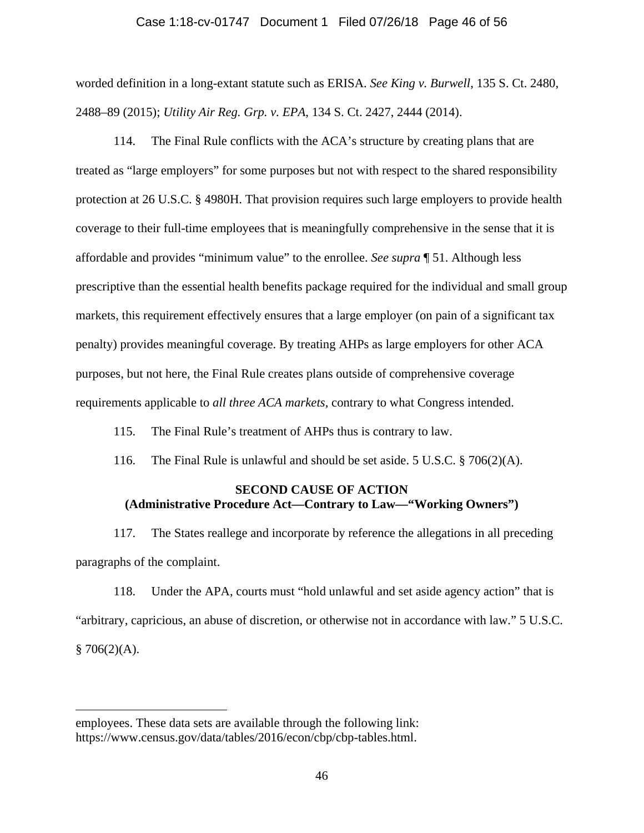## Case 1:18-cv-01747 Document 1 Filed 07/26/18 Page 46 of 56

worded definition in a long-extant statute such as ERISA. *See King v. Burwell*, 135 S. Ct. 2480, 2488–89 (2015); *Utility Air Reg. Grp. v. EPA*, 134 S. Ct. 2427, 2444 (2014).

114. The Final Rule conflicts with the ACA's structure by creating plans that are treated as "large employers" for some purposes but not with respect to the shared responsibility protection at 26 U.S.C. § 4980H. That provision requires such large employers to provide health coverage to their full-time employees that is meaningfully comprehensive in the sense that it is affordable and provides "minimum value" to the enrollee. *See supra* ¶ [51.](#page-19-2) Although less prescriptive than the essential health benefits package required for the individual and small group markets, this requirement effectively ensures that a large employer (on pain of a significant tax penalty) provides meaningful coverage. By treating AHPs as large employers for other ACA purposes, but not here, the Final Rule creates plans outside of comprehensive coverage requirements applicable to *all three ACA markets*, contrary to what Congress intended.

115. The Final Rule's treatment of AHPs thus is contrary to law.

116. The Final Rule is unlawful and should be set aside. 5 U.S.C. § 706(2)(A).

## **SECOND CAUSE OF ACTION (Administrative Procedure Act—Contrary to Law—"Working Owners")**

117. The States reallege and incorporate by reference the allegations in all preceding paragraphs of the complaint.

118. Under the APA, courts must "hold unlawful and set aside agency action" that is "arbitrary, capricious, an abuse of discretion, or otherwise not in accordance with law." 5 U.S.C.  $$706(2)(A).$ 

 $\overline{a}$ 

employees. These data sets are available through the following link: https://www.census.gov/data/tables/2016/econ/cbp/cbp-tables.html.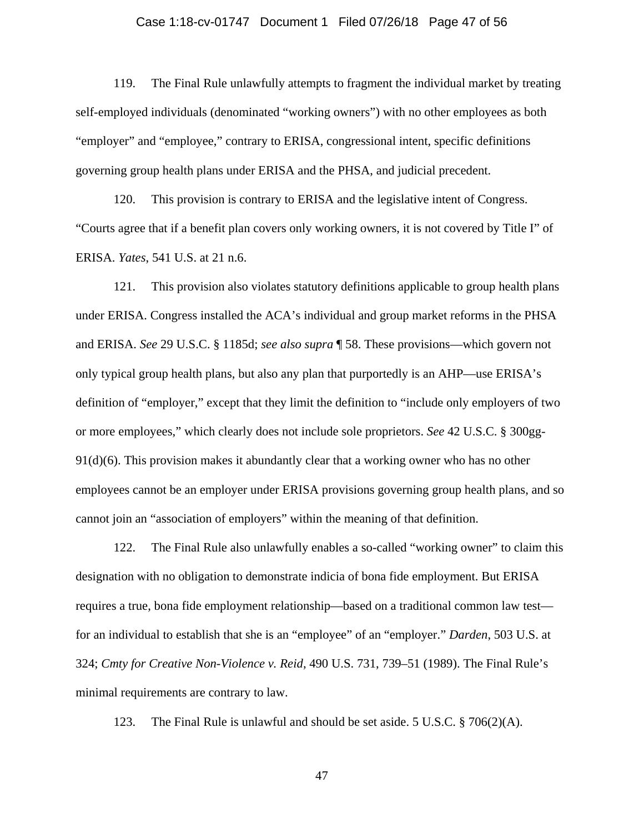#### Case 1:18-cv-01747 Document 1 Filed 07/26/18 Page 47 of 56

119. The Final Rule unlawfully attempts to fragment the individual market by treating self-employed individuals (denominated "working owners") with no other employees as both "employer" and "employee," contrary to ERISA, congressional intent, specific definitions governing group health plans under ERISA and the PHSA, and judicial precedent.

120. This provision is contrary to ERISA and the legislative intent of Congress. "Courts agree that if a benefit plan covers only working owners, it is not covered by Title I" of ERISA. *Yates*, 541 U.S. at 21 n.6.

121. This provision also violates statutory definitions applicable to group health plans under ERISA. Congress installed the ACA's individual and group market reforms in the PHSA and ERISA. *See* 29 U.S.C. § 1185d; *see also supra* ¶ [58.](#page-22-2) These provisions—which govern not only typical group health plans, but also any plan that purportedly is an AHP—use ERISA's definition of "employer," except that they limit the definition to "include only employers of two or more employees," which clearly does not include sole proprietors. *See* 42 U.S.C. § 300gg-91(d)(6). This provision makes it abundantly clear that a working owner who has no other employees cannot be an employer under ERISA provisions governing group health plans, and so cannot join an "association of employers" within the meaning of that definition.

122. The Final Rule also unlawfully enables a so-called "working owner" to claim this designation with no obligation to demonstrate indicia of bona fide employment. But ERISA requires a true, bona fide employment relationship—based on a traditional common law test for an individual to establish that she is an "employee" of an "employer." *Darden*, 503 U.S. at 324; *Cmty for Creative Non-Violence v. Reid*, 490 U.S. 731, 739–51 (1989). The Final Rule's minimal requirements are contrary to law.

123. The Final Rule is unlawful and should be set aside. 5 U.S.C.  $\S$  706(2)(A).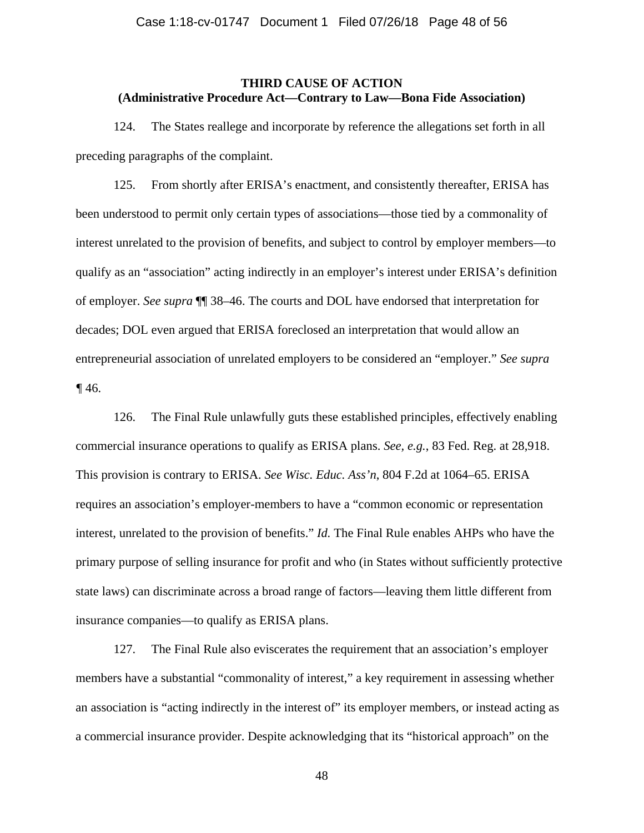## **THIRD CAUSE OF ACTION (Administrative Procedure Act—Contrary to Law—Bona Fide Association)**

124. The States reallege and incorporate by reference the allegations set forth in all preceding paragraphs of the complaint.

125. From shortly after ERISA's enactment, and consistently thereafter, ERISA has been understood to permit only certain types of associations—those tied by a commonality of interest unrelated to the provision of benefits, and subject to control by employer members—to qualify as an "association" acting indirectly in an employer's interest under ERISA's definition of employer. *See supra* ¶¶ [38](#page-12-1)[–46.](#page-15-2) The courts and DOL have endorsed that interpretation for decades; DOL even argued that ERISA foreclosed an interpretation that would allow an entrepreneurial association of unrelated employers to be considered an "employer." *See supra ¶* [46.](#page-15-2)

126. The Final Rule unlawfully guts these established principles, effectively enabling commercial insurance operations to qualify as ERISA plans. *See, e.g.*, 83 Fed. Reg. at 28,918. This provision is contrary to ERISA. *See Wisc. Educ. Ass'n*, 804 F.2d at 1064–65. ERISA requires an association's employer-members to have a "common economic or representation interest, unrelated to the provision of benefits." *Id.* The Final Rule enables AHPs who have the primary purpose of selling insurance for profit and who (in States without sufficiently protective state laws) can discriminate across a broad range of factors—leaving them little different from insurance companies—to qualify as ERISA plans.

127. The Final Rule also eviscerates the requirement that an association's employer members have a substantial "commonality of interest," a key requirement in assessing whether an association is "acting indirectly in the interest of" its employer members, or instead acting as a commercial insurance provider. Despite acknowledging that its "historical approach" on the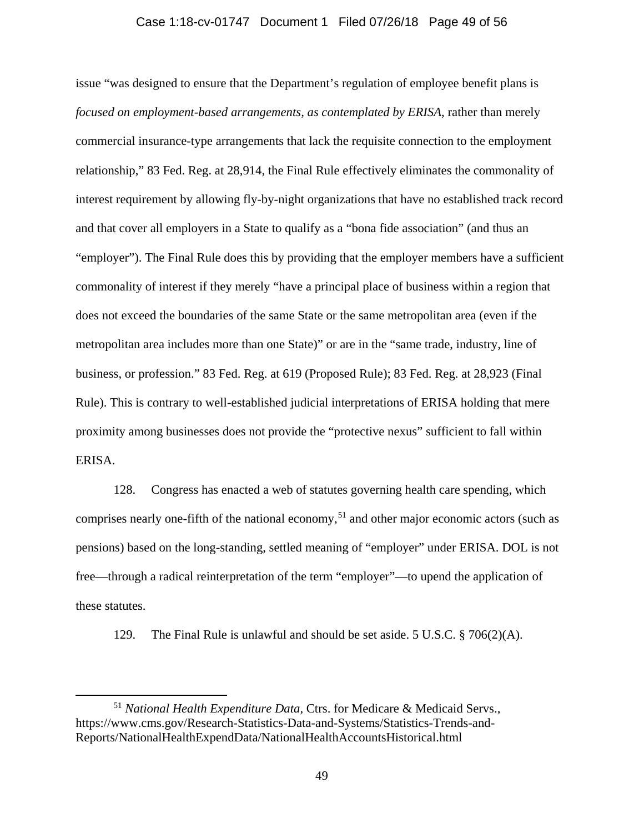## Case 1:18-cv-01747 Document 1 Filed 07/26/18 Page 49 of 56

issue "was designed to ensure that the Department's regulation of employee benefit plans is *focused on employment-based arrangements, as contemplated by ERISA*, rather than merely commercial insurance-type arrangements that lack the requisite connection to the employment relationship," 83 Fed. Reg. at 28,914, the Final Rule effectively eliminates the commonality of interest requirement by allowing fly-by-night organizations that have no established track record and that cover all employers in a State to qualify as a "bona fide association" (and thus an "employer"). The Final Rule does this by providing that the employer members have a sufficient commonality of interest if they merely "have a principal place of business within a region that does not exceed the boundaries of the same State or the same metropolitan area (even if the metropolitan area includes more than one State)" or are in the "same trade, industry, line of business, or profession." 83 Fed. Reg. at 619 (Proposed Rule); 83 Fed. Reg. at 28,923 (Final Rule). This is contrary to well-established judicial interpretations of ERISA holding that mere proximity among businesses does not provide the "protective nexus" sufficient to fall within ERISA.

128. Congress has enacted a web of statutes governing health care spending, which comprises nearly one-fifth of the national economy, [51](#page-48-0) and other major economic actors (such as pensions) based on the long-standing, settled meaning of "employer" under ERISA. DOL is not free—through a radical reinterpretation of the term "employer"—to upend the application of these statutes.

129. The Final Rule is unlawful and should be set aside. 5 U.S.C. § 706(2)(A).

<span id="page-48-0"></span> <sup>51</sup> *National Health Expenditure Data,* Ctrs. for Medicare & Medicaid Servs., https://www.cms.gov/Research-Statistics-Data-and-Systems/Statistics-Trends-and-Reports/NationalHealthExpendData/NationalHealthAccountsHistorical.html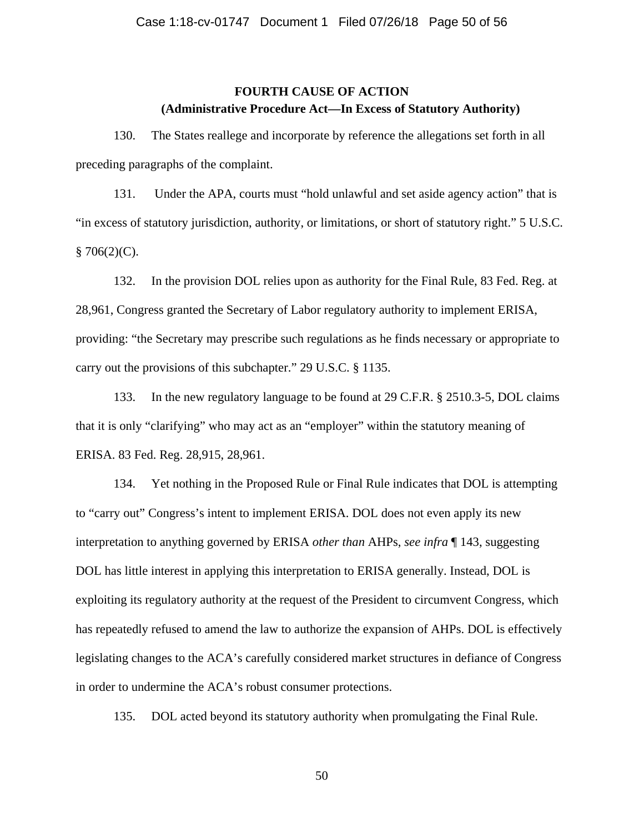# **FOURTH CAUSE OF ACTION (Administrative Procedure Act—In Excess of Statutory Authority)**

130. The States reallege and incorporate by reference the allegations set forth in all preceding paragraphs of the complaint.

131. Under the APA, courts must "hold unlawful and set aside agency action" that is "in excess of statutory jurisdiction, authority, or limitations, or short of statutory right." 5 U.S.C.  $§ 706(2)(C).$ 

132. In the provision DOL relies upon as authority for the Final Rule, 83 Fed. Reg. at 28,961, Congress granted the Secretary of Labor regulatory authority to implement ERISA, providing: "the Secretary may prescribe such regulations as he finds necessary or appropriate to carry out the provisions of this subchapter." 29 U.S.C. § 1135.

133. In the new regulatory language to be found at 29 C.F.R. § 2510.3-5, DOL claims that it is only "clarifying" who may act as an "employer" within the statutory meaning of ERISA. 83 Fed. Reg. 28,915, 28,961.

134. Yet nothing in the Proposed Rule or Final Rule indicates that DOL is attempting to "carry out" Congress's intent to implement ERISA. DOL does not even apply its new interpretation to anything governed by ERISA *other than* AHPs, *see infra* ¶ [143,](#page-51-0) suggesting DOL has little interest in applying this interpretation to ERISA generally. Instead, DOL is exploiting its regulatory authority at the request of the President to circumvent Congress, which has repeatedly refused to amend the law to authorize the expansion of AHPs. DOL is effectively legislating changes to the ACA's carefully considered market structures in defiance of Congress in order to undermine the ACA's robust consumer protections.

135. DOL acted beyond its statutory authority when promulgating the Final Rule.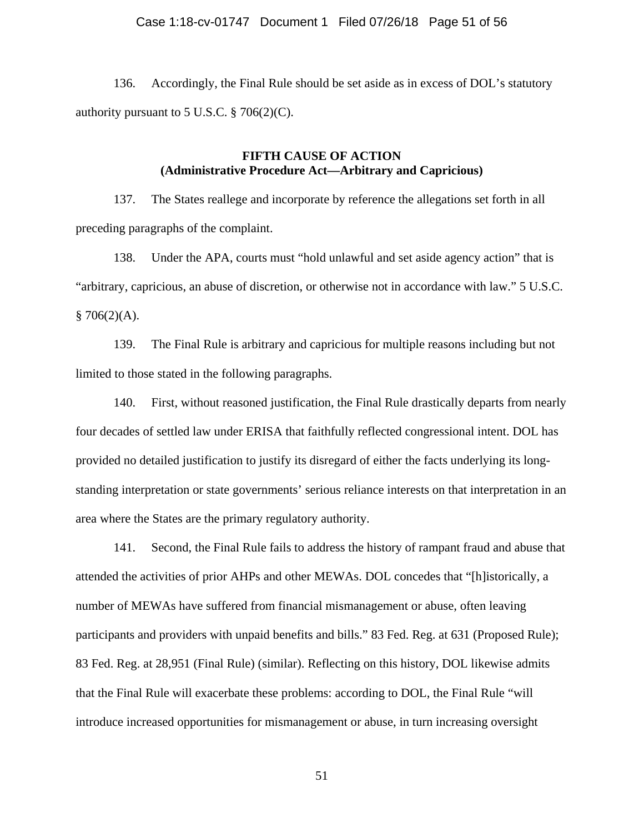## Case 1:18-cv-01747 Document 1 Filed 07/26/18 Page 51 of 56

136. Accordingly, the Final Rule should be set aside as in excess of DOL's statutory authority pursuant to 5 U.S.C.  $\S$  706(2)(C).

## **FIFTH CAUSE OF ACTION (Administrative Procedure Act—Arbitrary and Capricious)**

137. The States reallege and incorporate by reference the allegations set forth in all preceding paragraphs of the complaint.

138. Under the APA, courts must "hold unlawful and set aside agency action" that is "arbitrary, capricious, an abuse of discretion, or otherwise not in accordance with law." 5 U.S.C.  $$706(2)(A).$ 

139. The Final Rule is arbitrary and capricious for multiple reasons including but not limited to those stated in the following paragraphs.

140. First, without reasoned justification, the Final Rule drastically departs from nearly four decades of settled law under ERISA that faithfully reflected congressional intent. DOL has provided no detailed justification to justify its disregard of either the facts underlying its longstanding interpretation or state governments' serious reliance interests on that interpretation in an area where the States are the primary regulatory authority.

141. Second, the Final Rule fails to address the history of rampant fraud and abuse that attended the activities of prior AHPs and other MEWAs. DOL concedes that "[h]istorically, a number of MEWAs have suffered from financial mismanagement or abuse, often leaving participants and providers with unpaid benefits and bills." 83 Fed. Reg. at 631 (Proposed Rule); 83 Fed. Reg. at 28,951 (Final Rule) (similar). Reflecting on this history, DOL likewise admits that the Final Rule will exacerbate these problems: according to DOL, the Final Rule "will introduce increased opportunities for mismanagement or abuse, in turn increasing oversight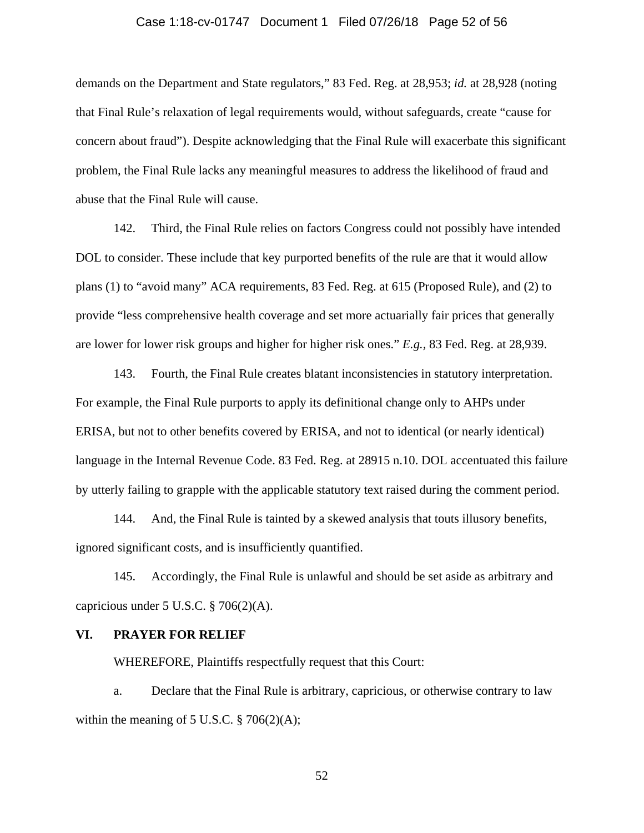## Case 1:18-cv-01747 Document 1 Filed 07/26/18 Page 52 of 56

demands on the Department and State regulators," 83 Fed. Reg. at 28,953; *id.* at 28,928 (noting that Final Rule's relaxation of legal requirements would, without safeguards, create "cause for concern about fraud"). Despite acknowledging that the Final Rule will exacerbate this significant problem, the Final Rule lacks any meaningful measures to address the likelihood of fraud and abuse that the Final Rule will cause.

142. Third, the Final Rule relies on factors Congress could not possibly have intended DOL to consider. These include that key purported benefits of the rule are that it would allow plans (1) to "avoid many" ACA requirements, 83 Fed. Reg. at 615 (Proposed Rule), and (2) to provide "less comprehensive health coverage and set more actuarially fair prices that generally are lower for lower risk groups and higher for higher risk ones." *E.g.,* 83 Fed. Reg. at 28,939.

<span id="page-51-0"></span>143. Fourth, the Final Rule creates blatant inconsistencies in statutory interpretation. For example, the Final Rule purports to apply its definitional change only to AHPs under ERISA, but not to other benefits covered by ERISA, and not to identical (or nearly identical) language in the Internal Revenue Code. 83 Fed. Reg. at 28915 n.10. DOL accentuated this failure by utterly failing to grapple with the applicable statutory text raised during the comment period.

144. And, the Final Rule is tainted by a skewed analysis that touts illusory benefits, ignored significant costs, and is insufficiently quantified.

145. Accordingly, the Final Rule is unlawful and should be set aside as arbitrary and capricious under 5 U.S.C. § 706(2)(A).

#### **VI. PRAYER FOR RELIEF**

WHEREFORE, Plaintiffs respectfully request that this Court:

a. Declare that the Final Rule is arbitrary, capricious, or otherwise contrary to law within the meaning of  $5$  U.S.C.  $\S$  706(2)(A);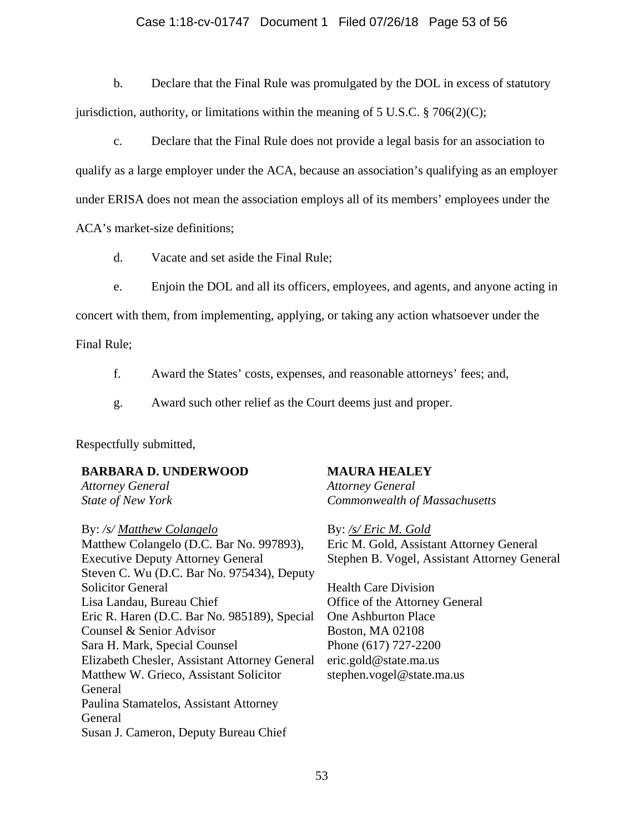## Case 1:18-cv-01747 Document 1 Filed 07/26/18 Page 53 of 56

b. Declare that the Final Rule was promulgated by the DOL in excess of statutory jurisdiction, authority, or limitations within the meaning of 5 U.S.C.  $\S$  706(2)(C);

c. Declare that the Final Rule does not provide a legal basis for an association to qualify as a large employer under the ACA, because an association's qualifying as an employer under ERISA does not mean the association employs all of its members' employees under the

ACA's market-size definitions;

d. Vacate and set aside the Final Rule;

e. Enjoin the DOL and all its officers, employees, and agents, and anyone acting in

concert with them, from implementing, applying, or taking any action whatsoever under the

Final Rule;

- f. Award the States' costs, expenses, and reasonable attorneys' fees; and,
- g. Award such other relief as the Court deems just and proper.

Respectfully submitted,

## **BARBARA D. UNDERWOOD**

*Attorney General State of New York*

By: */s/ Matthew Colangelo* Matthew Colangelo (D.C. Bar No. 997893), Executive Deputy Attorney General Steven C. Wu (D.C. Bar No. 975434), Deputy Solicitor General Lisa Landau, Bureau Chief Eric R. Haren (D.C. Bar No. 985189), Special Counsel & Senior Advisor Sara H. Mark, Special Counsel Elizabeth Chesler, Assistant Attorney General Matthew W. Grieco, Assistant Solicitor General Paulina Stamatelos, Assistant Attorney General Susan J. Cameron, Deputy Bureau Chief

## **MAURA HEALEY**

*Attorney General Commonwealth of Massachusetts*

By: */s/ Eric M. Gold* Eric M. Gold, Assistant Attorney General Stephen B. Vogel, Assistant Attorney General

Health Care Division Office of the Attorney General One Ashburton Place Boston, MA 02108 Phone (617) 727-2200 eric.gold@state.ma.us [stephen.vogel@state.ma.us](mailto:stephen.vogel@state.ma.us)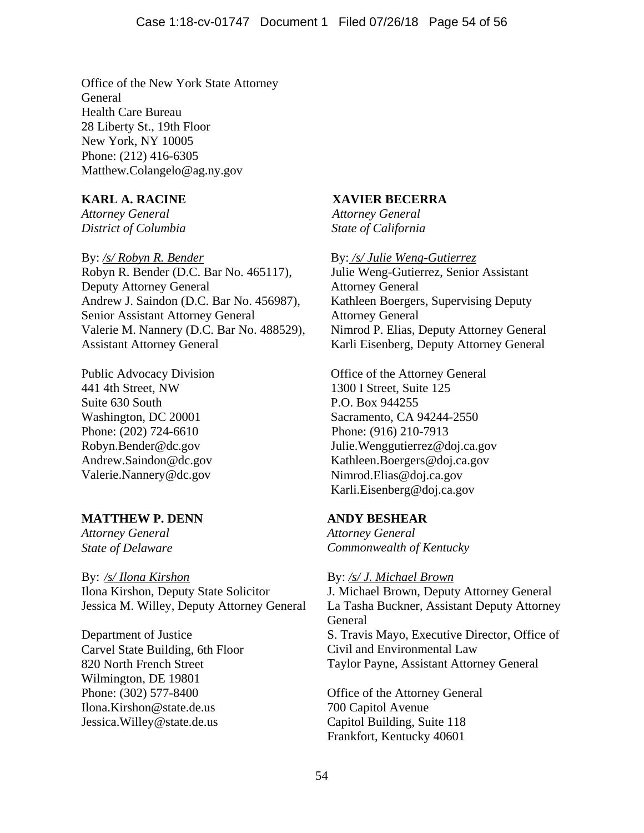Office of the New York State Attorney **General** Health Care Bureau 28 Liberty St., 19th Floor New York, NY 10005 Phone: (212) 416-6305 Matthew.Colangelo@ag.ny.gov

# **KARL A. RACINE**

*Attorney General District of Columbia*

By: */s/ Robyn R. Bender* Robyn R. Bender (D.C. Bar No. 465117), Deputy Attorney General Andrew J. Saindon (D.C. Bar No. 456987), Senior Assistant Attorney General Valerie M. Nannery (D.C. Bar No. 488529), Assistant Attorney General

Public Advocacy Division 441 4th Street, NW Suite 630 South Washington, DC 20001 Phone: (202) 724-6610 Robyn.Bender@dc.gov Andrew.Saindon@dc.gov Valerie.Nannery@dc.gov

# **MATTHEW P. DENN**

*Attorney General State of Delaware*

By: */s/ Ilona Kirshon* Ilona Kirshon, Deputy State Solicitor Jessica M. Willey, Deputy Attorney General

Department of Justice Carvel State Building, 6th Floor 820 North French Street Wilmington, DE 19801 Phone: (302) 577-8400 Ilona.Kirshon@state.de.us Jessica.Willey@state.de.us

# **XAVIER BECERRA**

*Attorney General State of California*

By: */s/ Julie Weng-Gutierrez* Julie Weng-Gutierrez, Senior Assistant Attorney General Kathleen Boergers, Supervising Deputy Attorney General Nimrod P. Elias, Deputy Attorney General Karli Eisenberg, Deputy Attorney General

Office of the Attorney General 1300 I Street, Suite 125 P.O. Box 944255 Sacramento, CA 94244-2550 Phone: (916) 210-7913 Julie.Wenggutierrez@doj.ca.gov Kathleen.Boergers@doj.ca.gov Nimrod.Elias@doj.ca.gov Karli.Eisenberg@doj.ca.gov

# **ANDY BESHEAR**

*Attorney General Commonwealth of Kentucky*

## By: */s/ J. Michael Brown*

J. Michael Brown, Deputy Attorney General La Tasha Buckner, Assistant Deputy Attorney General S. Travis Mayo, Executive Director, Office of Civil and Environmental Law Taylor Payne, Assistant Attorney General

Office of the Attorney General 700 Capitol Avenue Capitol Building, Suite 118 Frankfort, Kentucky 40601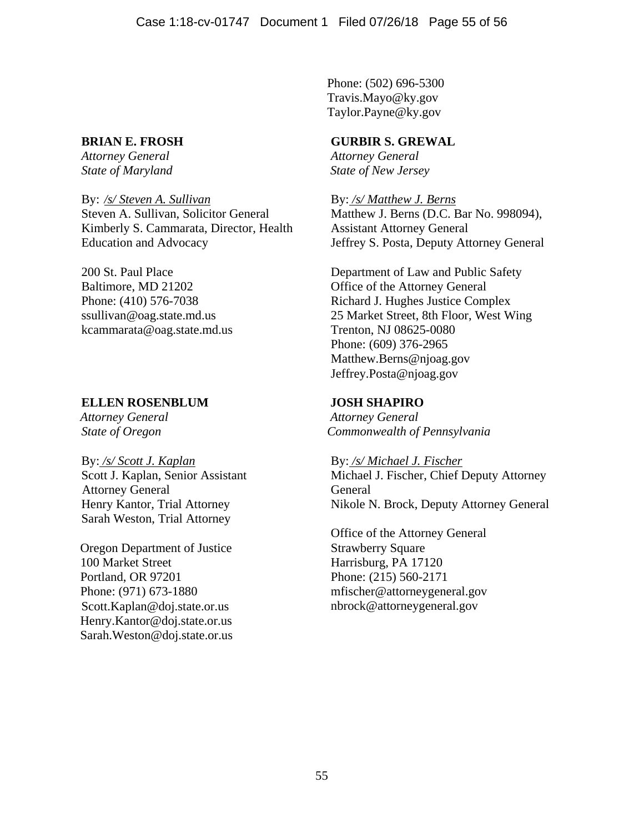Phone: (502) 696-5300 [Travis.Mayo@ky.gov](mailto:Travis.Mayo@ky.gov) Taylor.Payne@ky.gov

# **BRIAN E. FROSH**

*Attorney General State of Maryland* 

By: */s/ Steven A. Sullivan* Steven A. Sullivan, Solicitor General Kimberly S. Cammarata, Director, Health Education and Advocacy

200 St. Paul Place Baltimore, MD 21202 Phone: (410) 576-7038 ssullivan@oag.state.md.us kcammarata@oag.state.md.us

# **ELLEN ROSENBLUM**

*Attorney General State of Oregon*

By: */s/ Scott J. Kaplan* Scott J. Kaplan, Senior Assistant Attorney General Henry Kantor, Trial Attorney Sarah Weston, Trial Attorney

Oregon Department of Justice 100 Market Street Portland, OR 97201 Phone: (971) 673-1880 [Scott.Kaplan@doj.state.or.us](mailto:Scott.Kaplan@doj.state.or.us) [Henry.Kantor@doj.state.or.us](mailto:Henry.Kantor@doj.state.or.us) Sarah.Weston@doj.state.or.us

# **GURBIR S. GREWAL**

*Attorney General State of New Jersey*

By: */s/ Matthew J. Berns* Matthew J. Berns (D.C. Bar No. 998094), Assistant Attorney General Jeffrey S. Posta, Deputy Attorney General

Department of Law and Public Safety Office of the Attorney General Richard J. Hughes Justice Complex 25 Market Street, 8th Floor, West Wing Trenton, NJ 08625-0080 Phone: (609) 376-2965 [Matthew.Berns@njoag.gov](mailto:Matthew.Berns@njoag.gov) [Jeffrey.Posta@njoag.gov](mailto:Jeffrey.Posta@njoag.gov)

# **JOSH SHAPIRO**

*Attorney General Commonwealth of Pennsylvania*

By: */s/ Michael J. Fischer* Michael J. Fischer, Chief Deputy Attorney General Nikole N. Brock, Deputy Attorney General

Office of the Attorney General Strawberry Square Harrisburg, PA 17120 Phone: (215) 560-2171 mfischer@attorneygeneral.gov nbrock@attorneygeneral.gov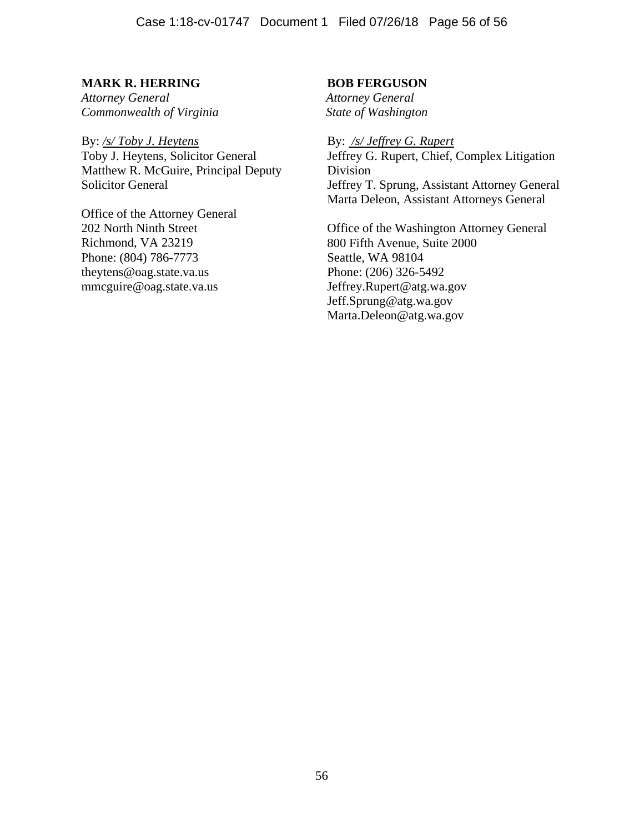# **MARK R. HERRING**

*Attorney General Commonwealth of Virginia*

By: */s/ Toby J. Heytens* Toby J. Heytens, Solicitor General Matthew R. McGuire, Principal Deputy Solicitor General

Office of the Attorney General 202 North Ninth Street Richmond, VA 23219 Phone: (804) 786-7773 theytens@oag.state.va.us mmcguire@oag.state.va.us

## **BOB FERGUSON**

*Attorney General State of Washington*

By: */s/ Jeffrey G. Rupert* Jeffrey G. Rupert, Chief, Complex Litigation Division Jeffrey T. Sprung, Assistant Attorney General Marta Deleon, Assistant Attorneys General

Office of the Washington Attorney General 800 Fifth Avenue, Suite 2000 Seattle, WA 98104 Phone: (206) 326-5492 Jeffrey.Rupert@atg.wa.gov Jeff.Sprung@atg.wa.gov Marta.Deleon@atg.wa.gov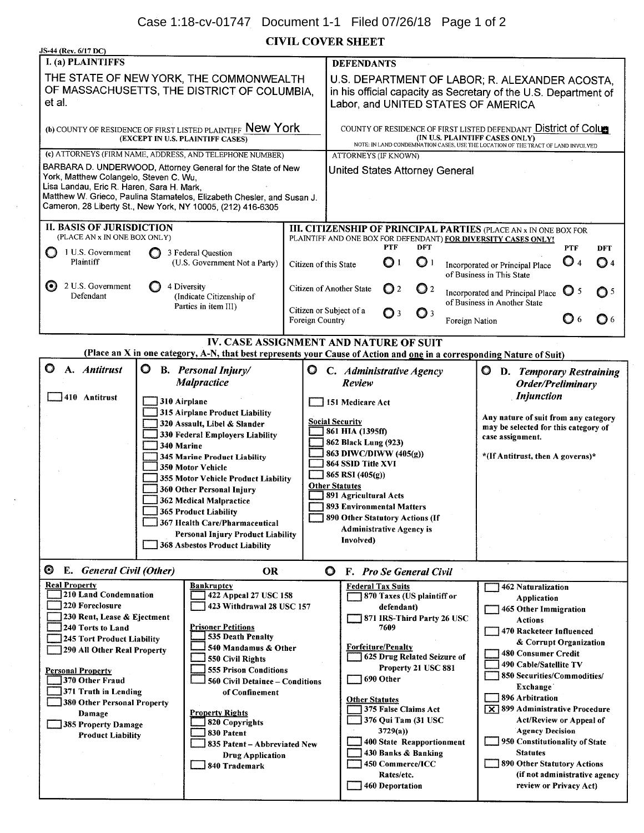**CIVIL COVER SHEET** 

| O                                                                                                                                                                                                    | THE STATE OF NEW YORK, THE COMMONWEALTH<br>OF MASSACHUSETTS, THE DISTRICT OF COLUMBIA.<br>(b) COUNTY OF RESIDENCE OF FIRST LISTED PLAINTIFF New York<br>(EXCEPT IN U.S. PLAINTIFF CASES)<br>(c) ATTORNEYS (FIRM NAME, ADDRESS, AND TELEPHONE NUMBER)<br>BARBARA D. UNDERWOOD, Attorney General for the State of New<br>York, Matthew Colangelo, Steven C. Wu,<br>Lisa Landau, Eric R. Haren, Sara H. Mark,<br>Matthew W. Grieco, Paulina Stamatelos, Elizabeth Chesler, and Susan J.<br>Cameron, 28 Liberty St., New York, NY 10005, (212) 416-6305<br><b>II. BASIS OF JURISDICTION</b><br>(PLACE AN x IN ONE BOX ONLY)<br>3 Federal Question<br>(U.S. Government Not a Party)<br>4 Diversity<br>(Indicate Citizenship of<br>Parties in item III) |                                                                         | <b>DEFENDANTS</b><br><b>ATTORNEYS (IF KNOWN)</b><br>United States Attorney General                                                                                                  | <b>PTF</b>                                                                              |                                                                                        |                                                                                     | U.S. DEPARTMENT OF LABOR; R. ALEXANDER ACOSTA,<br>in his official capacity as Secretary of the U.S. Department of<br>Labor, and UNITED STATES OF AMERICA<br>COUNTY OF RESIDENCE OF FIRST LISTED DEFENDANT District of Colum<br>(IN U.S. PLAINTIFF CASES ONLY)<br>NOTE: IN LAND CONDEMNATION CASES, USE THE LOCATION OF THE TRACT OF LAND INVOLVED |                                                                              |                                                                                                                                                                                                                                                                                                                                                                             |  |  |  |  |  |
|------------------------------------------------------------------------------------------------------------------------------------------------------------------------------------------------------|---------------------------------------------------------------------------------------------------------------------------------------------------------------------------------------------------------------------------------------------------------------------------------------------------------------------------------------------------------------------------------------------------------------------------------------------------------------------------------------------------------------------------------------------------------------------------------------------------------------------------------------------------------------------------------------------------------------------------------------------------|-------------------------------------------------------------------------|-------------------------------------------------------------------------------------------------------------------------------------------------------------------------------------|-----------------------------------------------------------------------------------------|----------------------------------------------------------------------------------------|-------------------------------------------------------------------------------------|---------------------------------------------------------------------------------------------------------------------------------------------------------------------------------------------------------------------------------------------------------------------------------------------------------------------------------------------------|------------------------------------------------------------------------------|-----------------------------------------------------------------------------------------------------------------------------------------------------------------------------------------------------------------------------------------------------------------------------------------------------------------------------------------------------------------------------|--|--|--|--|--|
|                                                                                                                                                                                                      |                                                                                                                                                                                                                                                                                                                                                                                                                                                                                                                                                                                                                                                                                                                                                   |                                                                         |                                                                                                                                                                                     |                                                                                         |                                                                                        |                                                                                     |                                                                                                                                                                                                                                                                                                                                                   |                                                                              |                                                                                                                                                                                                                                                                                                                                                                             |  |  |  |  |  |
|                                                                                                                                                                                                      |                                                                                                                                                                                                                                                                                                                                                                                                                                                                                                                                                                                                                                                                                                                                                   |                                                                         |                                                                                                                                                                                     |                                                                                         |                                                                                        |                                                                                     |                                                                                                                                                                                                                                                                                                                                                   |                                                                              |                                                                                                                                                                                                                                                                                                                                                                             |  |  |  |  |  |
|                                                                                                                                                                                                      |                                                                                                                                                                                                                                                                                                                                                                                                                                                                                                                                                                                                                                                                                                                                                   |                                                                         |                                                                                                                                                                                     |                                                                                         |                                                                                        |                                                                                     |                                                                                                                                                                                                                                                                                                                                                   |                                                                              |                                                                                                                                                                                                                                                                                                                                                                             |  |  |  |  |  |
|                                                                                                                                                                                                      |                                                                                                                                                                                                                                                                                                                                                                                                                                                                                                                                                                                                                                                                                                                                                   |                                                                         |                                                                                                                                                                                     |                                                                                         |                                                                                        |                                                                                     |                                                                                                                                                                                                                                                                                                                                                   |                                                                              |                                                                                                                                                                                                                                                                                                                                                                             |  |  |  |  |  |
|                                                                                                                                                                                                      |                                                                                                                                                                                                                                                                                                                                                                                                                                                                                                                                                                                                                                                                                                                                                   |                                                                         |                                                                                                                                                                                     |                                                                                         |                                                                                        |                                                                                     |                                                                                                                                                                                                                                                                                                                                                   |                                                                              |                                                                                                                                                                                                                                                                                                                                                                             |  |  |  |  |  |
|                                                                                                                                                                                                      |                                                                                                                                                                                                                                                                                                                                                                                                                                                                                                                                                                                                                                                                                                                                                   |                                                                         |                                                                                                                                                                                     |                                                                                         |                                                                                        |                                                                                     | III. CITIZENSHIP OF PRINCIPAL PARTIES (PLACE AN x IN ONE BOX FOR<br>PLAINTIFF AND ONE BOX FOR DEFENDANT) FOR DIVERSITY CASES ONLY!                                                                                                                                                                                                                |                                                                              |                                                                                                                                                                                                                                                                                                                                                                             |  |  |  |  |  |
|                                                                                                                                                                                                      |                                                                                                                                                                                                                                                                                                                                                                                                                                                                                                                                                                                                                                                                                                                                                   |                                                                         |                                                                                                                                                                                     | $\mathbf{O}$ 1                                                                          | <b>DFT</b><br>$\bigcirc$ 1<br>Citizen of this State<br>Incorporated or Principal Place |                                                                                     |                                                                                                                                                                                                                                                                                                                                                   |                                                                              | <b>DFT</b><br>$\bigcirc$ 4                                                                                                                                                                                                                                                                                                                                                  |  |  |  |  |  |
|                                                                                                                                                                                                      |                                                                                                                                                                                                                                                                                                                                                                                                                                                                                                                                                                                                                                                                                                                                                   |                                                                         | Citizen of Another State                                                                                                                                                            | $\mathbf{O}$ 2                                                                          | $\mathbf{Q}$ <sub>2</sub>                                                              |                                                                                     | of Business in This State<br>Incorporated and Principal Place                                                                                                                                                                                                                                                                                     | $\bigcirc$ 5                                                                 | O <sub>5</sub>                                                                                                                                                                                                                                                                                                                                                              |  |  |  |  |  |
|                                                                                                                                                                                                      |                                                                                                                                                                                                                                                                                                                                                                                                                                                                                                                                                                                                                                                                                                                                                   | Foreign Country                                                         | Citizen or Subject of a                                                                                                                                                             | $\mathbf{O}$ 3                                                                          | $\mathbf{Q}$ 3                                                                         | Foreign Nation                                                                      | of Business in Another State                                                                                                                                                                                                                                                                                                                      | Q 6                                                                          | $\mathbf{O}$ 6                                                                                                                                                                                                                                                                                                                                                              |  |  |  |  |  |
|                                                                                                                                                                                                      |                                                                                                                                                                                                                                                                                                                                                                                                                                                                                                                                                                                                                                                                                                                                                   |                                                                         |                                                                                                                                                                                     |                                                                                         |                                                                                        |                                                                                     |                                                                                                                                                                                                                                                                                                                                                   |                                                                              |                                                                                                                                                                                                                                                                                                                                                                             |  |  |  |  |  |
|                                                                                                                                                                                                      | IV. CASE ASSIGNMENT AND NATURE OF SUIT<br>(Place an X in one category, A-N, that best represents your Cause of Action and one in a corresponding Nature of Suit)                                                                                                                                                                                                                                                                                                                                                                                                                                                                                                                                                                                  |                                                                         |                                                                                                                                                                                     |                                                                                         |                                                                                        |                                                                                     |                                                                                                                                                                                                                                                                                                                                                   |                                                                              |                                                                                                                                                                                                                                                                                                                                                                             |  |  |  |  |  |
|                                                                                                                                                                                                      | $\circ$<br><b>B.</b> Personal Injury/<br>Malpractice                                                                                                                                                                                                                                                                                                                                                                                                                                                                                                                                                                                                                                                                                              |                                                                         | <b>Q</b> C. Administrative Agency<br>Review                                                                                                                                         |                                                                                         |                                                                                        | $\circ$<br>D. Temporary Restraining<br>Order/Preliminary                            |                                                                                                                                                                                                                                                                                                                                                   |                                                                              |                                                                                                                                                                                                                                                                                                                                                                             |  |  |  |  |  |
|                                                                                                                                                                                                      | 310 Airplane<br>315 Airplane Product Liability<br>320 Assault, Libel & Slander<br>330 Federal Employers Liability<br>340 Marine<br><b>345 Marine Product Liability</b><br><b>350 Motor Vehicle</b><br>355 Motor Vehicle Product Liability                                                                                                                                                                                                                                                                                                                                                                                                                                                                                                         |                                                                         | 151 Medicare Act<br><b>Social Security</b><br>861 HIA (1395ff)<br>862 Black Lung (923)<br>863 DIWC/DIWW (405(g))<br>864 SSID Title XVI<br>865 RSI (405(g))<br><b>Other Statutes</b> |                                                                                         |                                                                                        |                                                                                     | <b>Injunction</b><br>case assignment.<br>*(If Antitrust, then A governs)*                                                                                                                                                                                                                                                                         | Any nature of suit from any category<br>may be selected for this category of |                                                                                                                                                                                                                                                                                                                                                                             |  |  |  |  |  |
| 360 Other Personal Injury<br>362 Medical Malpractice<br><b>365 Product Liability</b><br>367 Health Care/Pharmaceutical<br><b>Personal Injury Product Liability</b><br>368 Asbestos Product Liability |                                                                                                                                                                                                                                                                                                                                                                                                                                                                                                                                                                                                                                                                                                                                                   |                                                                         | 891 Agricultural Acts<br>893 Environmental Matters<br>390 Other Statutory Actions (If<br><b>Administrative Agency is</b><br>Involved)                                               |                                                                                         |                                                                                        |                                                                                     |                                                                                                                                                                                                                                                                                                                                                   |                                                                              |                                                                                                                                                                                                                                                                                                                                                                             |  |  |  |  |  |
|                                                                                                                                                                                                      | E. General Civil (Other)<br><b>OR</b>                                                                                                                                                                                                                                                                                                                                                                                                                                                                                                                                                                                                                                                                                                             |                                                                         | F. Pro Se General Civil                                                                                                                                                             |                                                                                         |                                                                                        |                                                                                     |                                                                                                                                                                                                                                                                                                                                                   |                                                                              |                                                                                                                                                                                                                                                                                                                                                                             |  |  |  |  |  |
|                                                                                                                                                                                                      | <b>Bankruptcy</b><br>210 Land Condemnation<br>422 Appeal 27 USC 158<br>423 Withdrawal 28 USC 157<br>230 Rent, Lease & Ejectment<br><b>Prisoner Petitions</b><br>535 Death Penalty<br>245 Tort Product Liability<br>290 All Other Real Property<br>550 Civil Rights<br>371 Truth in Lending<br>of Confinement<br>380 Other Personal Property                                                                                                                                                                                                                                                                                                                                                                                                       |                                                                         |                                                                                                                                                                                     | <b>Federal Tax Suits</b><br>870 Taxes (US plaintiff or<br>defendant)<br>7609<br>3729(a) |                                                                                        |                                                                                     | <b>462 Naturalization</b><br>Application<br><b>465 Other Immigration</b><br><b>Actions</b><br><b>Exchange</b><br>896 Arbitration<br><b>Statutes</b>                                                                                                                                                                                               |                                                                              |                                                                                                                                                                                                                                                                                                                                                                             |  |  |  |  |  |
|                                                                                                                                                                                                      |                                                                                                                                                                                                                                                                                                                                                                                                                                                                                                                                                                                                                                                                                                                                                   | <b>Property Rights</b><br>820 Copyrights<br>830 Patent<br>840 Trademark | 540 Mandamus & Other<br><b>555 Prison Conditions</b><br>560 Civil Detainee - Conditions<br>835 Patent - Abbreviated New<br><b>Drug Application</b>                                  |                                                                                         | 690 Other<br><b>Other Statutes</b>                                                     | <b>Forfeiture/Penalty</b><br>375 False Claims Act<br>450 Commerce/ICC<br>Rates/etc. | 871 IRS-Third Party 26 USC<br>625 Drug Related Seizure of<br>Property 21 USC 881<br>376 Qui Tam (31 USC<br>400 State Reapportionment<br>430 Banks & Banking                                                                                                                                                                                       | 460 Deportation                                                              | 470 Racketeer Influenced<br>& Corrupt Organization<br>480 Consumer Credit<br>490 Cable/Satellite TV<br>850 Securities/Commodities/<br>$\boxed{\times}$ 899 Administrative Procedure<br><b>Act/Review or Appeal of</b><br><b>Agency Decision</b><br>950 Constitutionality of State<br>890 Other Statutory Actions<br>(if not administrative agency<br>review or Privacy Act) |  |  |  |  |  |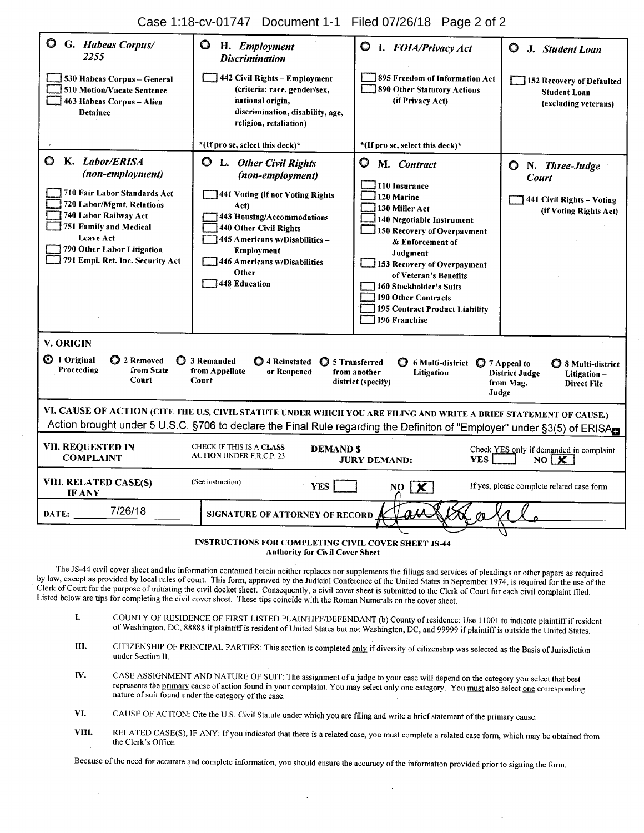Case 1:18-cv-01747 Document 1-1 Filed 07/26/18 Page 2 of 2

| G. Habeas Corpus/<br>2255                                                                                                                                                                                                                                                                                                                                                                 | $\mathbf \circ$<br>H. Employment<br><b>Discrimination</b>                                                                                                                                                                                                               | <b>Q</b> I. FOIA/Privacy Act                                                                                                                                                                                                                                                                                                             | O<br>J. Student Loan                                                                             |  |  |  |  |  |
|-------------------------------------------------------------------------------------------------------------------------------------------------------------------------------------------------------------------------------------------------------------------------------------------------------------------------------------------------------------------------------------------|-------------------------------------------------------------------------------------------------------------------------------------------------------------------------------------------------------------------------------------------------------------------------|------------------------------------------------------------------------------------------------------------------------------------------------------------------------------------------------------------------------------------------------------------------------------------------------------------------------------------------|--------------------------------------------------------------------------------------------------|--|--|--|--|--|
| 530 Habeas Corpus - General<br>510 Motion/Vacate Sentence<br>463 Habeas Corpus - Alien<br><b>Detainee</b>                                                                                                                                                                                                                                                                                 | 442 Civil Rights - Employment<br>(criteria: race, gender/sex,<br>national origin,<br>discrimination, disability, age,<br>religion, retaliation)                                                                                                                         | 895 Freedom of Information Act<br>890 Other Statutory Actions<br>(if Privacy Act)                                                                                                                                                                                                                                                        | 152 Recovery of Defaulted<br><b>Student Loan</b><br>(excluding veterans)                         |  |  |  |  |  |
|                                                                                                                                                                                                                                                                                                                                                                                           | *(If pro se, select this deck)*                                                                                                                                                                                                                                         | *(If pro se, select this deck)*                                                                                                                                                                                                                                                                                                          |                                                                                                  |  |  |  |  |  |
| K. Labor/ERISA<br>O<br>(non-employment)<br>710 Fair Labor Standards Act<br>720 Labor/Mgmt. Relations<br>740 Labor Railway Act<br><b>751 Family and Medical</b><br><b>Leave Act</b><br>790 Other Labor Litigation<br>791 Empl. Ret. Inc. Security Act                                                                                                                                      | $\mathbf C$<br>L. Other Civil Rights<br>(non-employment)<br>441 Voting (if not Voting Rights<br>Act)<br>443 Housing/Accommodations<br>440 Other Civil Rights<br>445 Americans w/Disabilities-<br>Employment<br>446 Americans w/Disabilities -<br>Other<br>448 Education | Õ<br>M. Contract<br>110 Insurance<br>120 Marine<br>130 Miller Act<br>140 Negotiable Instrument<br>150 Recovery of Overpayment<br>& Enforcement of<br>Judgment<br>153 Recovery of Overpayment<br>of Veteran's Benefits<br>160 Stockholder's Suits<br><b>190 Other Contracts</b><br><b>195 Contract Product Liability</b><br>196 Franchise | N. Three-Judge<br>$\circ$<br><b>Court</b><br>441 Civil Rights - Voting<br>(if Voting Rights Act) |  |  |  |  |  |
| V. ORIGIN                                                                                                                                                                                                                                                                                                                                                                                 |                                                                                                                                                                                                                                                                         |                                                                                                                                                                                                                                                                                                                                          |                                                                                                  |  |  |  |  |  |
| <b>☉</b> 1 Original<br>◯ 2 Removed<br>3 Remanded<br>4 Reinstated<br><b>Q</b> 5 Transferred<br>6 Multi-district $\bigcirc$ 7 Appeal to<br>◯ 8 Multi-district<br>Proceeding<br>from State<br>from Appellate<br>or Reopened<br>from another<br><b>Litigation</b><br><b>District Judge</b><br>Litigation-<br>Court<br>Court<br>district (specify)<br>from Mag.<br><b>Direct File</b><br>Judge |                                                                                                                                                                                                                                                                         |                                                                                                                                                                                                                                                                                                                                          |                                                                                                  |  |  |  |  |  |
| VI. CAUSE OF ACTION (CITE THE U.S, CIVIL STATUTE UNDER WHICH YOU ARE FILING AND WRITE A BRIEF STATEMENT OF CAUSE.)<br>Action brought under 5 U.S.C. §706 to declare the Final Rule regarding the Definiton of "Employer" under §3(5) of ERISArs                                                                                                                                           |                                                                                                                                                                                                                                                                         |                                                                                                                                                                                                                                                                                                                                          |                                                                                                  |  |  |  |  |  |
| VII. REQUESTED IN<br><b>COMPLAINT</b>                                                                                                                                                                                                                                                                                                                                                     | CHECK IF THIS IS A CLASS<br><b>DEMAND \$</b><br>Check YES only if demanded in complaint<br><b>ACTION UNDER F.R.C.P. 23</b><br><b>YES</b><br>NO <sub>x</sub><br><b>JURY DEMAND:</b>                                                                                      |                                                                                                                                                                                                                                                                                                                                          |                                                                                                  |  |  |  |  |  |
| <b>VIII. RELATED CASE(S)</b><br><b>IF ANY</b>                                                                                                                                                                                                                                                                                                                                             | (See instruction)<br><b>YES</b>                                                                                                                                                                                                                                         | $NO$ $X$                                                                                                                                                                                                                                                                                                                                 | If yes, please complete related case form                                                        |  |  |  |  |  |
| 7/26/18<br>DATE:<br>SIGNATURE OF ATTORNEY OF RECORD                                                                                                                                                                                                                                                                                                                                       |                                                                                                                                                                                                                                                                         |                                                                                                                                                                                                                                                                                                                                          |                                                                                                  |  |  |  |  |  |

**INSTRUCTIONS FOR COMPLETING CIVIL COVER SHEET JS-44 Authority for Civil Cover Sheet** 

The JS-44 civil cover sheet and the information contained herein neither replaces nor supplements the filings and services of pleadings or other papers as required by law, except as provided by local rules of court. This form, approved by the Judicial Conference of the United States in September 1974, is required for the use of the Clerk of Court for the purpose of initiating the civil docket sheet. Consequently, a civil cover sheet is submitted to the Clerk of Court for each civil complaint filed. Listed below are tips for completing the civil cover sheet. These tips coincide with the Roman Numerals on the cover sheet.

- COUNTY OF RESIDENCE OF FIRST LISTED PLAINTIFF/DEFENDANT (b) County of residence: Use 11001 to indicate plaintiff if resident L of Washington, DC, 88888 if plaintiff is resident of United States but not Washington, DC, and 99999 if plaintiff is outside the United States.
- HL. CITIZENSHIP OF PRINCIPAL PARTIES: This section is completed only if diversity of citizenship was selected as the Basis of Jurisdiction under Section II.
- CASE ASSIGNMENT AND NATURE OF SUIT: The assignment of a judge to your case will depend on the category you select that best IV. represents the primary cause of action found in your complaint. You may select only one category. You must also select one corresponding nature of suit found under the category of the case.
- CAUSE OF ACTION: Cite the U.S. Civil Statute under which you are filing and write a brief statement of the primary cause. VI.
- VIII. RELATED CASE(S), IF ANY: If you indicated that there is a related case, you must complete a related case form, which may be obtained from the Clerk's Office.

Because of the need for accurate and complete information, you should ensure the accuracy of the information provided prior to signing the form.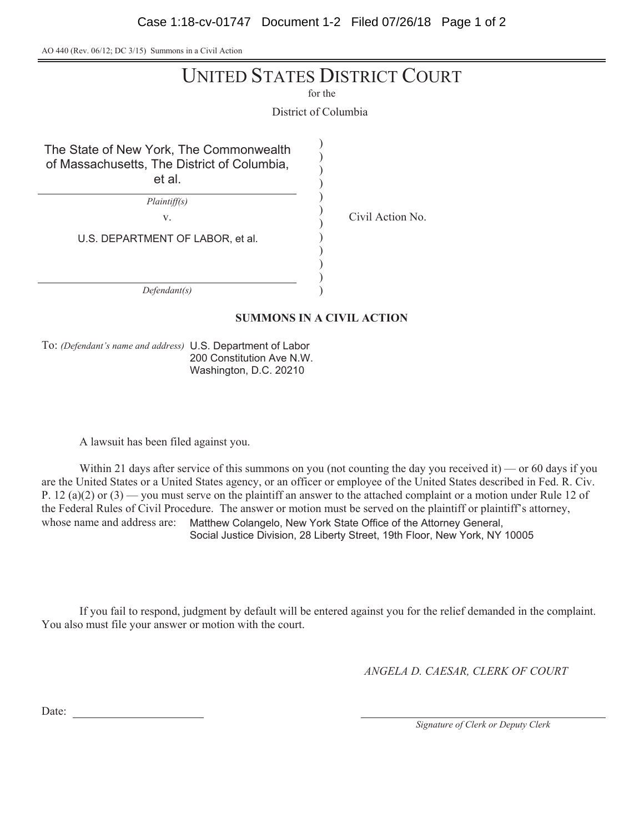Case 1:18-cv-01747 Document 1-2 Filed 07/26/18 Page 1 of 2

AO 440 (Rev. 06/12; DC 3/15) Summons in a Civil Action

# UNITED STATES DISTRICT COURT

for the

District of Columbia

 $\mathcal{E}$  $\mathcal{L}$  $\mathcal{E}$  $\mathcal{E}$  $\mathcal{E}$  $\mathcal{E}$  $\mathcal{E}$  $\mathcal{E}$  $\mathcal{E}$  $\overline{\mathcal{L}}$  $\mathcal{E}$  $\mathcal{E}$ 

The State of New York, The Commonwealth of Massachusetts, The District of Columbia, et al.

 $Plaintiff(s)$ 

v. Civil Action No.

U.S. DEPARTMENT OF LABOR, et al.

 $Defendant(s)$ 

## **SUMMONS IN A CIVIL ACTION**

To: (Defendant's name and address) U.S. Department of Labor 200 Constitution Ave N.W. Washington, D.C. 20210

A lawsuit has been filed against you.

Within 21 days after service of this summons on you (not counting the day you received it) — or 60 days if you are the United States or a United States agency, or an officer or employee of the United States described in Fed. R. Civ. P. 12 (a)(2) or (3) — you must serve on the plaintiff an answer to the attached complaint or a motion under Rule 12 of the Federal Rules of Civil Procedure. The answer or motion must be served on the plaintiff or plaintiff's attorney, whose name and address are: Matthew Colangelo, New York State Office of the Attorney General, Social Justice Division, 28 Liberty Street, 19th Floor, New York, NY 10005

If you fail to respond, judgment by default will be entered against you for the relief demanded in the complaint. You also must file your answer or motion with the court.

*ANGELA D. CAESAR, CLERK OF COURT* 

Date:

*Signature of Clerk or Deputy Clerk*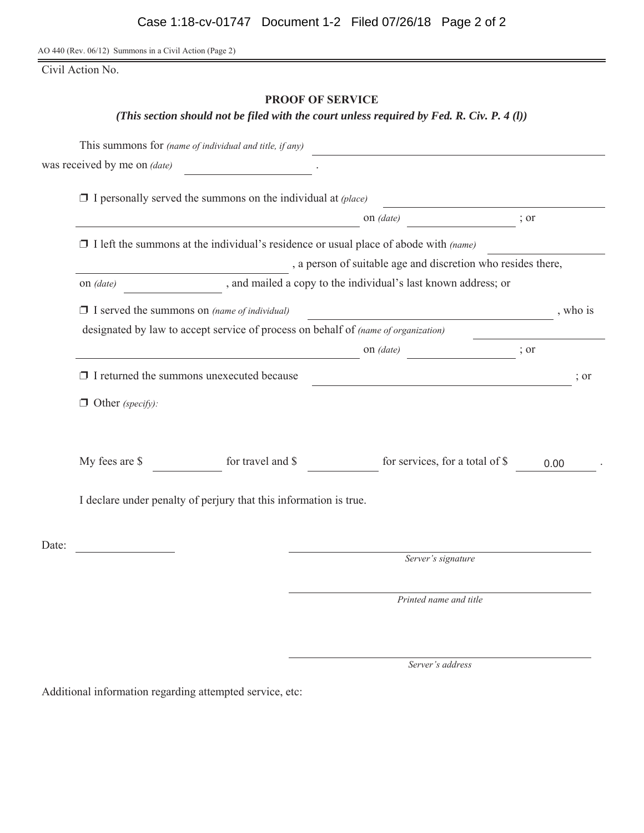AO 440 (Rev. 06/12) Summons in a Civil Action (Page 2)

Civil Action No.

## **PROOF OF SERVICE**

*(This section should not be filed with the court unless required by Fed. R. Civ. P. 4 (l))*

|       |                                                                                             | This summons for (name of individual and title, if any) |                               |                                 |      |      |  |  |  |
|-------|---------------------------------------------------------------------------------------------|---------------------------------------------------------|-------------------------------|---------------------------------|------|------|--|--|--|
|       | was received by me on <i>(date)</i>                                                         |                                                         |                               |                                 |      |      |  |  |  |
|       | $\Box$ I personally served the summons on the individual at (place)                         |                                                         |                               |                                 |      |      |  |  |  |
|       |                                                                                             | on (date)                                               |                               |                                 | ; or |      |  |  |  |
|       | $\Box$ I left the summons at the individual's residence or usual place of abode with (name) |                                                         |                               |                                 |      |      |  |  |  |
|       | , a person of suitable age and discretion who resides there,                                |                                                         |                               |                                 |      |      |  |  |  |
|       | , and mailed a copy to the individual's last known address; or<br>on <i>(date)</i>          |                                                         |                               |                                 |      |      |  |  |  |
|       | $\Box$ I served the summons on (name of individual)                                         |                                                         | , who is                      |                                 |      |      |  |  |  |
|       | designated by law to accept service of process on behalf of (name of organization)          |                                                         |                               |                                 |      |      |  |  |  |
|       |                                                                                             |                                                         | on (date)<br>$\frac{1}{2}$ or |                                 |      |      |  |  |  |
|       | $\Box$ I returned the summons unexecuted because                                            |                                                         | $\frac{1}{2}$ or              |                                 |      |      |  |  |  |
|       | $\Box$ Other (specify):                                                                     |                                                         |                               |                                 |      |      |  |  |  |
|       |                                                                                             |                                                         |                               |                                 |      |      |  |  |  |
|       | My fees are \$                                                                              | for travel and \$                                       |                               | for services, for a total of \$ |      | 0.00 |  |  |  |
|       | I declare under penalty of perjury that this information is true.                           |                                                         |                               |                                 |      |      |  |  |  |
| Date: |                                                                                             |                                                         |                               |                                 |      |      |  |  |  |
|       |                                                                                             |                                                         |                               | Server's signature              |      |      |  |  |  |
|       |                                                                                             |                                                         |                               | Printed name and title          |      |      |  |  |  |
|       |                                                                                             |                                                         |                               |                                 |      |      |  |  |  |

Server's address

Additional information regarding attempted service, etc: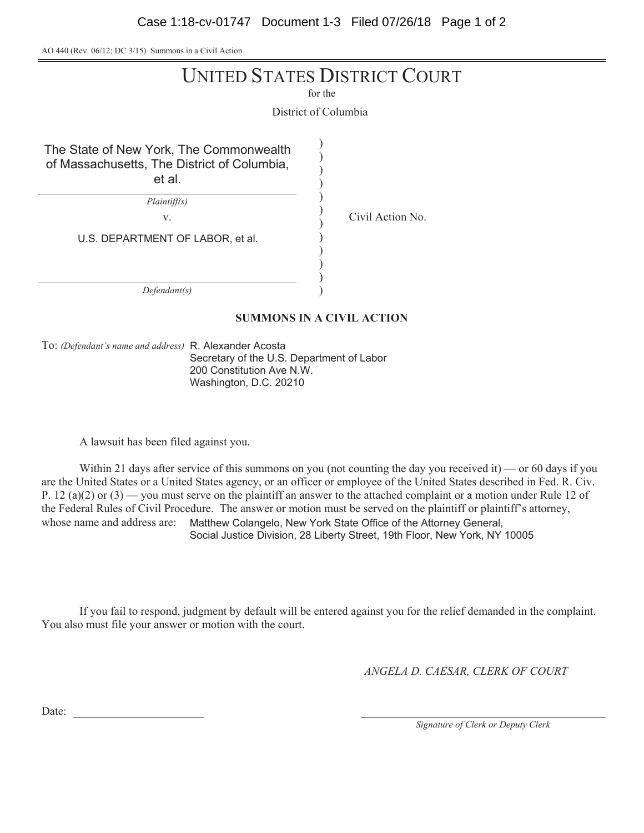Case 1:18-cv-01747 Document 1-3 Filed 07/26/18 Page 1 of 2

AO 440 (Rev. 06/12; DC 3/15) Summons in a Civil Action

# UNITED STATES DISTRICT COURT

for the

District of Columbia

 $\mathcal{E}$  $\mathcal{L}$  $\mathcal{E}$  $\mathcal{E}$  $\mathcal{E}$  $\mathcal{E}$  $\mathcal{E}$  $\mathcal{E}$  $\mathcal{E}$  $\overline{\mathcal{L}}$  $\mathcal{E}$  $\mathcal{E}$ 

The State of New York, The Commonwealth of Massachusetts, The District of Columbia, et al.

 $Plaintiff(s)$ 

V<sub>y</sub> Civil Action No.

U.S. DEPARTMENT OF LABOR, et al.

 $Defendant(s)$ 

## **SUMMONS IN A CIVIL ACTION**

To: (Defendant's name and address) R. Alexander Acosta Secretary of the U.S. Department of Labor 200 Constitution Ave N.W. Washington, D.C. 20210

A lawsuit has been filed against you.

Within 21 days after service of this summons on you (not counting the day you received it) — or 60 days if you are the United States or a United States agency, or an officer or employee of the United States described in Fed. R. Civ. P. 12 (a)(2) or (3) — you must serve on the plaintiff an answer to the attached complaint or a motion under Rule 12 of the Federal Rules of Civil Procedure. The answer or motion must be served on the plaintiff or plaintiff's attorney, whose name and address are: Matthew Colangelo, New York State Office of the Attorney General, Social Justice Division, 28 Liberty Street, 19th Floor, New York, NY 10005

If you fail to respond, judgment by default will be entered against you for the relief demanded in the complaint. You also must file your answer or motion with the court.

*ANGELA D. CAESAR, CLERK OF COURT* 

Date:

*Signature of Clerk or Deputy Clerk*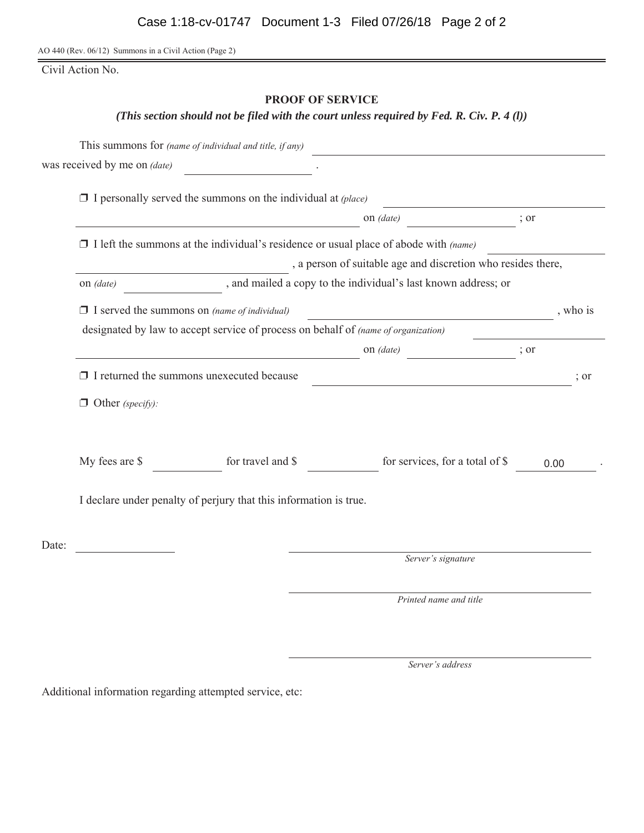AO 440 (Rev. 06/12) Summons in a Civil Action (Page 2)

Civil Action No.

## **PROOF OF SERVICE**

*(This section should not be filed with the court unless required by Fed. R. Civ. P. 4 (l))*

|       |                                                                                             | This summons for (name of individual and title, if any) |                               |                                 |      |      |  |  |  |
|-------|---------------------------------------------------------------------------------------------|---------------------------------------------------------|-------------------------------|---------------------------------|------|------|--|--|--|
|       | was received by me on <i>(date)</i>                                                         |                                                         |                               |                                 |      |      |  |  |  |
|       | $\Box$ I personally served the summons on the individual at (place)                         |                                                         |                               |                                 |      |      |  |  |  |
|       |                                                                                             | on (date)                                               |                               |                                 | ; or |      |  |  |  |
|       | $\Box$ I left the summons at the individual's residence or usual place of abode with (name) |                                                         |                               |                                 |      |      |  |  |  |
|       | , a person of suitable age and discretion who resides there,                                |                                                         |                               |                                 |      |      |  |  |  |
|       | , and mailed a copy to the individual's last known address; or<br>on <i>(date)</i>          |                                                         |                               |                                 |      |      |  |  |  |
|       | $\Box$ I served the summons on (name of individual)                                         |                                                         | , who is                      |                                 |      |      |  |  |  |
|       | designated by law to accept service of process on behalf of (name of organization)          |                                                         |                               |                                 |      |      |  |  |  |
|       |                                                                                             |                                                         | on (date)<br>$\frac{1}{2}$ or |                                 |      |      |  |  |  |
|       | $\Box$ I returned the summons unexecuted because                                            |                                                         | $\frac{1}{2}$ or              |                                 |      |      |  |  |  |
|       | $\Box$ Other (specify):                                                                     |                                                         |                               |                                 |      |      |  |  |  |
|       |                                                                                             |                                                         |                               |                                 |      |      |  |  |  |
|       | My fees are \$                                                                              | for travel and \$                                       |                               | for services, for a total of \$ |      | 0.00 |  |  |  |
|       | I declare under penalty of perjury that this information is true.                           |                                                         |                               |                                 |      |      |  |  |  |
| Date: |                                                                                             |                                                         |                               |                                 |      |      |  |  |  |
|       |                                                                                             |                                                         |                               | Server's signature              |      |      |  |  |  |
|       |                                                                                             |                                                         |                               | Printed name and title          |      |      |  |  |  |
|       |                                                                                             |                                                         |                               |                                 |      |      |  |  |  |

Server's address

Additional information regarding attempted service, etc: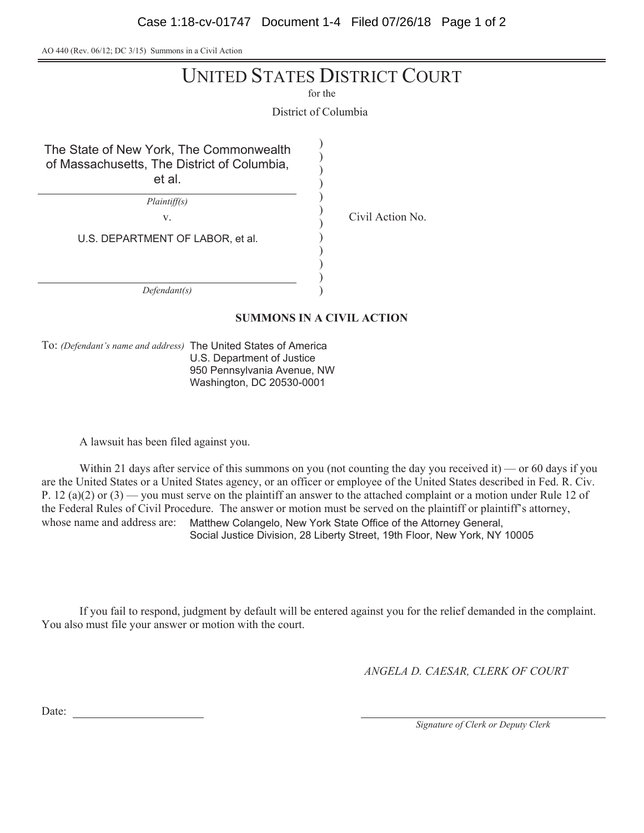Case 1:18-cv-01747 Document 1-4 Filed 07/26/18 Page 1 of 2

AO 440 (Rev. 06/12; DC 3/15) Summons in a Civil Action

# UNITED STATES DISTRICT COURT

for the

District of Columbia

 $\mathcal{E}$  $\mathcal{L}$  $\mathcal{E}$  $\mathcal{E}$  $\mathcal{E}$  $\mathcal{E}$ 

The State of New York, The Commonwealth of Massachusetts, The District of Columbia, et al.

 $Plaintiff(s)$ 

V. Civil Action No.

 $\mathcal{E}$  $\mathcal{E}$ U.S. DEPARTMENT OF LABOR, et al.

 $Defendant(s)$ 

## **SUMMONS IN A CIVIL ACTION**

 $\mathcal{E}$  $\overline{\mathcal{L}}$  $\mathcal{E}$  $\mathcal{E}$ 

To: (Defendant's name and address) The United States of America U.S. Department of Justice 950 Pennsylvania Avenue, NW Washington, DC 20530-0001

A lawsuit has been filed against you.

Within 21 days after service of this summons on you (not counting the day you received it) — or 60 days if you are the United States or a United States agency, or an officer or employee of the United States described in Fed. R. Civ. P. 12 (a)(2) or (3) — you must serve on the plaintiff an answer to the attached complaint or a motion under Rule 12 of the Federal Rules of Civil Procedure. The answer or motion must be served on the plaintiff or plaintiff's attorney, whose name and address are: Matthew Colangelo, New York State Office of the Attorney General, Social Justice Division, 28 Liberty Street, 19th Floor, New York, NY 10005

If you fail to respond, judgment by default will be entered against you for the relief demanded in the complaint. You also must file your answer or motion with the court.

*ANGELA D. CAESAR, CLERK OF COURT* 

Date:

*Signature of Clerk or Deputy Clerk*